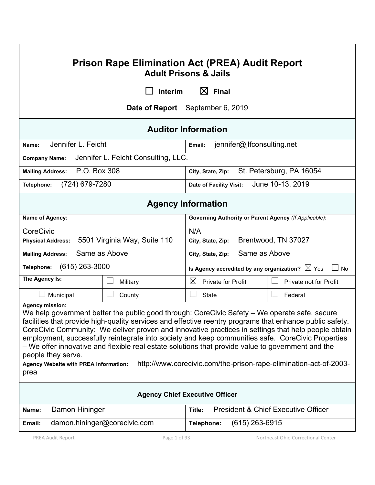| <b>Prison Rape Elimination Act (PREA) Audit Report</b><br><b>Adult Prisons &amp; Jails</b>                                                                                                                                                                                                                                                                                                                                                                                                                                                                                 |                              |                                                                        |  |  |
|----------------------------------------------------------------------------------------------------------------------------------------------------------------------------------------------------------------------------------------------------------------------------------------------------------------------------------------------------------------------------------------------------------------------------------------------------------------------------------------------------------------------------------------------------------------------------|------------------------------|------------------------------------------------------------------------|--|--|
|                                                                                                                                                                                                                                                                                                                                                                                                                                                                                                                                                                            | <b>Interim</b>               | $\boxtimes$ Final                                                      |  |  |
|                                                                                                                                                                                                                                                                                                                                                                                                                                                                                                                                                                            |                              | Date of Report September 6, 2019                                       |  |  |
|                                                                                                                                                                                                                                                                                                                                                                                                                                                                                                                                                                            |                              | <b>Auditor Information</b>                                             |  |  |
| Jennifer L. Feicht<br>Name:                                                                                                                                                                                                                                                                                                                                                                                                                                                                                                                                                |                              | jennifer@jlfconsulting.net<br>Email:                                   |  |  |
| Jennifer L. Feicht Consulting, LLC.<br><b>Company Name:</b>                                                                                                                                                                                                                                                                                                                                                                                                                                                                                                                |                              |                                                                        |  |  |
| P.O. Box 308<br><b>Mailing Address:</b>                                                                                                                                                                                                                                                                                                                                                                                                                                                                                                                                    |                              | St. Petersburg, PA 16054<br>City, State, Zip:                          |  |  |
| (724) 679-7280<br>Telephone:                                                                                                                                                                                                                                                                                                                                                                                                                                                                                                                                               |                              | June 10-13, 2019<br>Date of Facility Visit:                            |  |  |
| <b>Agency Information</b>                                                                                                                                                                                                                                                                                                                                                                                                                                                                                                                                                  |                              |                                                                        |  |  |
| Name of Agency:                                                                                                                                                                                                                                                                                                                                                                                                                                                                                                                                                            |                              | <b>Governing Authority or Parent Agency (If Applicable):</b>           |  |  |
| CoreCivic                                                                                                                                                                                                                                                                                                                                                                                                                                                                                                                                                                  |                              | N/A                                                                    |  |  |
| 5501 Virginia Way, Suite 110<br><b>Physical Address:</b>                                                                                                                                                                                                                                                                                                                                                                                                                                                                                                                   |                              | Brentwood, TN 37027<br>City, State, Zip:                               |  |  |
| Same as Above<br><b>Mailing Address:</b>                                                                                                                                                                                                                                                                                                                                                                                                                                                                                                                                   |                              | Same as Above<br>City, State, Zip:                                     |  |  |
| $(615)$ 263-3000<br>Telephone:                                                                                                                                                                                                                                                                                                                                                                                                                                                                                                                                             |                              | Is Agency accredited by any organization? $\boxtimes$ Yes<br><b>No</b> |  |  |
| The Agency Is:                                                                                                                                                                                                                                                                                                                                                                                                                                                                                                                                                             | Military                     | $\boxtimes$<br><b>Private for Profit</b><br>Private not for Profit     |  |  |
| Municipal                                                                                                                                                                                                                                                                                                                                                                                                                                                                                                                                                                  | ⊔<br>County                  | <b>State</b><br>Federal                                                |  |  |
| <b>Agency mission:</b><br>We help government better the public good through: CoreCivic Safety – We operate safe, secure<br>facilities that provide high-quality services and effective reentry programs that enhance public safety.<br>CoreCivic Community: We deliver proven and innovative practices in settings that help people obtain<br>employment, successfully reintegrate into society and keep communities safe. CoreCivic Properties<br>- We offer innovative and flexible real estate solutions that provide value to government and the<br>people they serve. |                              |                                                                        |  |  |
| http://www.corecivic.com/the-prison-rape-elimination-act-of-2003-<br><b>Agency Website with PREA Information:</b><br>prea                                                                                                                                                                                                                                                                                                                                                                                                                                                  |                              |                                                                        |  |  |
| <b>Agency Chief Executive Officer</b>                                                                                                                                                                                                                                                                                                                                                                                                                                                                                                                                      |                              |                                                                        |  |  |
| Damon Hininger<br>Name:                                                                                                                                                                                                                                                                                                                                                                                                                                                                                                                                                    |                              | <b>President &amp; Chief Executive Officer</b><br>Title:               |  |  |
| Email:                                                                                                                                                                                                                                                                                                                                                                                                                                                                                                                                                                     | damon.hininger@corecivic.com | $(615)$ 263-6915<br>Telephone:                                         |  |  |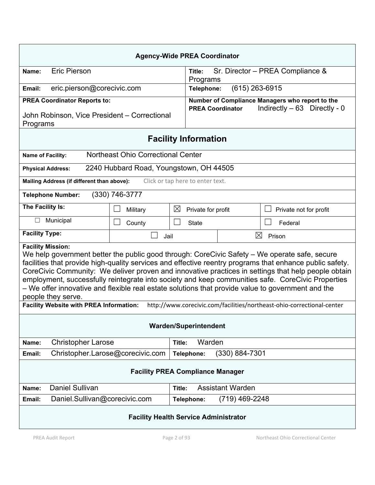| <b>Agency-Wide PREA Coordinator</b>                                                                                                                                                                                                                                                                                                                                                                                                                                                                                                                                          |                                               |                                  |                                              |                                                 |  |
|------------------------------------------------------------------------------------------------------------------------------------------------------------------------------------------------------------------------------------------------------------------------------------------------------------------------------------------------------------------------------------------------------------------------------------------------------------------------------------------------------------------------------------------------------------------------------|-----------------------------------------------|----------------------------------|----------------------------------------------|-------------------------------------------------|--|
| <b>Eric Pierson</b><br>Name:                                                                                                                                                                                                                                                                                                                                                                                                                                                                                                                                                 |                                               | Title:                           | Sr. Director – PREA Compliance &<br>Programs |                                                 |  |
| eric.pierson@corecivic.com<br>Email:                                                                                                                                                                                                                                                                                                                                                                                                                                                                                                                                         |                                               |                                  | $(615)$ 263-6915<br>Telephone:               |                                                 |  |
| <b>PREA Coordinator Reports to:</b>                                                                                                                                                                                                                                                                                                                                                                                                                                                                                                                                          |                                               |                                  |                                              | Number of Compliance Managers who report to the |  |
| John Robinson, Vice President - Correctional<br>Programs                                                                                                                                                                                                                                                                                                                                                                                                                                                                                                                     |                                               |                                  | <b>PREA Coordinator</b>                      | Indirectly $-63$ Directly - 0                   |  |
| <b>Facility Information</b>                                                                                                                                                                                                                                                                                                                                                                                                                                                                                                                                                  |                                               |                                  |                                              |                                                 |  |
| Northeast Ohio Correctional Center<br>Name of Facility:                                                                                                                                                                                                                                                                                                                                                                                                                                                                                                                      |                                               |                                  |                                              |                                                 |  |
| <b>Physical Address:</b>                                                                                                                                                                                                                                                                                                                                                                                                                                                                                                                                                     | 2240 Hubbard Road, Youngstown, OH 44505       |                                  |                                              |                                                 |  |
| Mailing Address (if different than above):                                                                                                                                                                                                                                                                                                                                                                                                                                                                                                                                   |                                               | Click or tap here to enter text. |                                              |                                                 |  |
| <b>Telephone Number:</b>                                                                                                                                                                                                                                                                                                                                                                                                                                                                                                                                                     | $(330)$ 746-3777                              |                                  |                                              |                                                 |  |
| The Facility Is:                                                                                                                                                                                                                                                                                                                                                                                                                                                                                                                                                             | $\boxtimes$<br>Military<br>Private for profit |                                  |                                              | Private not for profit                          |  |
| Municipal<br>$\Box$                                                                                                                                                                                                                                                                                                                                                                                                                                                                                                                                                          | County                                        | <b>State</b>                     |                                              | Federal                                         |  |
| <b>Facility Type:</b>                                                                                                                                                                                                                                                                                                                                                                                                                                                                                                                                                        | Jail                                          |                                  | ⊠                                            | Prison                                          |  |
| <b>Facility Mission:</b><br>We help government better the public good through: CoreCivic Safety – We operate safe, secure<br>facilities that provide high-quality services and effective reentry programs that enhance public safety.<br>CoreCivic Community: We deliver proven and innovative practices in settings that help people obtain<br>employment, successfully reintegrate into society and keep communities safe. CoreCivic Properties<br>- We offer innovative and flexible real estate solutions that provide value to government and the<br>people they serve. |                                               |                                  |                                              |                                                 |  |
| <b>Facility Website with PREA Information:</b><br>http://www.corecivic.com/facilities/northeast-ohio-correctional-center                                                                                                                                                                                                                                                                                                                                                                                                                                                     |                                               |                                  |                                              |                                                 |  |
| <b>Warden/Superintendent</b>                                                                                                                                                                                                                                                                                                                                                                                                                                                                                                                                                 |                                               |                                  |                                              |                                                 |  |
| <b>Christopher Larose</b><br>Name:                                                                                                                                                                                                                                                                                                                                                                                                                                                                                                                                           |                                               | Title:                           | Warden                                       |                                                 |  |
| Christopher.Larose@corecivic.com<br>Email:<br>Telephone:                                                                                                                                                                                                                                                                                                                                                                                                                                                                                                                     |                                               | (330) 884-7301                   |                                              |                                                 |  |
| <b>Facility PREA Compliance Manager</b>                                                                                                                                                                                                                                                                                                                                                                                                                                                                                                                                      |                                               |                                  |                                              |                                                 |  |
| <b>Daniel Sullivan</b><br><b>Assistant Warden</b><br>Name:<br>Title:                                                                                                                                                                                                                                                                                                                                                                                                                                                                                                         |                                               |                                  |                                              |                                                 |  |
| Daniel.Sullivan@corecivic.com<br>Email:                                                                                                                                                                                                                                                                                                                                                                                                                                                                                                                                      |                                               | Telephone:                       | (719) 469-2248                               |                                                 |  |
| <b>Facility Health Service Administrator</b>                                                                                                                                                                                                                                                                                                                                                                                                                                                                                                                                 |                                               |                                  |                                              |                                                 |  |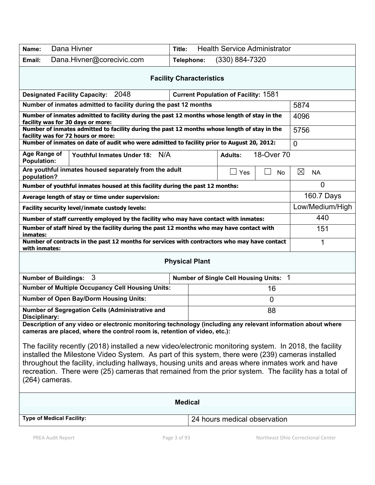| Dana Hivner<br>Name:                                                                                                                                                                                                                                                                                                                                                                                                                                                                                                                                                                                                                  | Title:                                      | <b>Health Service Administrator</b> |            |                 |
|---------------------------------------------------------------------------------------------------------------------------------------------------------------------------------------------------------------------------------------------------------------------------------------------------------------------------------------------------------------------------------------------------------------------------------------------------------------------------------------------------------------------------------------------------------------------------------------------------------------------------------------|---------------------------------------------|-------------------------------------|------------|-----------------|
| Dana.Hivner@corecivic.com<br>Email:                                                                                                                                                                                                                                                                                                                                                                                                                                                                                                                                                                                                   | Telephone:                                  | (330) 884-7320                      |            |                 |
|                                                                                                                                                                                                                                                                                                                                                                                                                                                                                                                                                                                                                                       | <b>Facility Characteristics</b>             |                                     |            |                 |
| 2048<br><b>Designated Facility Capacity:</b>                                                                                                                                                                                                                                                                                                                                                                                                                                                                                                                                                                                          | <b>Current Population of Facility: 1581</b> |                                     |            |                 |
| Number of inmates admitted to facility during the past 12 months                                                                                                                                                                                                                                                                                                                                                                                                                                                                                                                                                                      |                                             |                                     |            | 5874            |
| Number of inmates admitted to facility during the past 12 months whose length of stay in the<br>4096<br>facility was for 30 days or more:                                                                                                                                                                                                                                                                                                                                                                                                                                                                                             |                                             |                                     |            |                 |
| Number of inmates admitted to facility during the past 12 months whose length of stay in the<br>facility was for 72 hours or more:                                                                                                                                                                                                                                                                                                                                                                                                                                                                                                    |                                             |                                     | 5756       |                 |
| Number of inmates on date of audit who were admitted to facility prior to August 20, 2012:                                                                                                                                                                                                                                                                                                                                                                                                                                                                                                                                            |                                             |                                     |            | $\Omega$        |
| Age Range of<br>N/A<br><b>Youthful Inmates Under 18:</b><br><b>Population:</b>                                                                                                                                                                                                                                                                                                                                                                                                                                                                                                                                                        |                                             | <b>Adults:</b>                      | 18-Over 70 |                 |
| Are youthful inmates housed separately from the adult<br>population?                                                                                                                                                                                                                                                                                                                                                                                                                                                                                                                                                                  |                                             | Yes                                 | No         | ⊠<br><b>NA</b>  |
| Number of youthful inmates housed at this facility during the past 12 months:                                                                                                                                                                                                                                                                                                                                                                                                                                                                                                                                                         |                                             |                                     |            | $\overline{0}$  |
| Average length of stay or time under supervision:                                                                                                                                                                                                                                                                                                                                                                                                                                                                                                                                                                                     |                                             |                                     |            | 160.7 Days      |
| Facility security level/inmate custody levels:                                                                                                                                                                                                                                                                                                                                                                                                                                                                                                                                                                                        |                                             |                                     |            | Low/Medium/High |
| Number of staff currently employed by the facility who may have contact with inmates:                                                                                                                                                                                                                                                                                                                                                                                                                                                                                                                                                 |                                             |                                     |            | 440             |
| Number of staff hired by the facility during the past 12 months who may have contact with<br>inmates:                                                                                                                                                                                                                                                                                                                                                                                                                                                                                                                                 |                                             |                                     |            | 151             |
| Number of contracts in the past 12 months for services with contractors who may have contact<br>with inmates:                                                                                                                                                                                                                                                                                                                                                                                                                                                                                                                         |                                             |                                     |            | 1               |
| <b>Physical Plant</b>                                                                                                                                                                                                                                                                                                                                                                                                                                                                                                                                                                                                                 |                                             |                                     |            |                 |
| Number of Buildings: 3                                                                                                                                                                                                                                                                                                                                                                                                                                                                                                                                                                                                                | Number of Single Cell Housing Units: 1      |                                     |            |                 |
| <b>Number of Multiple Occupancy Cell Housing Units:</b>                                                                                                                                                                                                                                                                                                                                                                                                                                                                                                                                                                               |                                             | 16                                  |            |                 |
| <b>Number of Open Bay/Dorm Housing Units:</b>                                                                                                                                                                                                                                                                                                                                                                                                                                                                                                                                                                                         |                                             | 0                                   |            |                 |
| Number of Segregation Cells (Administrative and<br>Disciplinary:                                                                                                                                                                                                                                                                                                                                                                                                                                                                                                                                                                      |                                             | 88                                  |            |                 |
| Description of any video or electronic monitoring technology (including any relevant information about where<br>cameras are placed, where the control room is, retention of video, etc.):<br>The facility recently (2018) installed a new video/electronic monitoring system. In 2018, the facility<br>installed the Milestone Video System. As part of this system, there were (239) cameras installed<br>throughout the facility, including hallways, housing units and areas where inmates work and have<br>recreation. There were (25) cameras that remained from the prior system. The facility has a total of<br>(264) cameras. |                                             |                                     |            |                 |
| <b>Medical</b>                                                                                                                                                                                                                                                                                                                                                                                                                                                                                                                                                                                                                        |                                             |                                     |            |                 |
| <b>Type of Medical Facility:</b>                                                                                                                                                                                                                                                                                                                                                                                                                                                                                                                                                                                                      |                                             | 24 hours medical observation        |            |                 |
|                                                                                                                                                                                                                                                                                                                                                                                                                                                                                                                                                                                                                                       |                                             |                                     |            |                 |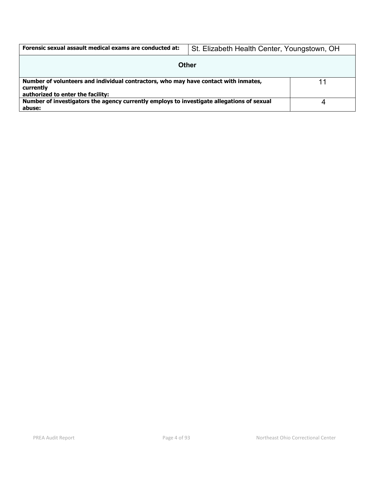| Forensic sexual assault medical exams are conducted at:                                                                               | St. Elizabeth Health Center, Youngstown, OH |   |
|---------------------------------------------------------------------------------------------------------------------------------------|---------------------------------------------|---|
| Other                                                                                                                                 |                                             |   |
| Number of volunteers and individual contractors, who may have contact with inmates,<br>currently<br>authorized to enter the facility: |                                             |   |
| Number of investigators the agency currently employs to investigate allegations of sexual<br>abuse:                                   |                                             | 4 |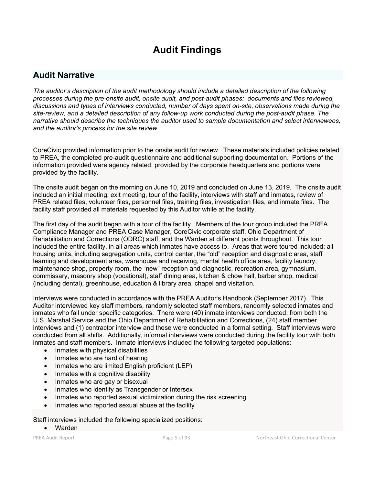# **Audit Findings**

# **Audit Narrative**

*The auditor's description of the audit methodology should include a detailed description of the following processes during the pre-onsite audit, onsite audit, and post-audit phases: documents and files reviewed, discussions and types of interviews conducted, number of days spent on-site, observations made during the site-review, and a detailed description of any follow-up work conducted during the post-audit phase. The narrative should describe the techniques the auditor used to sample documentation and select interviewees, and the auditor's process for the site review.*

CoreCivic provided information prior to the onsite audit for review. These materials included policies related to PREA, the completed pre-audit questionnaire and additional supporting documentation. Portions of the information provided were agency related, provided by the corporate headquarters and portions were provided by the facility.

The onsite audit began on the morning on June 10, 2019 and concluded on June 13, 2019. The onsite audit included an initial meeting, exit meeting, tour of the facility, interviews with staff and inmates, review of PREA related files, volunteer files, personnel files, training files, investigation files, and inmate files. The facility staff provided all materials requested by this Auditor while at the facility.

The first day of the audit began with a tour of the facility. Members of the tour group included the PREA Compliance Manager and PREA Case Manager, CoreCivic corporate staff, Ohio Department of Rehabilitation and Corrections (ODRC) staff, and the Warden at different points throughout. This tour included the entire facility, in all areas which inmates have access to. Areas that were toured included: all housing units, including segregation units, control center, the "old" reception and diagnostic area, staff learning and development area, warehouse and receiving, mental health office area, facility laundry, maintenance shop, property room, the "new" reception and diagnostic, recreation area, gymnasium, commissary, masonry shop (vocational), staff dining area, kitchen & chow hall, barber shop, medical (including dental), greenhouse, education & library area, chapel and visitation.

Interviews were conducted in accordance with the PREA Auditor's Handbook (September 2017). This Auditor interviewed key staff members, randomly selected staff members, randomly selected inmates and inmates who fall under specific categories. There were (40) inmate interviews conducted, from both the U.S. Marshal Service and the Ohio Department of Rehabilitation and Corrections, (24) staff member interviews and (1) contractor interview and these were conducted in a formal setting. Staff interviews were conducted from all shifts. Additionally, informal interviews were conducted during the facility tour with both inmates and staff members. Inmate interviews included the following targeted populations:

- Inmates with physical disabilities
- Inmates who are hard of hearing
- Inmates who are limited English proficient (LEP)
- Inmates with a cognitive disability
- Inmates who are gay or bisexual
- Inmates who identify as Transgender or Intersex
- Inmates who reported sexual victimization during the risk screening
- Inmates who reported sexual abuse at the facility

Staff interviews included the following specialized positions:

• Warden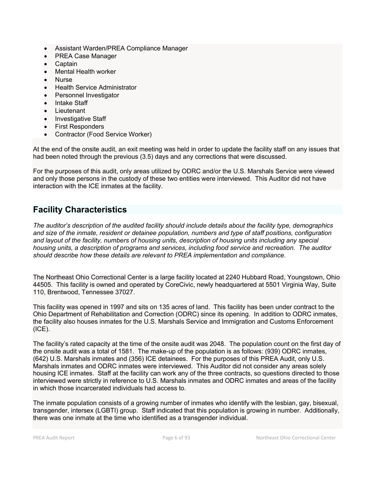- Assistant Warden/PREA Compliance Manager
- PREA Case Manager
- **Captain**
- Mental Health worker
- Nurse
- Health Service Administrator
- Personnel Investigator
- Intake Staff
- **Lieutenant**
- Investigative Staff
- First Responders
- Contractor (Food Service Worker)

At the end of the onsite audit, an exit meeting was held in order to update the facility staff on any issues that had been noted through the previous (3.5) days and any corrections that were discussed.

For the purposes of this audit, only areas utilized by ODRC and/or the U.S. Marshals Service were viewed and only those persons in the custody of these two entities were interviewed. This Auditor did not have interaction with the ICE inmates at the facility.

# **Facility Characteristics**

*The auditor's description of the audited facility should include details about the facility type, demographics and size of the inmate, resident or detainee population, numbers and type of staff positions, configuration and layout of the facility, numbers of housing units, description of housing units including any special housing units, a description of programs and services, including food service and recreation. The auditor should describe how these details are relevant to PREA implementation and compliance.*

The Northeast Ohio Correctional Center is a large facility located at 2240 Hubbard Road, Youngstown, Ohio 44505. This facility is owned and operated by CoreCivic, newly headquartered at 5501 Virginia Way, Suite 110, Brentwood, Tennessee 37027.

This facility was opened in 1997 and sits on 135 acres of land. This facility has been under contract to the Ohio Department of Rehabilitation and Correction (ODRC) since its opening. In addition to ODRC inmates, the facility also houses inmates for the U.S. Marshals Service and Immigration and Customs Enforcement  $(ICE)$ .

The facility's rated capacity at the time of the onsite audit was 2048. The population count on the first day of the onsite audit was a total of 1581. The make-up of the population is as follows: (939) ODRC inmates, (642) U.S. Marshals inmates and (356) ICE detainees. For the purposes of this PREA Audit, only U.S. Marshals inmates and ODRC inmates were interviewed. This Auditor did not consider any areas solely housing ICE inmates. Staff at the facility can work any of the three contracts, so questions directed to those interviewed were strictly in reference to U.S. Marshals inmates and ODRC inmates and areas of the facility in which those incarcerated individuals had access to.

The inmate population consists of a growing number of inmates who identify with the lesbian, gay, bisexual, transgender, intersex (LGBTI) group. Staff indicated that this population is growing in number. Additionally, there was one inmate at the time who identified as a transgender individual.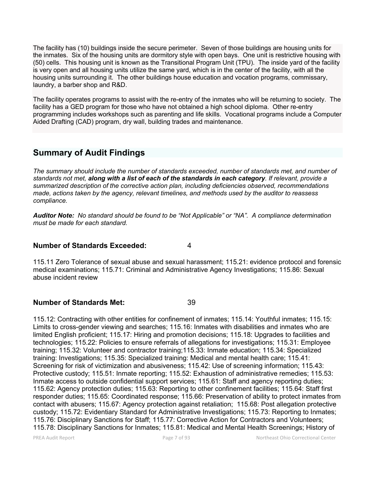The facility has (10) buildings inside the secure perimeter. Seven of those buildings are housing units for the inmates. Six of the housing units are dormitory style with open bays. One unit is restrictive housing with (50) cells. This housing unit is known as the Transitional Program Unit (TPU). The inside yard of the facility is very open and all housing units utilize the same yard, which is in the center of the facility, with all the housing units surrounding it. The other buildings house education and vocation programs, commissary, laundry, a barber shop and R&D.

The facility operates programs to assist with the re-entry of the inmates who will be returning to society. The facility has a GED program for those who have not obtained a high school diploma. Other re-entry programming includes workshops such as parenting and life skills. Vocational programs include a Computer Aided Drafting (CAD) program, dry wall, building trades and maintenance.

# **Summary of Audit Findings**

*The summary should include the number of standards exceeded, number of standards met, and number of standards not met, along with a list of each of the standards in each category. If relevant, provide a summarized description of the corrective action plan, including deficiencies observed, recommendations made, actions taken by the agency, relevant timelines, and methods used by the auditor to reassess compliance.*

*Auditor Note: No standard should be found to be "Not Applicable" or "NA". A compliance determination must be made for each standard.*

# **Number of Standards Exceeded:** 4

115.11 Zero Tolerance of sexual abuse and sexual harassment; 115.21: evidence protocol and forensic medical examinations; 115.71: Criminal and Administrative Agency Investigations; 115.86: Sexual abuse incident review

# **Number of Standards Met:** 39

115.12: Contracting with other entities for confinement of inmates; 115.14: Youthful inmates; 115.15: Limits to cross-gender viewing and searches; 115.16: Inmates with disabilities and inmates who are limited English proficient; 115.17: Hiring and promotion decisions; 115.18: Upgrades to facilities and technologies; 115.22: Policies to ensure referrals of allegations for investigations; 115.31: Employee training; 115.32: Volunteer and contractor training;115.33: Inmate education; 115.34: Specialized training: Investigations; 115.35: Specialized training: Medical and mental health care; 115.41: Screening for risk of victimization and abusiveness; 115.42: Use of screening information; 115.43: Protective custody; 115.51: Inmate reporting; 115.52: Exhaustion of administrative remedies; 115.53: Inmate access to outside confidential support services; 115.61: Staff and agency reporting duties; 115.62: Agency protection duties; 115.63: Reporting to other confinement facilities; 115.64: Staff first responder duties; 115.65: Coordinated response; 115.66: Preservation of ability to protect inmates from contact with abusers; 115.67: Agency protection against retaliation; 115.68: Post allegation protective custody; 115.72: Evidentiary Standard for Administrative Investigations; 115.73: Reporting to Inmates; 115.76: Disciplinary Sanctions for Staff; 115.77: Corrective Action for Contractors and Volunteers; 115.78: Disciplinary Sanctions for Inmates; 115.81: Medical and Mental Health Screenings; History of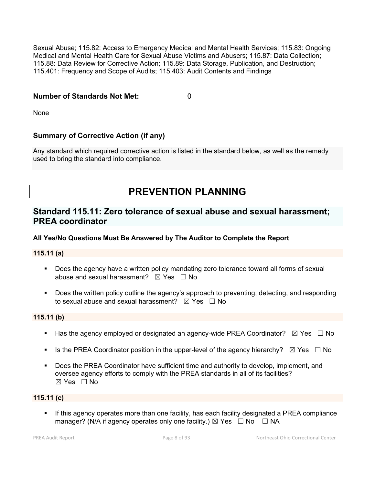Sexual Abuse; 115.82: Access to Emergency Medical and Mental Health Services; 115.83: Ongoing Medical and Mental Health Care for Sexual Abuse Victims and Abusers; 115.87: Data Collection; 115.88: Data Review for Corrective Action; 115.89: Data Storage, Publication, and Destruction; 115.401: Frequency and Scope of Audits; 115.403: Audit Contents and Findings

# **Number of Standards Not Met:** 0

None

# **Summary of Corrective Action (if any)**

Any standard which required corrective action is listed in the standard below, as well as the remedy used to bring the standard into compliance.

# **PREVENTION PLANNING**

# **Standard 115.11: Zero tolerance of sexual abuse and sexual harassment; PREA coordinator**

## **All Yes/No Questions Must Be Answered by The Auditor to Complete the Report**

## **115.11 (a)**

- **Does the agency have a written policy mandating zero tolerance toward all forms of sexual** abuse and sexual harassment?  $\boxtimes$  Yes  $\Box$  No
- Does the written policy outline the agency's approach to preventing, detecting, and responding to sexual abuse and sexual harassment?  $\boxtimes$  Yes  $\Box$  No

#### **115.11 (b)**

- Has the agency employed or designated an agency-wide PREA Coordinator?  $\boxtimes$  Yes  $\Box$  No
- Is the PREA Coordinator position in the upper-level of the agency hierarchy?  $\boxtimes$  Yes  $\Box$  No
- Does the PREA Coordinator have sufficient time and authority to develop, implement, and oversee agency efforts to comply with the PREA standards in all of its facilities? ☒ Yes ☐ No

## **115.11 (c)**

 If this agency operates more than one facility, has each facility designated a PREA compliance manager? (N/A if agency operates only one facility.)  $\boxtimes$  Yes  $\Box$  No  $\Box$  NA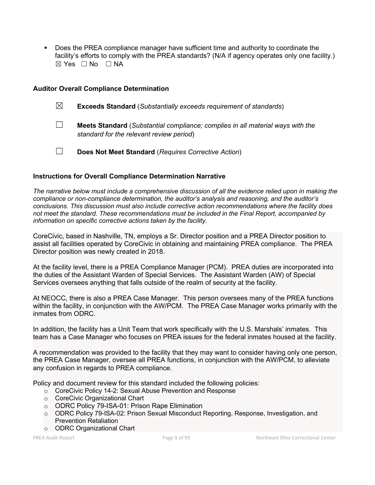Does the PREA compliance manager have sufficient time and authority to coordinate the facility's efforts to comply with the PREA standards? (N/A if agency operates only one facility.) ☒ Yes ☐ No ☐ NA

#### **Auditor Overall Compliance Determination**

| $\boxtimes$ |  |  | <b>Exceeds Standard</b> (Substantially exceeds requirement of standards) |  |
|-------------|--|--|--------------------------------------------------------------------------|--|
|-------------|--|--|--------------------------------------------------------------------------|--|

- ☐ **Meets Standard** (*Substantial compliance; complies in all material ways with the standard for the relevant review period*)
- ☐ **Does Not Meet Standard** (*Requires Corrective Action*)

#### **Instructions for Overall Compliance Determination Narrative**

*The narrative below must include a comprehensive discussion of all the evidence relied upon in making the compliance or non-compliance determination, the auditor's analysis and reasoning, and the auditor's conclusions. This discussion must also include corrective action recommendations where the facility does not meet the standard. These recommendations must be included in the Final Report, accompanied by information on specific corrective actions taken by the facility.*

CoreCivic, based in Nashville, TN, employs a Sr. Director position and a PREA Director position to assist all facilities operated by CoreCivic in obtaining and maintaining PREA compliance. The PREA Director position was newly created in 2018.

At the facility level, there is a PREA Compliance Manager (PCM). PREA duties are incorporated into the duties of the Assistant Warden of Special Services. The Assistant Warden (AW) of Special Services oversees anything that falls outside of the realm of security at the facility.

At NEOCC, there is also a PREA Case Manager. This person oversees many of the PREA functions within the facility, in conjunction with the AW/PCM. The PREA Case Manager works primarily with the inmates from ODRC.

In addition, the facility has a Unit Team that work specifically with the U.S. Marshals' inmates. This team has a Case Manager who focuses on PREA issues for the federal inmates housed at the facility.

A recommendation was provided to the facility that they may want to consider having only one person, the PREA Case Manager, oversee all PREA functions, in conjunction with the AW/PCM, to alleviate any confusion in regards to PREA compliance.

Policy and document review for this standard included the following policies:

- o CoreCivic Policy 14-2: Sexual Abuse Prevention and Response
- o CoreCivic Organizational Chart
- o ODRC Policy 79-ISA-01: Prison Rape Elimination
- o ODRC Policy 79-ISA-02: Prison Sexual Misconduct Reporting, Response, Investigation, and Prevention Retaliation
- o ODRC Organizational Chart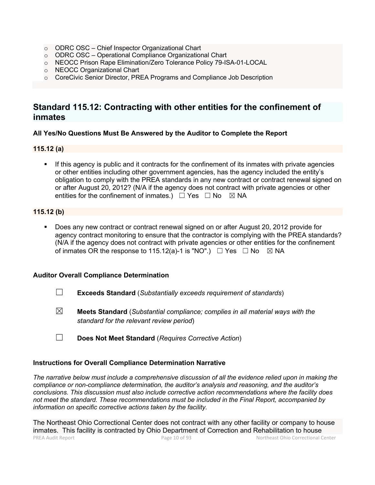- o ODRC OSC Chief Inspector Organizational Chart
- o ODRC OSC Operational Compliance Organizational Chart
- o NEOCC Prison Rape Elimination/Zero Tolerance Policy 79-ISA-01-LOCAL
- o NEOCC Organizational Chart
- o CoreCivic Senior Director, PREA Programs and Compliance Job Description

# **Standard 115.12: Contracting with other entities for the confinement of inmates**

## **All Yes/No Questions Must Be Answered by the Auditor to Complete the Report**

## **115.12 (a)**

 If this agency is public and it contracts for the confinement of its inmates with private agencies or other entities including other government agencies, has the agency included the entity's obligation to comply with the PREA standards in any new contract or contract renewal signed on or after August 20, 2012? (N/A if the agency does not contract with private agencies or other entities for the confinement of inmates.)  $\Box$  Yes  $\Box$  No  $\boxtimes$  NA

## **115.12 (b)**

 Does any new contract or contract renewal signed on or after August 20, 2012 provide for agency contract monitoring to ensure that the contractor is complying with the PREA standards? (N/A if the agency does not contract with private agencies or other entities for the confinement of inmates OR the response to 115.12(a)-1 is "NO".)  $\Box$  Yes  $\Box$  No  $\boxtimes$  NA

## **Auditor Overall Compliance Determination**

- ☐ **Exceeds Standard** (*Substantially exceeds requirement of standards*)
- ☒ **Meets Standard** (*Substantial compliance; complies in all material ways with the standard for the relevant review period*)
- ☐ **Does Not Meet Standard** (*Requires Corrective Action*)

## **Instructions for Overall Compliance Determination Narrative**

*The narrative below must include a comprehensive discussion of all the evidence relied upon in making the compliance or non-compliance determination, the auditor's analysis and reasoning, and the auditor's conclusions. This discussion must also include corrective action recommendations where the facility does not meet the standard. These recommendations must be included in the Final Report, accompanied by information on specific corrective actions taken by the facility.*

PREA Audit Report Page 10 of 93 Northeast Ohio Correctional Center The Northeast Ohio Correctional Center does not contract with any other facility or company to house inmates. This facility is contracted by Ohio Department of Correction and Rehabilitation to house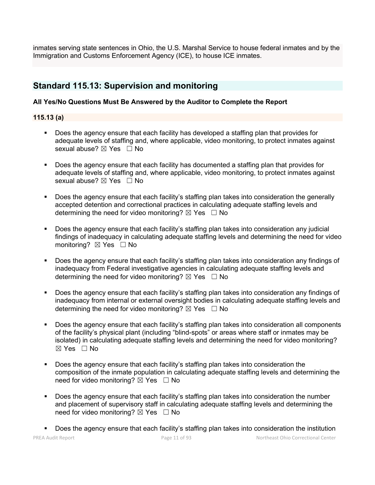inmates serving state sentences in Ohio, the U.S. Marshal Service to house federal inmates and by the Immigration and Customs Enforcement Agency (ICE), to house ICE inmates.

# **Standard 115.13: Supervision and monitoring**

## **All Yes/No Questions Must Be Answered by the Auditor to Complete the Report**

## **115.13 (a)**

- Does the agency ensure that each facility has developed a staffing plan that provides for adequate levels of staffing and, where applicable, video monitoring, to protect inmates against sexual abuse?  $\boxtimes$  Yes  $\Box$  No
- Does the agency ensure that each facility has documented a staffing plan that provides for adequate levels of staffing and, where applicable, video monitoring, to protect inmates against sexual abuse?  $\boxtimes$  Yes  $\Box$  No
- Does the agency ensure that each facility's staffing plan takes into consideration the generally accepted detention and correctional practices in calculating adequate staffing levels and determining the need for video monitoring?  $\boxtimes$  Yes  $\Box$  No
- Does the agency ensure that each facility's staffing plan takes into consideration any judicial findings of inadequacy in calculating adequate staffing levels and determining the need for video monitoring? ⊠ Yes □ No
- Does the agency ensure that each facility's staffing plan takes into consideration any findings of inadequacy from Federal investigative agencies in calculating adequate staffing levels and determining the need for video monitoring?  $\boxtimes$  Yes  $\Box$  No
- Does the agency ensure that each facility's staffing plan takes into consideration any findings of inadequacy from internal or external oversight bodies in calculating adequate staffing levels and determining the need for video monitoring?  $\boxtimes$  Yes  $\Box$  No
- Does the agency ensure that each facility's staffing plan takes into consideration all components of the facility's physical plant (including "blind-spots" or areas where staff or inmates may be isolated) in calculating adequate staffing levels and determining the need for video monitoring?  $\boxtimes$  Yes  $\Box$  No
- Does the agency ensure that each facility's staffing plan takes into consideration the composition of the inmate population in calculating adequate staffing levels and determining the need for video monitoring?  $\boxtimes$  Yes  $\Box$  No
- Does the agency ensure that each facility's staffing plan takes into consideration the number and placement of supervisory staff in calculating adequate staffing levels and determining the need for video monitoring?  $\boxtimes$  Yes  $\Box$  No
- Does the agency ensure that each facility's staffing plan takes into consideration the institution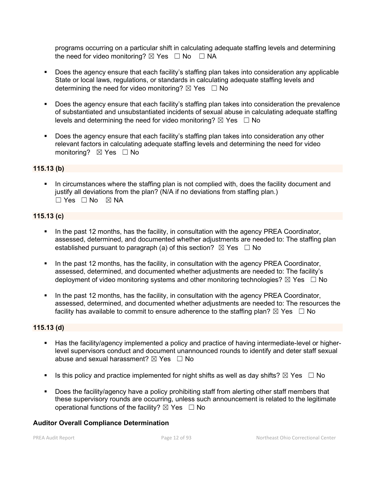programs occurring on a particular shift in calculating adequate staffing levels and determining the need for video monitoring?  $\boxtimes$  Yes  $\Box$  No  $\Box$  NA

- Does the agency ensure that each facility's staffing plan takes into consideration any applicable State or local laws, regulations, or standards in calculating adequate staffing levels and determining the need for video monitoring?  $\boxtimes$  Yes  $\Box$  No
- **Does the agency ensure that each facility's staffing plan takes into consideration the prevalence** of substantiated and unsubstantiated incidents of sexual abuse in calculating adequate staffing levels and determining the need for video monitoring?  $\boxtimes$  Yes  $\Box$  No
- Does the agency ensure that each facility's staffing plan takes into consideration any other relevant factors in calculating adequate staffing levels and determining the need for video monitoring? ⊠ Yes □ No

## **115.13 (b)**

 In circumstances where the staffing plan is not complied with, does the facility document and justify all deviations from the plan? (N/A if no deviations from staffing plan.) ☐ Yes ☐ No ☒ NA

#### **115.13 (c)**

- In the past 12 months, has the facility, in consultation with the agency PREA Coordinator, assessed, determined, and documented whether adjustments are needed to: The staffing plan established pursuant to paragraph (a) of this section?  $\boxtimes$  Yes  $\Box$  No
- In the past 12 months, has the facility, in consultation with the agency PREA Coordinator, assessed, determined, and documented whether adjustments are needed to: The facility's deployment of video monitoring systems and other monitoring technologies?  $\boxtimes$  Yes  $\Box$  No
- In the past 12 months, has the facility, in consultation with the agency PREA Coordinator, assessed, determined, and documented whether adjustments are needed to: The resources the facility has available to commit to ensure adherence to the staffing plan?  $\boxtimes$  Yes  $\Box$  No

#### **115.13 (d)**

- Has the facility/agency implemented a policy and practice of having intermediate-level or higherlevel supervisors conduct and document unannounced rounds to identify and deter staff sexual abuse and sexual harassment?  $\boxtimes$  Yes  $\Box$  No
- Is this policy and practice implemented for night shifts as well as day shifts?  $\boxtimes$  Yes  $\Box$  No
- Does the facility/agency have a policy prohibiting staff from alerting other staff members that these supervisory rounds are occurring, unless such announcement is related to the legitimate operational functions of the facility?  $\boxtimes$  Yes  $\Box$  No

#### **Auditor Overall Compliance Determination**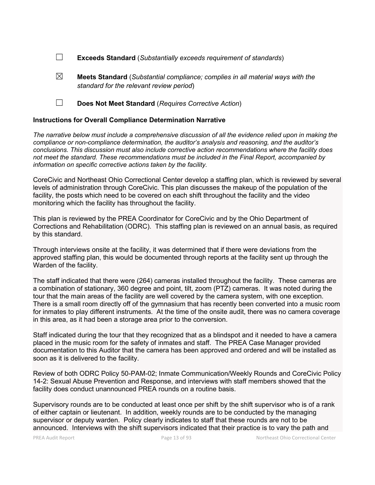- ☐ **Exceeds Standard** (*Substantially exceeds requirement of standards*)
- ☒ **Meets Standard** (*Substantial compliance; complies in all material ways with the standard for the relevant review period*)
- ☐ **Does Not Meet Standard** (*Requires Corrective Action*)

#### **Instructions for Overall Compliance Determination Narrative**

*The narrative below must include a comprehensive discussion of all the evidence relied upon in making the compliance or non-compliance determination, the auditor's analysis and reasoning, and the auditor's conclusions. This discussion must also include corrective action recommendations where the facility does not meet the standard. These recommendations must be included in the Final Report, accompanied by information on specific corrective actions taken by the facility.*

CoreCivic and Northeast Ohio Correctional Center develop a staffing plan, which is reviewed by several levels of administration through CoreCivic. This plan discusses the makeup of the population of the facility, the posts which need to be covered on each shift throughout the facility and the video monitoring which the facility has throughout the facility.

This plan is reviewed by the PREA Coordinator for CoreCivic and by the Ohio Department of Corrections and Rehabilitation (ODRC). This staffing plan is reviewed on an annual basis, as required by this standard.

Through interviews onsite at the facility, it was determined that if there were deviations from the approved staffing plan, this would be documented through reports at the facility sent up through the Warden of the facility.

The staff indicated that there were (264) cameras installed throughout the facility. These cameras are a combination of stationary, 360 degree and point, tilt, zoom (PTZ) cameras. It was noted during the tour that the main areas of the facility are well covered by the camera system, with one exception. There is a small room directly off of the gymnasium that has recently been converted into a music room for inmates to play different instruments. At the time of the onsite audit, there was no camera coverage in this area, as it had been a storage area prior to the conversion.

Staff indicated during the tour that they recognized that as a blindspot and it needed to have a camera placed in the music room for the safety of inmates and staff. The PREA Case Manager provided documentation to this Auditor that the camera has been approved and ordered and will be installed as soon as it is delivered to the facility.

Review of both ODRC Policy 50-PAM-02; Inmate Communication/Weekly Rounds and CoreCivic Policy 14-2: Sexual Abuse Prevention and Response, and interviews with staff members showed that the facility does conduct unannounced PREA rounds on a routine basis.

Supervisory rounds are to be conducted at least once per shift by the shift supervisor who is of a rank of either captain or lieutenant. In addition, weekly rounds are to be conducted by the managing supervisor or deputy warden. Policy clearly indicates to staff that these rounds are not to be announced. Interviews with the shift supervisors indicated that their practice is to vary the path and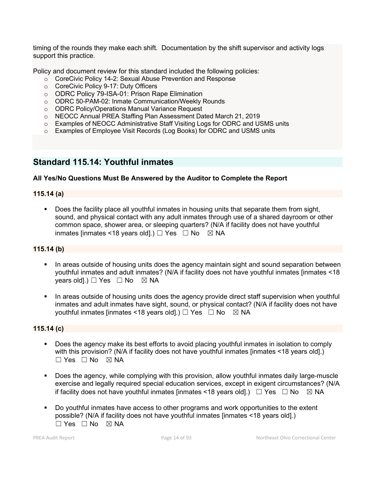timing of the rounds they make each shift. Documentation by the shift supervisor and activity logs support this practice.

Policy and document review for this standard included the following policies:

- o CoreCivic Policy 14-2: Sexual Abuse Prevention and Response
- o CoreCivic Policy 9-17: Duty Officers
- o ODRC Policy 79-ISA-01: Prison Rape Elimination
- o ODRC 50-PAM-02: Inmate Communication/Weekly Rounds
- o ODRC Policy/Operations Manual Variance Request
- o NEOCC Annual PREA Staffing Plan Assessment Dated March 21, 2019
- o Examples of NEOCC Administrative Staff Visiting Logs for ODRC and USMS units
- o Examples of Employee Visit Records (Log Books) for ODRC and USMS units

# **Standard 115.14: Youthful inmates**

## **All Yes/No Questions Must Be Answered by the Auditor to Complete the Report**

#### **115.14 (a)**

Does the facility place all youthful inmates in housing units that separate them from sight, sound, and physical contact with any adult inmates through use of a shared dayroom or other common space, shower area, or sleeping quarters? (N/A if facility does not have youthful inmates [inmates <18 years old].)  $\Box$  Yes  $\Box$  No  $\boxtimes$  NA

## **115.14 (b)**

- In areas outside of housing units does the agency maintain sight and sound separation between youthful inmates and adult inmates? (N/A if facility does not have youthful inmates [inmates <18 years old].)  $\Box$  Yes  $\Box$  No  $\boxtimes$  NA
- In areas outside of housing units does the agency provide direct staff supervision when youthful inmates and adult inmates have sight, sound, or physical contact? (N/A if facility does not have youthful inmates [inmates <18 years old].)  $\Box$  Yes  $\Box$  No  $\boxtimes$  NA

## **115.14 (c)**

- Does the agency make its best efforts to avoid placing youthful inmates in isolation to comply with this provision? (N/A if facility does not have youthful inmates [inmates <18 years old].)  $\square$  Yes  $\square$  No  $\square$  NA
- Does the agency, while complying with this provision, allow youthful inmates daily large-muscle exercise and legally required special education services, except in exigent circumstances? (N/A if facility does not have youthful inmates [inmates <18 years old].)  $\Box$  Yes  $\Box$  No  $\boxtimes$  NA
- Do youthful inmates have access to other programs and work opportunities to the extent possible? (N/A if facility does not have youthful inmates [inmates <18 years old].)  $\Box$  Yes  $\Box$  No  $\boxtimes$  NA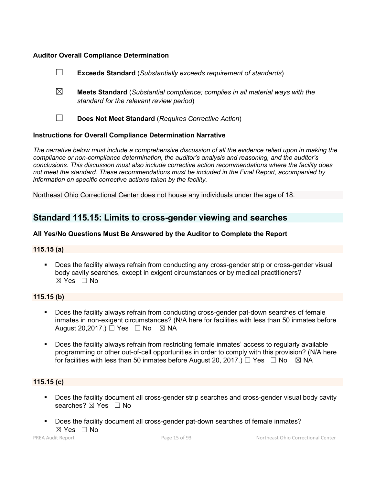## **Auditor Overall Compliance Determination**

|                                                                    | <b>Exceeds Standard (Substantially exceeds requirement of standards)</b>                                                          |  |
|--------------------------------------------------------------------|-----------------------------------------------------------------------------------------------------------------------------------|--|
| ⊠                                                                  | <b>Meets Standard</b> (Substantial compliance; complies in all material ways with the<br>standard for the relevant review period) |  |
|                                                                    | Does Not Meet Standard (Requires Corrective Action)                                                                               |  |
| <b>Instructions for Overall Compliance Determination Narrative</b> |                                                                                                                                   |  |

#### *The narrative below must include a comprehensive discussion of all the evidence relied upon in making the compliance or non-compliance determination, the auditor's analysis and reasoning, and the auditor's conclusions. This discussion must also include corrective action recommendations where the facility does not meet the standard. These recommendations must be included in the Final Report, accompanied by information on specific corrective actions taken by the facility.*

Northeast Ohio Correctional Center does not house any individuals under the age of 18.

# **Standard 115.15: Limits to cross-gender viewing and searches**

## **All Yes/No Questions Must Be Answered by the Auditor to Complete the Report**

## **115.15 (a)**

 Does the facility always refrain from conducting any cross-gender strip or cross-gender visual body cavity searches, except in exigent circumstances or by medical practitioners? ☒ Yes ☐ No

## **115.15 (b)**

- Does the facility always refrain from conducting cross-gender pat-down searches of female inmates in non-exigent circumstances? (N/A here for facilities with less than 50 inmates before August 20,2017.)  $\Box$  Yes  $\Box$  No  $\boxtimes$  NA
- Does the facility always refrain from restricting female inmates' access to regularly available programming or other out-of-cell opportunities in order to comply with this provision? (N/A here for facilities with less than 50 inmates before August 20, 2017.)  $\Box$  Yes  $\Box$  No  $\boxtimes$  NA

## **115.15 (c)**

- Does the facility document all cross-gender strip searches and cross-gender visual body cavity searches? ⊠ Yes □ No
- Does the facility document all cross-gender pat-down searches of female inmates? ☒ Yes ☐ No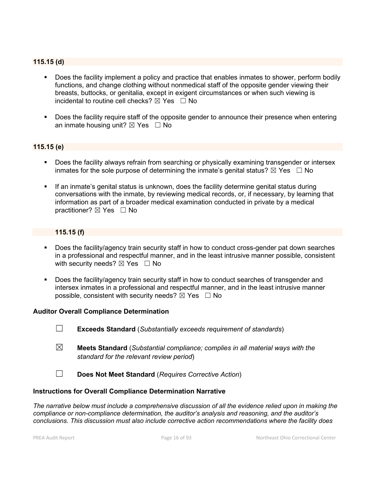## **115.15 (d)**

- Does the facility implement a policy and practice that enables inmates to shower, perform bodily functions, and change clothing without nonmedical staff of the opposite gender viewing their breasts, buttocks, or genitalia, except in exigent circumstances or when such viewing is incidental to routine cell checks?  $\boxtimes$  Yes  $\Box$  No
- **Does the facility require staff of the opposite gender to announce their presence when entering** an inmate housing unit?  $\boxtimes$  Yes  $\Box$  No

## **115.15 (e)**

- Does the facility always refrain from searching or physically examining transgender or intersex inmates for the sole purpose of determining the inmate's genital status?  $\boxtimes$  Yes  $\Box$  No
- If an inmate's genital status is unknown, does the facility determine genital status during conversations with the inmate, by reviewing medical records, or, if necessary, by learning that information as part of a broader medical examination conducted in private by a medical practitioner?  $\boxtimes$  Yes  $\Box$  No

## **115.15 (f)**

- Does the facility/agency train security staff in how to conduct cross-gender pat down searches in a professional and respectful manner, and in the least intrusive manner possible, consistent with security needs?  $\boxtimes$  Yes  $\Box$  No
- Does the facility/agency train security staff in how to conduct searches of transgender and intersex inmates in a professional and respectful manner, and in the least intrusive manner possible, consistent with security needs?  $\boxtimes$  Yes  $\Box$  No

#### **Auditor Overall Compliance Determination**

- ☐ **Exceeds Standard** (*Substantially exceeds requirement of standards*)
- ☒ **Meets Standard** (*Substantial compliance; complies in all material ways with the standard for the relevant review period*)
- ☐ **Does Not Meet Standard** (*Requires Corrective Action*)

#### **Instructions for Overall Compliance Determination Narrative**

*The narrative below must include a comprehensive discussion of all the evidence relied upon in making the compliance or non-compliance determination, the auditor's analysis and reasoning, and the auditor's conclusions. This discussion must also include corrective action recommendations where the facility does*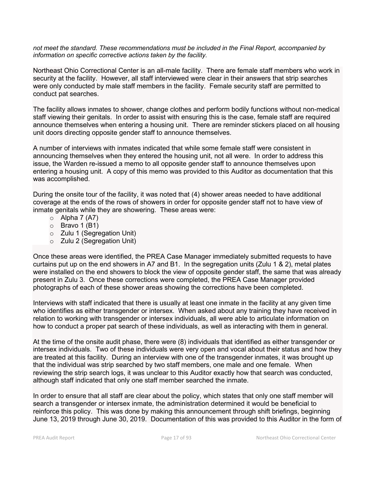*not meet the standard. These recommendations must be included in the Final Report, accompanied by information on specific corrective actions taken by the facility.*

Northeast Ohio Correctional Center is an all-male facility. There are female staff members who work in security at the facility. However, all staff interviewed were clear in their answers that strip searches were only conducted by male staff members in the facility. Female security staff are permitted to conduct pat searches.

The facility allows inmates to shower, change clothes and perform bodily functions without non-medical staff viewing their genitals. In order to assist with ensuring this is the case, female staff are required announce themselves when entering a housing unit. There are reminder stickers placed on all housing unit doors directing opposite gender staff to announce themselves.

A number of interviews with inmates indicated that while some female staff were consistent in announcing themselves when they entered the housing unit, not all were. In order to address this issue, the Warden re-issued a memo to all opposite gender staff to announce themselves upon entering a housing unit. A copy of this memo was provided to this Auditor as documentation that this was accomplished.

During the onsite tour of the facility, it was noted that (4) shower areas needed to have additional coverage at the ends of the rows of showers in order for opposite gender staff not to have view of inmate genitals while they are showering. These areas were:

- $\circ$  Alpha 7 (A7)
- $\circ$  Bravo 1 (B1)
- o Zulu 1 (Segregation Unit)
- o Zulu 2 (Segregation Unit)

Once these areas were identified, the PREA Case Manager immediately submitted requests to have curtains put up on the end showers in A7 and B1. In the segregation units (Zulu 1 & 2), metal plates were installed on the end showers to block the view of opposite gender staff, the same that was already present in Zulu 3. Once these corrections were completed, the PREA Case Manager provided photographs of each of these shower areas showing the corrections have been completed.

Interviews with staff indicated that there is usually at least one inmate in the facility at any given time who identifies as either transgender or intersex. When asked about any training they have received in relation to working with transgender or intersex individuals, all were able to articulate information on how to conduct a proper pat search of these individuals, as well as interacting with them in general.

At the time of the onsite audit phase, there were (8) individuals that identified as either transgender or intersex individuals. Two of these individuals were very open and vocal about their status and how they are treated at this facility. During an interview with one of the transgender inmates, it was brought up that the individual was strip searched by two staff members, one male and one female. When reviewing the strip search logs, it was unclear to this Auditor exactly how that search was conducted, although staff indicated that only one staff member searched the inmate.

In order to ensure that all staff are clear about the policy, which states that only one staff member will search a transgender or intersex inmate, the administration determined it would be beneficial to reinforce this policy. This was done by making this announcement through shift briefings, beginning June 13, 2019 through June 30, 2019. Documentation of this was provided to this Auditor in the form of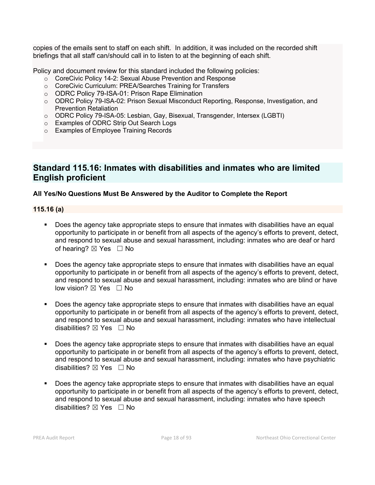copies of the emails sent to staff on each shift. In addition, it was included on the recorded shift briefings that all staff can/should call in to listen to at the beginning of each shift.

Policy and document review for this standard included the following policies:

- o CoreCivic Policy 14-2: Sexual Abuse Prevention and Response
- o CoreCivic Curriculum: PREA/Searches Training for Transfers
- o ODRC Policy 79-ISA-01: Prison Rape Elimination
- o ODRC Policy 79-ISA-02: Prison Sexual Misconduct Reporting, Response, Investigation, and Prevention Retaliation
- o ODRC Policy 79-ISA-05: Lesbian, Gay, Bisexual, Transgender, Intersex (LGBTI)
- o Examples of ODRC Strip Out Search Logs
- o Examples of Employee Training Records

# **Standard 115.16: Inmates with disabilities and inmates who are limited English proficient**

## **All Yes/No Questions Must Be Answered by the Auditor to Complete the Report**

#### **115.16 (a)**

- Does the agency take appropriate steps to ensure that inmates with disabilities have an equal opportunity to participate in or benefit from all aspects of the agency's efforts to prevent, detect, and respond to sexual abuse and sexual harassment, including: inmates who are deaf or hard of hearing?  $\boxtimes$  Yes  $\Box$  No
- Does the agency take appropriate steps to ensure that inmates with disabilities have an equal opportunity to participate in or benefit from all aspects of the agency's efforts to prevent, detect, and respond to sexual abuse and sexual harassment, including: inmates who are blind or have low vision?  $\boxtimes$  Yes  $\Box$  No
- Does the agency take appropriate steps to ensure that inmates with disabilities have an equal opportunity to participate in or benefit from all aspects of the agency's efforts to prevent, detect, and respond to sexual abuse and sexual harassment, including: inmates who have intellectual disabilities?  $\boxtimes$  Yes  $\Box$  No
- Does the agency take appropriate steps to ensure that inmates with disabilities have an equal opportunity to participate in or benefit from all aspects of the agency's efforts to prevent, detect, and respond to sexual abuse and sexual harassment, including: inmates who have psychiatric disabilities?  $\boxtimes$  Yes  $\Box$  No
- Does the agency take appropriate steps to ensure that inmates with disabilities have an equal opportunity to participate in or benefit from all aspects of the agency's efforts to prevent, detect, and respond to sexual abuse and sexual harassment, including: inmates who have speech disabilities?  $\boxtimes$  Yes  $\Box$  No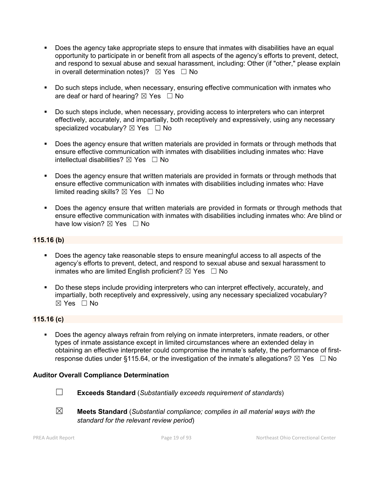- Does the agency take appropriate steps to ensure that inmates with disabilities have an equal opportunity to participate in or benefit from all aspects of the agency's efforts to prevent, detect, and respond to sexual abuse and sexual harassment, including: Other (if "other," please explain in overall determination notes)?  $\boxtimes$  Yes  $\Box$  No
- Do such steps include, when necessary, ensuring effective communication with inmates who are deaf or hard of hearing?  $\boxtimes$  Yes  $\Box$  No
- Do such steps include, when necessary, providing access to interpreters who can interpret effectively, accurately, and impartially, both receptively and expressively, using any necessary specialized vocabulary?  $\boxtimes$  Yes  $\Box$  No
- Does the agency ensure that written materials are provided in formats or through methods that ensure effective communication with inmates with disabilities including inmates who: Have intellectual disabilities?  $\nabla$  Yes  $\Box$  No
- Does the agency ensure that written materials are provided in formats or through methods that ensure effective communication with inmates with disabilities including inmates who: Have limited reading skills?  $\boxtimes$  Yes  $\Box$  No
- Does the agency ensure that written materials are provided in formats or through methods that ensure effective communication with inmates with disabilities including inmates who: Are blind or have low vision?  $\boxtimes$  Yes  $\Box$  No

## **115.16 (b)**

- Does the agency take reasonable steps to ensure meaningful access to all aspects of the agency's efforts to prevent, detect, and respond to sexual abuse and sexual harassment to inmates who are limited English proficient?  $\boxtimes$  Yes  $\Box$  No
- Do these steps include providing interpreters who can interpret effectively, accurately, and impartially, both receptively and expressively, using any necessary specialized vocabulary? ☒ Yes ☐ No

## **115.16 (c)**

 Does the agency always refrain from relying on inmate interpreters, inmate readers, or other types of inmate assistance except in limited circumstances where an extended delay in obtaining an effective interpreter could compromise the inmate's safety, the performance of firstresponse duties under §115.64, or the investigation of the inmate's allegations?  $\boxtimes$  Yes  $\Box$  No

## **Auditor Overall Compliance Determination**



- ☐ **Exceeds Standard** (*Substantially exceeds requirement of standards*)
- ☒ **Meets Standard** (*Substantial compliance; complies in all material ways with the standard for the relevant review period*)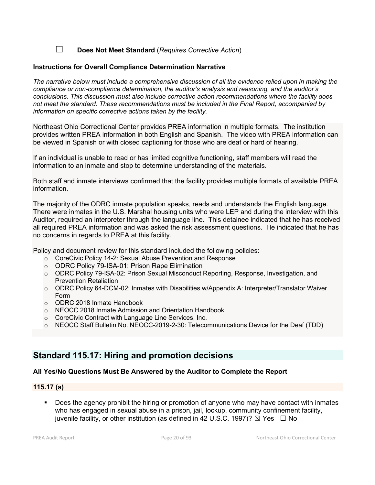☐ **Does Not Meet Standard** (*Requires Corrective Action*)

#### **Instructions for Overall Compliance Determination Narrative**

*The narrative below must include a comprehensive discussion of all the evidence relied upon in making the compliance or non-compliance determination, the auditor's analysis and reasoning, and the auditor's conclusions. This discussion must also include corrective action recommendations where the facility does not meet the standard. These recommendations must be included in the Final Report, accompanied by information on specific corrective actions taken by the facility.*

Northeast Ohio Correctional Center provides PREA information in multiple formats. The institution provides written PREA information in both English and Spanish. The video with PREA information can be viewed in Spanish or with closed captioning for those who are deaf or hard of hearing.

If an individual is unable to read or has limited cognitive functioning, staff members will read the information to an inmate and stop to determine understanding of the materials.

Both staff and inmate interviews confirmed that the facility provides multiple formats of available PREA information.

The majority of the ODRC inmate population speaks, reads and understands the English language. There were inmates in the U.S. Marshal housing units who were LEP and during the interview with this Auditor, required an interpreter through the language line. This detainee indicated that he has received all required PREA information and was asked the risk assessment questions. He indicated that he has no concerns in regards to PREA at this facility.

Policy and document review for this standard included the following policies:

- o CoreCivic Policy 14-2: Sexual Abuse Prevention and Response
- o ODRC Policy 79-ISA-01: Prison Rape Elimination
- o ODRC Policy 79-ISA-02: Prison Sexual Misconduct Reporting, Response, Investigation, and Prevention Retaliation
- $\circ$  ODRC Policy 64-DCM-02: Inmates with Disabilities w/Appendix A: Interpreter/Translator Waiver Form
- o ODRC 2018 Inmate Handbook
- o NEOCC 2018 Inmate Admission and Orientation Handbook
- o CoreCivic Contract with Language Line Services, Inc.
- o NEOCC Staff Bulletin No. NEOCC-2019-2-30: Telecommunications Device for the Deaf (TDD)

# **Standard 115.17: Hiring and promotion decisions**

## **All Yes/No Questions Must Be Answered by the Auditor to Complete the Report**

## **115.17 (a)**

 Does the agency prohibit the hiring or promotion of anyone who may have contact with inmates who has engaged in sexual abuse in a prison, jail, lockup, community confinement facility, juvenile facility, or other institution (as defined in 42 U.S.C. 1997)?  $\boxtimes$  Yes  $\Box$  No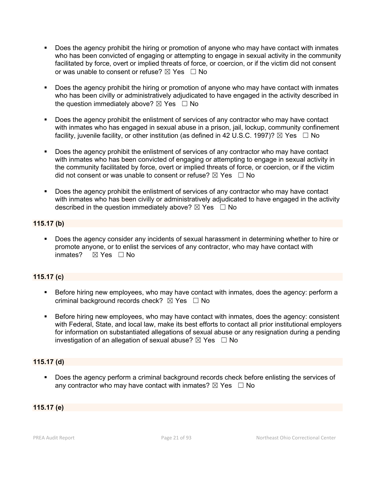- Does the agency prohibit the hiring or promotion of anyone who may have contact with inmates who has been convicted of engaging or attempting to engage in sexual activity in the community facilitated by force, overt or implied threats of force, or coercion, or if the victim did not consent or was unable to consent or refuse?  $\boxtimes$  Yes  $\Box$  No
- Does the agency prohibit the hiring or promotion of anyone who may have contact with inmates who has been civilly or administratively adjudicated to have engaged in the activity described in the question immediately above?  $\boxtimes$  Yes  $\Box$  No
- Does the agency prohibit the enlistment of services of any contractor who may have contact with inmates who has engaged in sexual abuse in a prison, jail, lockup, community confinement facility, juvenile facility, or other institution (as defined in 42 U.S.C. 1997)?  $\boxtimes$  Yes  $\Box$  No
- Does the agency prohibit the enlistment of services of any contractor who may have contact with inmates who has been convicted of engaging or attempting to engage in sexual activity in the community facilitated by force, overt or implied threats of force, or coercion, or if the victim did not consent or was unable to consent or refuse?  $\boxtimes$  Yes  $\Box$  No
- Does the agency prohibit the enlistment of services of any contractor who may have contact with inmates who has been civilly or administratively adjudicated to have engaged in the activity described in the question immediately above?  $\boxtimes$  Yes  $\Box$  No

# **115.17 (b)**

 Does the agency consider any incidents of sexual harassment in determining whether to hire or promote anyone, or to enlist the services of any contractor, who may have contact with inmates?  $\boxtimes$  Yes  $\Box$  No

# **115.17 (c)**

- Before hiring new employees, who may have contact with inmates, does the agency: perform a criminal background records check?  $\boxtimes$  Yes  $\Box$  No
- Before hiring new employees, who may have contact with inmates, does the agency: consistent with Federal, State, and local law, make its best efforts to contact all prior institutional employers for information on substantiated allegations of sexual abuse or any resignation during a pending investigation of an allegation of sexual abuse?  $\boxtimes$  Yes  $\Box$  No

## **115.17 (d)**

Does the agency perform a criminal background records check before enlisting the services of any contractor who may have contact with inmates?  $\boxtimes$  Yes  $\Box$  No

#### **115.17 (e)**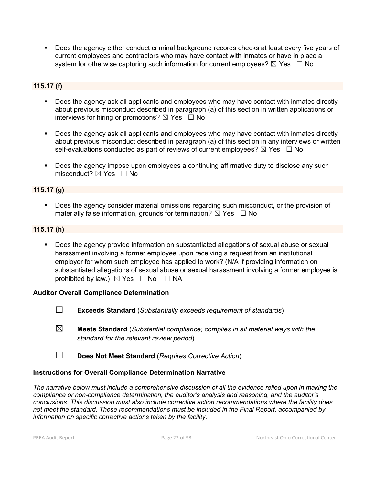Does the agency either conduct criminal background records checks at least every five years of current employees and contractors who may have contact with inmates or have in place a system for otherwise capturing such information for current employees?  $\boxtimes$  Yes  $\Box$  No

# **115.17 (f)**

- Does the agency ask all applicants and employees who may have contact with inmates directly about previous misconduct described in paragraph (a) of this section in written applications or interviews for hiring or promotions?  $\boxtimes$  Yes  $\Box$  No
- Does the agency ask all applicants and employees who may have contact with inmates directly about previous misconduct described in paragraph (a) of this section in any interviews or written self-evaluations conducted as part of reviews of current employees?  $\boxtimes$  Yes  $\Box$  No
- Does the agency impose upon employees a continuing affirmative duty to disclose any such misconduct?  $\boxtimes$  Yes  $\Box$  No

#### **115.17 (g)**

 Does the agency consider material omissions regarding such misconduct, or the provision of materially false information, grounds for termination?  $\boxtimes$  Yes  $\Box$  No

#### **115.17 (h)**

 Does the agency provide information on substantiated allegations of sexual abuse or sexual harassment involving a former employee upon receiving a request from an institutional employer for whom such employee has applied to work? (N/A if providing information on substantiated allegations of sexual abuse or sexual harassment involving a former employee is prohibited by law.)  $\boxtimes$  Yes  $\Box$  No  $\Box$  NA

## **Auditor Overall Compliance Determination**

- ☐ **Exceeds Standard** (*Substantially exceeds requirement of standards*)
- ☒ **Meets Standard** (*Substantial compliance; complies in all material ways with the standard for the relevant review period*)
- ☐ **Does Not Meet Standard** (*Requires Corrective Action*)

## **Instructions for Overall Compliance Determination Narrative**

*The narrative below must include a comprehensive discussion of all the evidence relied upon in making the compliance or non-compliance determination, the auditor's analysis and reasoning, and the auditor's conclusions. This discussion must also include corrective action recommendations where the facility does not meet the standard. These recommendations must be included in the Final Report, accompanied by information on specific corrective actions taken by the facility.*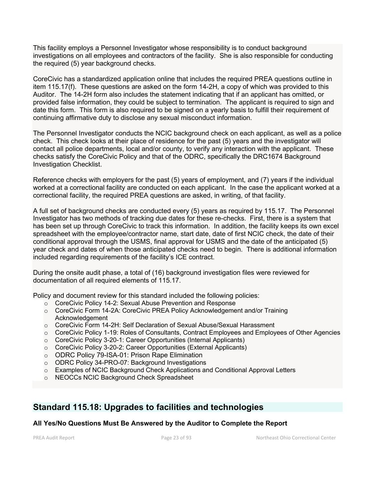This facility employs a Personnel Investigator whose responsibility is to conduct background investigations on all employees and contractors of the facility. She is also responsible for conducting the required (5) year background checks.

CoreCivic has a standardized application online that includes the required PREA questions outline in item 115.17(f). These questions are asked on the form 14-2H, a copy of which was provided to this Auditor. The 14-2H form also includes the statement indicating that if an applicant has omitted, or provided false information, they could be subject to termination. The applicant is required to sign and date this form. This form is also required to be signed on a yearly basis to fulfill their requirement of continuing affirmative duty to disclose any sexual misconduct information.

The Personnel Investigator conducts the NCIC background check on each applicant, as well as a police check. This check looks at their place of residence for the past (5) years and the investigator will contact all police departments, local and/or county, to verify any interaction with the applicant. These checks satisfy the CoreCivic Policy and that of the ODRC, specifically the DRC1674 Background Investigation Checklist.

Reference checks with employers for the past (5) years of employment, and (7) years if the individual worked at a correctional facility are conducted on each applicant. In the case the applicant worked at a correctional facility, the required PREA questions are asked, in writing, of that facility.

A full set of background checks are conducted every (5) years as required by 115.17. The Personnel Investigator has two methods of tracking due dates for these re-checks. First, there is a system that has been set up through CoreCivic to track this information. In addition, the facility keeps its own excel spreadsheet with the employee/contractor name, start date, date of first NCIC check, the date of their conditional approval through the USMS, final approval for USMS and the date of the anticipated (5) year check and dates of when those anticipated checks need to begin. There is additional information included regarding requirements of the facility's ICE contract.

During the onsite audit phase, a total of (16) background investigation files were reviewed for documentation of all required elements of 115.17.

Policy and document review for this standard included the following policies:

- o CoreCivic Policy 14-2: Sexual Abuse Prevention and Response
- o CoreCivic Form 14-2A: CoreCivic PREA Policy Acknowledgement and/or Training Acknowledgement
- o CoreCivic Form 14-2H: Self Declaration of Sexual Abuse/Sexual Harassment
- o CoreCivic Policy 1-19: Roles of Consultants, Contract Employees and Employees of Other Agencies
- o CoreCivic Policy 3-20-1: Career Opportunities (Internal Applicants)
- o CoreCivic Policy 3-20-2: Career Opportunities (External Applicants)
- o ODRC Policy 79-ISA-01: Prison Rape Elimination
- o ODRC Policy 34-PRO-07: Background Investigations
- o Examples of NCIC Background Check Applications and Conditional Approval Letters
- o NEOCCs NCIC Background Check Spreadsheet

# **Standard 115.18: Upgrades to facilities and technologies**

## **All Yes/No Questions Must Be Answered by the Auditor to Complete the Report**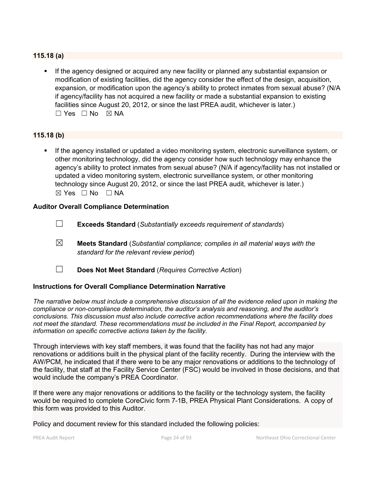## **115.18 (a)**

 If the agency designed or acquired any new facility or planned any substantial expansion or modification of existing facilities, did the agency consider the effect of the design, acquisition, expansion, or modification upon the agency's ability to protect inmates from sexual abuse? (N/A if agency/facility has not acquired a new facility or made a substantial expansion to existing facilities since August 20, 2012, or since the last PREA audit, whichever is later.)  $\Box$  Yes  $\Box$  No  $\boxtimes$  NA

## **115.18 (b)**

 If the agency installed or updated a video monitoring system, electronic surveillance system, or other monitoring technology, did the agency consider how such technology may enhance the agency's ability to protect inmates from sexual abuse? (N/A if agency/facility has not installed or updated a video monitoring system, electronic surveillance system, or other monitoring technology since August 20, 2012, or since the last PREA audit, whichever is later.)  $\boxtimes$  Yes  $\Box$  No  $\Box$  NA

#### **Auditor Overall Compliance Determination**

- ☐ **Exceeds Standard** (*Substantially exceeds requirement of standards*)
- ☒ **Meets Standard** (*Substantial compliance; complies in all material ways with the standard for the relevant review period*)
- ☐ **Does Not Meet Standard** (*Requires Corrective Action*)

## **Instructions for Overall Compliance Determination Narrative**

*The narrative below must include a comprehensive discussion of all the evidence relied upon in making the compliance or non-compliance determination, the auditor's analysis and reasoning, and the auditor's conclusions. This discussion must also include corrective action recommendations where the facility does not meet the standard. These recommendations must be included in the Final Report, accompanied by information on specific corrective actions taken by the facility.*

Through interviews with key staff members, it was found that the facility has not had any major renovations or additions built in the physical plant of the facility recently. During the interview with the AW/PCM, he indicated that if there were to be any major renovations or additions to the technology of the facility, that staff at the Facility Service Center (FSC) would be involved in those decisions, and that would include the company's PREA Coordinator.

If there were any major renovations or additions to the facility or the technology system, the facility would be required to complete CoreCivic form 7-1B, PREA Physical Plant Considerations. A copy of this form was provided to this Auditor.

Policy and document review for this standard included the following policies: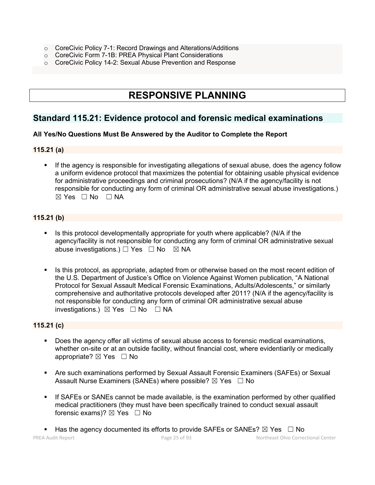- o CoreCivic Policy 7-1: Record Drawings and Alterations/Additions
- o CoreCivic Form 7-1B: PREA Physical Plant Considerations
- o CoreCivic Policy 14-2: Sexual Abuse Prevention and Response

# **RESPONSIVE PLANNING**

# **Standard 115.21: Evidence protocol and forensic medical examinations**

## **All Yes/No Questions Must Be Answered by the Auditor to Complete the Report**

## **115.21 (a)**

 If the agency is responsible for investigating allegations of sexual abuse, does the agency follow a uniform evidence protocol that maximizes the potential for obtaining usable physical evidence for administrative proceedings and criminal prosecutions? (N/A if the agency/facility is not responsible for conducting any form of criminal OR administrative sexual abuse investigations.)  $\boxtimes$  Yes  $\Box$  No  $\Box$  NA

# **115.21 (b)**

- Is this protocol developmentally appropriate for youth where applicable? ( $N/A$  if the agency/facility is not responsible for conducting any form of criminal OR administrative sexual abuse investigations.)  $\Box$  Yes  $\Box$  No  $\boxtimes$  NA
- Is this protocol, as appropriate, adapted from or otherwise based on the most recent edition of the U.S. Department of Justice's Office on Violence Against Women publication, "A National Protocol for Sexual Assault Medical Forensic Examinations, Adults/Adolescents," or similarly comprehensive and authoritative protocols developed after 2011? (N/A if the agency/facility is not responsible for conducting any form of criminal OR administrative sexual abuse investigations.)  $\boxtimes$  Yes  $\Box$  No  $\Box$  NA

## **115.21 (c)**

- Does the agency offer all victims of sexual abuse access to forensic medical examinations, whether on-site or at an outside facility, without financial cost, where evidentiarily or medically appropriate?  $\boxtimes$  Yes  $\Box$  No
- Are such examinations performed by Sexual Assault Forensic Examiners (SAFEs) or Sexual Assault Nurse Examiners (SANEs) where possible?  $\boxtimes$  Yes  $\Box$  No
- If SAFEs or SANEs cannot be made available, is the examination performed by other qualified medical practitioners (they must have been specifically trained to conduct sexual assault forensic exams)?  $\boxtimes$  Yes  $\Box$  No

PREA Audit Report Page 25 of 93 Northeast Ohio Correctional Center Has the agency documented its efforts to provide SAFEs or SANEs?  $\boxtimes$  Yes  $\Box$  No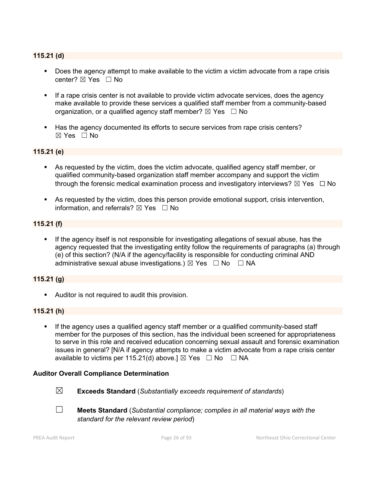# **115.21 (d)**

- Does the agency attempt to make available to the victim a victim advocate from a rape crisis center?  $\boxtimes$  Yes  $\Box$  No
- **If a rape crisis center is not available to provide victim advocate services, does the agency** make available to provide these services a qualified staff member from a community-based organization, or a qualified agency staff member?  $\boxtimes$  Yes  $\Box$  No
- Has the agency documented its efforts to secure services from rape crisis centers?  $\boxtimes$  Yes  $\Box$  No

## **115.21 (e)**

- As requested by the victim, does the victim advocate, qualified agency staff member, or qualified community-based organization staff member accompany and support the victim through the forensic medical examination process and investigatory interviews?  $\boxtimes$  Yes  $\Box$  No
- As requested by the victim, does this person provide emotional support, crisis intervention, information, and referrals?  $\boxtimes$  Yes  $\Box$  No

#### **115.21 (f)**

 If the agency itself is not responsible for investigating allegations of sexual abuse, has the agency requested that the investigating entity follow the requirements of paragraphs (a) through (e) of this section? (N/A if the agency/facility is responsible for conducting criminal AND administrative sexual abuse investigations.)  $\boxtimes$  Yes  $\Box$  No  $\Box$  NA

## **115.21 (g)**

Auditor is not required to audit this provision.

#### **115.21 (h)**

 If the agency uses a qualified agency staff member or a qualified community-based staff member for the purposes of this section, has the individual been screened for appropriateness to serve in this role and received education concerning sexual assault and forensic examination issues in general? [N/A if agency attempts to make a victim advocate from a rape crisis center available to victims per 115.21(d) above.]  $\boxtimes$  Yes  $\Box$  No  $\Box$  NA

#### **Auditor Overall Compliance Determination**



- ☒ **Exceeds Standard** (*Substantially exceeds requirement of standards*)
- ☐ **Meets Standard** (*Substantial compliance; complies in all material ways with the standard for the relevant review period*)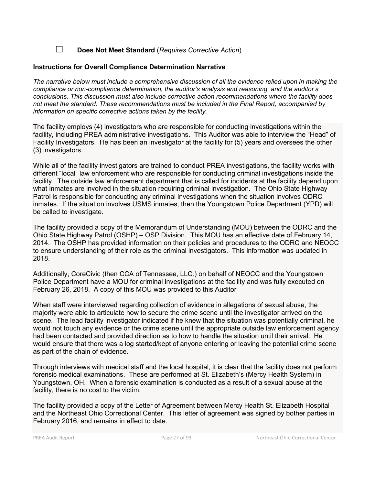☐ **Does Not Meet Standard** (*Requires Corrective Action*)

#### **Instructions for Overall Compliance Determination Narrative**

*The narrative below must include a comprehensive discussion of all the evidence relied upon in making the compliance or non-compliance determination, the auditor's analysis and reasoning, and the auditor's conclusions. This discussion must also include corrective action recommendations where the facility does not meet the standard. These recommendations must be included in the Final Report, accompanied by information on specific corrective actions taken by the facility.*

The facility employs (4) investigators who are responsible for conducting investigations within the facility, including PREA administrative investigations. This Auditor was able to interview the "Head" of Facility Investigators. He has been an investigator at the facility for (5) years and oversees the other (3) investigators.

While all of the facility investigators are trained to conduct PREA investigations, the facility works with different "local" law enforcement who are responsible for conducting criminal investigations inside the facility. The outside law enforcement department that is called for incidents at the facility depend upon what inmates are involved in the situation requiring criminal investigation. The Ohio State Highway Patrol is responsible for conducting any criminal investigations when the situation involves ODRC inmates. If the situation involves USMS inmates, then the Youngstown Police Department (YPD) will be called to investigate.

The facility provided a copy of the Memorandum of Understanding (MOU) between the ODRC and the Ohio State Highway Patrol (OSHP) – OSP Division. This MOU has an effective date of February 14, 2014. The OSHP has provided information on their policies and procedures to the ODRC and NEOCC to ensure understanding of their role as the criminal investigators. This information was updated in 2018.

Additionally, CoreCivic (then CCA of Tennessee, LLC.) on behalf of NEOCC and the Youngstown Police Department have a MOU for criminal investigations at the facility and was fully executed on February 26, 2018. A copy of this MOU was provided to this Auditor

When staff were interviewed regarding collection of evidence in allegations of sexual abuse, the majority were able to articulate how to secure the crime scene until the investigator arrived on the scene. The lead facility investigator indicated if he knew that the situation was potentially criminal, he would not touch any evidence or the crime scene until the appropriate outside law enforcement agency had been contacted and provided direction as to how to handle the situation until their arrival. He would ensure that there was a log started/kept of anyone entering or leaving the potential crime scene as part of the chain of evidence.

Through interviews with medical staff and the local hospital, it is clear that the facility does not perform forensic medical examinations. These are performed at St. Elizabeth's (Mercy Health System) in Youngstown, OH. When a forensic examination is conducted as a result of a sexual abuse at the facility, there is no cost to the victim.

The facility provided a copy of the Letter of Agreement between Mercy Health St. Elizabeth Hospital and the Northeast Ohio Correctional Center. This letter of agreement was signed by bother parties in February 2016, and remains in effect to date.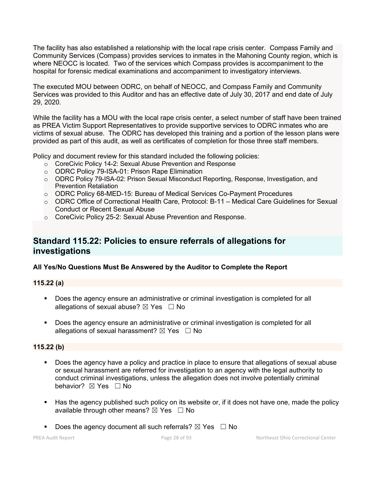The facility has also established a relationship with the local rape crisis center. Compass Family and Community Services (Compass) provides services to inmates in the Mahoning County region, which is where NEOCC is located. Two of the services which Compass provides is accompaniment to the hospital for forensic medical examinations and accompaniment to investigatory interviews.

The executed MOU between ODRC, on behalf of NEOCC, and Compass Family and Community Services was provided to this Auditor and has an effective date of July 30, 2017 and end date of July 29, 2020.

While the facility has a MOU with the local rape crisis center, a select number of staff have been trained as PREA Victim Support Representatives to provide supportive services to ODRC inmates who are victims of sexual abuse. The ODRC has developed this training and a portion of the lesson plans were provided as part of this audit, as well as certificates of completion for those three staff members.

Policy and document review for this standard included the following policies:

- o CoreCivic Policy 14-2: Sexual Abuse Prevention and Response
- o ODRC Policy 79-ISA-01: Prison Rape Elimination
- o ODRC Policy 79-ISA-02: Prison Sexual Misconduct Reporting, Response, Investigation, and Prevention Retaliation
- o ODRC Policy 68-MED-15: Bureau of Medical Services Co-Payment Procedures
- o ODRC Office of Correctional Health Care, Protocol: B-11 Medical Care Guidelines for Sexual Conduct or Recent Sexual Abuse
- o CoreCivic Policy 25-2: Sexual Abuse Prevention and Response.

# **Standard 115.22: Policies to ensure referrals of allegations for investigations**

# **All Yes/No Questions Must Be Answered by the Auditor to Complete the Report**

## **115.22 (a)**

- Does the agency ensure an administrative or criminal investigation is completed for all allegations of sexual abuse?  $\boxtimes$  Yes  $\Box$  No
- **Does the agency ensure an administrative or criminal investigation is completed for all** allegations of sexual harassment?  $\boxtimes$  Yes  $\Box$  No

## **115.22 (b)**

- Does the agency have a policy and practice in place to ensure that allegations of sexual abuse or sexual harassment are referred for investigation to an agency with the legal authority to conduct criminal investigations, unless the allegation does not involve potentially criminal behavior? **⊠** Yes □ No
- Has the agency published such policy on its website or, if it does not have one, made the policy available through other means?  $\boxtimes$  Yes  $\Box$  No
- Does the agency document all such referrals?  $\boxtimes$  Yes  $\Box$  No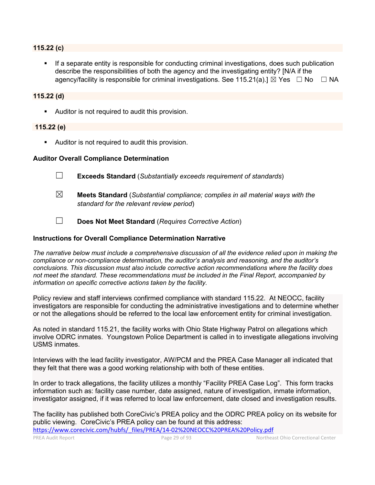#### **115.22 (c)**

 If a separate entity is responsible for conducting criminal investigations, does such publication describe the responsibilities of both the agency and the investigating entity? [N/A if the agency/facility is responsible for criminal investigations. See 115.21(a).]  $\boxtimes$  Yes  $\Box$  No  $\Box$  NA

## **115.22 (d)**

Auditor is not required to audit this provision.

#### **115.22 (e)**

Auditor is not required to audit this provision.

#### **Auditor Overall Compliance Determination**

- ☐ **Exceeds Standard** (*Substantially exceeds requirement of standards*)
- ☒ **Meets Standard** (*Substantial compliance; complies in all material ways with the standard for the relevant review period*)
- ☐ **Does Not Meet Standard** (*Requires Corrective Action*)

#### **Instructions for Overall Compliance Determination Narrative**

*The narrative below must include a comprehensive discussion of all the evidence relied upon in making the compliance or non-compliance determination, the auditor's analysis and reasoning, and the auditor's conclusions. This discussion must also include corrective action recommendations where the facility does not meet the standard. These recommendations must be included in the Final Report, accompanied by information on specific corrective actions taken by the facility.*

Policy review and staff interviews confirmed compliance with standard 115.22. At NEOCC, facility investigators are responsible for conducting the administrative investigations and to determine whether or not the allegations should be referred to the local law enforcement entity for criminal investigation.

As noted in standard 115.21, the facility works with Ohio State Highway Patrol on allegations which involve ODRC inmates. Youngstown Police Department is called in to investigate allegations involving USMS inmates.

Interviews with the lead facility investigator, AW/PCM and the PREA Case Manager all indicated that they felt that there was a good working relationship with both of these entities.

In order to track allegations, the facility utilizes a monthly "Facility PREA Case Log". This form tracks information such as: facility case number, date assigned, nature of investigation, inmate information, investigator assigned, if it was referred to local law enforcement, date closed and investigation results.

The facility has published both CoreCivic's PREA policy and the ODRC PREA policy on its website for public viewing. CoreCivic's PREA policy can be found at this address:

PREA Audit Report Page 29 of 93 Northeast Ohio Correctional Center [https://www.corecivic.com/hubfs/\\_files/PREA/14-02%20NEOCC%20PREA%20Policy.pdf](https://www.corecivic.com/hubfs/_files/PREA/14-02%20NEOCC%20PREA%20Policy.pdf)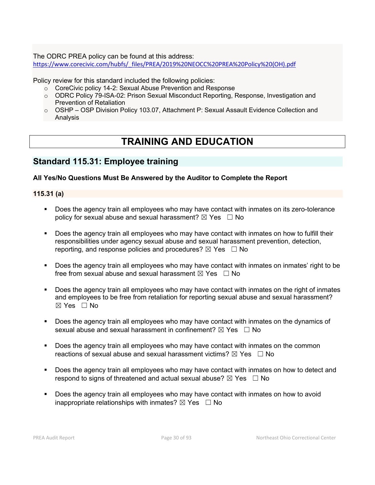The ODRC PREA policy can be found at this address:

[https://www.corecivic.com/hubfs/\\_files/PREA/2019%20NEOCC%20PREA%20Policy%20\(OH\).pdf](https://www.corecivic.com/hubfs/_files/PREA/2019%20NEOCC%20PREA%20Policy%20(OH).pdf)

Policy review for this standard included the following policies:

- o CoreCivic policy 14-2: Sexual Abuse Prevention and Response
- o ODRC Policy 79-ISA-02: Prison Sexual Misconduct Reporting, Response, Investigation and Prevention of Retaliation
- o OSHP OSP Division Policy 103.07, Attachment P: Sexual Assault Evidence Collection and Analysis

# **TRAINING AND EDUCATION**

# **Standard 115.31: Employee training**

## **All Yes/No Questions Must Be Answered by the Auditor to Complete the Report**

## **115.31 (a)**

- Does the agency train all employees who may have contact with inmates on its zero-tolerance policy for sexual abuse and sexual harassment?  $\boxtimes$  Yes  $\Box$  No
- Does the agency train all employees who may have contact with inmates on how to fulfill their responsibilities under agency sexual abuse and sexual harassment prevention, detection, reporting, and response policies and procedures?  $\boxtimes$  Yes  $\Box$  No
- Does the agency train all employees who may have contact with inmates on inmates' right to be free from sexual abuse and sexual harassment  $\boxtimes$  Yes  $\Box$  No
- **Does the agency train all employees who may have contact with inmates on the right of inmates** and employees to be free from retaliation for reporting sexual abuse and sexual harassment?  $\boxtimes$  Yes  $\Box$  No
- Does the agency train all employees who may have contact with inmates on the dynamics of sexual abuse and sexual harassment in confinement?  $\boxtimes$  Yes  $\Box$  No
- Does the agency train all employees who may have contact with inmates on the common reactions of sexual abuse and sexual harassment victims?  $\boxtimes$  Yes  $\Box$  No
- **Does the agency train all employees who may have contact with inmates on how to detect and** respond to signs of threatened and actual sexual abuse?  $\boxtimes$  Yes  $\Box$  No
- Does the agency train all employees who may have contact with inmates on how to avoid inappropriate relationships with inmates?  $\boxtimes$  Yes  $\Box$  No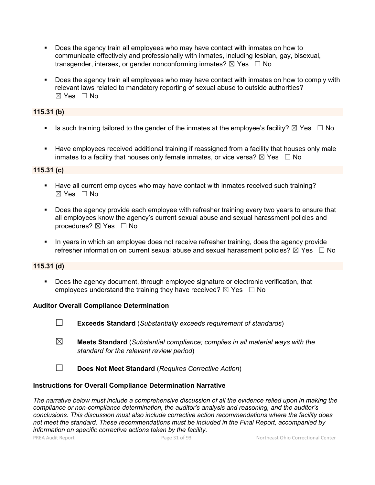- Does the agency train all employees who may have contact with inmates on how to communicate effectively and professionally with inmates, including lesbian, gay, bisexual, transgender, intersex, or gender nonconforming inmates?  $\boxtimes$  Yes  $\Box$  No
- Does the agency train all employees who may have contact with inmates on how to comply with relevant laws related to mandatory reporting of sexual abuse to outside authorities?  $\boxtimes$  Yes  $\Box$  No

# **115.31 (b)**

- Is such training tailored to the gender of the inmates at the employee's facility?  $\boxtimes$  Yes  $\Box$  No
- Have employees received additional training if reassigned from a facility that houses only male inmates to a facility that houses only female inmates, or vice versa?  $\boxtimes$  Yes  $\Box$  No

## **115.31 (c)**

- Have all current employees who may have contact with inmates received such training?  $\boxtimes$  Yes  $\Box$  No
- Does the agency provide each employee with refresher training every two years to ensure that all employees know the agency's current sexual abuse and sexual harassment policies and procedures?  $\boxtimes$  Yes  $\Box$  No
- In years in which an employee does not receive refresher training, does the agency provide refresher information on current sexual abuse and sexual harassment policies?  $\boxtimes$  Yes  $\Box$  No

## **115.31 (d)**

 Does the agency document, through employee signature or electronic verification, that employees understand the training they have received?  $\boxtimes$  Yes  $\Box$  No

## **Auditor Overall Compliance Determination**

- ☐ **Exceeds Standard** (*Substantially exceeds requirement of standards*)
- ☒ **Meets Standard** (*Substantial compliance; complies in all material ways with the standard for the relevant review period*)
- ☐ **Does Not Meet Standard** (*Requires Corrective Action*)

## **Instructions for Overall Compliance Determination Narrative**

*The narrative below must include a comprehensive discussion of all the evidence relied upon in making the compliance or non-compliance determination, the auditor's analysis and reasoning, and the auditor's conclusions. This discussion must also include corrective action recommendations where the facility does not meet the standard. These recommendations must be included in the Final Report, accompanied by information on specific corrective actions taken by the facility.*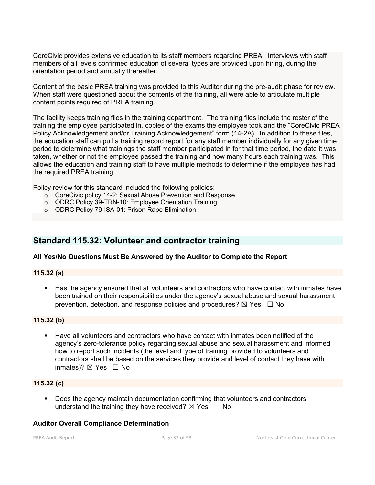CoreCivic provides extensive education to its staff members regarding PREA. Interviews with staff members of all levels confirmed education of several types are provided upon hiring, during the orientation period and annually thereafter.

Content of the basic PREA training was provided to this Auditor during the pre-audit phase for review. When staff were questioned about the contents of the training, all were able to articulate multiple content points required of PREA training.

The facility keeps training files in the training department. The training files include the roster of the training the employee participated in, copies of the exams the employee took and the "CoreCivic PREA Policy Acknowledgement and/or Training Acknowledgement" form (14-2A). In addition to these files, the education staff can pull a training record report for any staff member individually for any given time period to determine what trainings the staff member participated in for that time period, the date it was taken, whether or not the employee passed the training and how many hours each training was. This allows the education and training staff to have multiple methods to determine if the employee has had the required PREA training.

Policy review for this standard included the following policies:

- o CoreCivic policy 14-2: Sexual Abuse Prevention and Response
- o ODRC Policy 39-TRN-10: Employee Orientation Training
- o ODRC Policy 79-ISA-01: Prison Rape Elimination

# **Standard 115.32: Volunteer and contractor training**

#### **All Yes/No Questions Must Be Answered by the Auditor to Complete the Report**

#### **115.32 (a)**

 Has the agency ensured that all volunteers and contractors who have contact with inmates have been trained on their responsibilities under the agency's sexual abuse and sexual harassment prevention, detection, and response policies and procedures?  $\boxtimes$  Yes  $\Box$  No

#### **115.32 (b)**

 Have all volunteers and contractors who have contact with inmates been notified of the agency's zero-tolerance policy regarding sexual abuse and sexual harassment and informed how to report such incidents (the level and type of training provided to volunteers and contractors shall be based on the services they provide and level of contact they have with inmates)?  $\boxtimes$  Yes  $\Box$  No

#### **115.32 (c)**

 Does the agency maintain documentation confirming that volunteers and contractors understand the training they have received?  $\boxtimes$  Yes  $\Box$  No

#### **Auditor Overall Compliance Determination**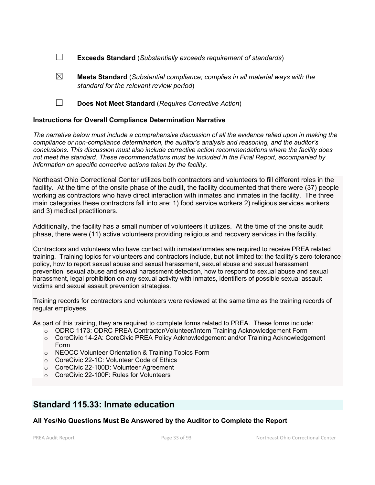- ☐ **Exceeds Standard** (*Substantially exceeds requirement of standards*)
- ☒ **Meets Standard** (*Substantial compliance; complies in all material ways with the standard for the relevant review period*)
- ☐ **Does Not Meet Standard** (*Requires Corrective Action*)

## **Instructions for Overall Compliance Determination Narrative**

*The narrative below must include a comprehensive discussion of all the evidence relied upon in making the compliance or non-compliance determination, the auditor's analysis and reasoning, and the auditor's conclusions. This discussion must also include corrective action recommendations where the facility does not meet the standard. These recommendations must be included in the Final Report, accompanied by information on specific corrective actions taken by the facility.*

Northeast Ohio Correctional Center utilizes both contractors and volunteers to fill different roles in the facility. At the time of the onsite phase of the audit, the facility documented that there were (37) people working as contractors who have direct interaction with inmates and inmates in the facility. The three main categories these contractors fall into are: 1) food service workers 2) religious services workers and 3) medical practitioners.

Additionally, the facility has a small number of volunteers it utilizes. At the time of the onsite audit phase, there were (11) active volunteers providing religious and recovery services in the facility.

Contractors and volunteers who have contact with inmates/inmates are required to receive PREA related training. Training topics for volunteers and contractors include, but not limited to: the facility's zero-tolerance policy, how to report sexual abuse and sexual harassment, sexual abuse and sexual harassment prevention, sexual abuse and sexual harassment detection, how to respond to sexual abuse and sexual harassment, legal prohibition on any sexual activity with inmates, identifiers of possible sexual assault victims and sexual assault prevention strategies.

Training records for contractors and volunteers were reviewed at the same time as the training records of regular employees.

As part of this training, they are required to complete forms related to PREA. These forms include:

- o ODRC 1173: ODRC PREA Contractor/Volunteer/Intern Training Acknowledgement Form
- $\circ$  CoreCivic 14-2A: CoreCivic PREA Policy Acknowledgement and/or Training Acknowledgement Form
- o NEOCC Volunteer Orientation & Training Topics Form
- o CoreCivic 22-1C: Volunteer Code of Ethics
- o CoreCivic 22-100D: Volunteer Agreement
- o CoreCivic 22-100F: Rules for Volunteers

# **Standard 115.33: Inmate education**

**All Yes/No Questions Must Be Answered by the Auditor to Complete the Report**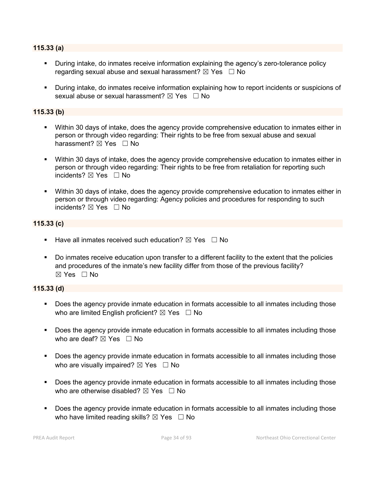#### **115.33 (a)**

- During intake, do inmates receive information explaining the agency's zero-tolerance policy regarding sexual abuse and sexual harassment?  $\boxtimes$  Yes  $\Box$  No
- During intake, do inmates receive information explaining how to report incidents or suspicions of sexual abuse or sexual harassment?  $\boxtimes$  Yes  $\Box$  No

## **115.33 (b)**

- Within 30 days of intake, does the agency provide comprehensive education to inmates either in person or through video regarding: Their rights to be free from sexual abuse and sexual harassment?  $\boxtimes$  Yes  $\Box$  No
- Within 30 days of intake, does the agency provide comprehensive education to inmates either in person or through video regarding: Their rights to be free from retaliation for reporting such incidents?  $\boxtimes$  Yes  $\Box$  No
- Within 30 days of intake, does the agency provide comprehensive education to inmates either in person or through video regarding: Agency policies and procedures for responding to such incidents?  $\boxtimes$  Yes  $\Box$  No

## **115.33 (c)**

- **Have all inmates received such education?**  $\boxtimes$  Yes  $\Box$  No
- Do inmates receive education upon transfer to a different facility to the extent that the policies and procedures of the inmate's new facility differ from those of the previous facility?  $\boxtimes$  Yes  $\Box$  No

#### **115.33 (d)**

- Does the agency provide inmate education in formats accessible to all inmates including those who are limited English proficient?  $\boxtimes$  Yes  $\Box$  No
- **Does the agency provide inmate education in formats accessible to all inmates including those** who are deaf?  $\boxtimes$  Yes  $\Box$  No
- **Does the agency provide inmate education in formats accessible to all inmates including those** who are visually impaired?  $\boxtimes$  Yes  $\Box$  No
- Does the agency provide inmate education in formats accessible to all inmates including those who are otherwise disabled?  $\boxtimes$  Yes  $\Box$  No
- Does the agency provide inmate education in formats accessible to all inmates including those who have limited reading skills?  $\boxtimes$  Yes  $\Box$  No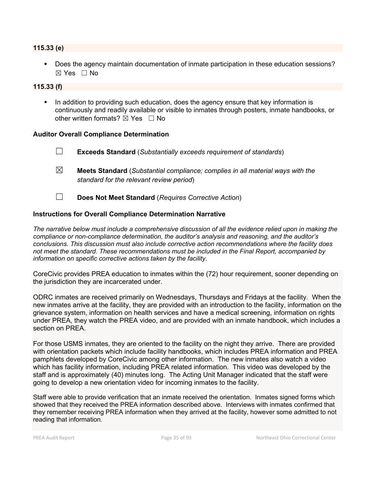#### **115.33 (e)**

 Does the agency maintain documentation of inmate participation in these education sessions?  $\boxtimes$  Yes  $\Box$  No

#### **115.33 (f)**

In addition to providing such education, does the agency ensure that key information is continuously and readily available or visible to inmates through posters, inmate handbooks, or other written formats?  $\boxtimes$  Yes  $\Box$  No

#### **Auditor Overall Compliance Determination**

- ☐ **Exceeds Standard** (*Substantially exceeds requirement of standards*) ☒ **Meets Standard** (*Substantial compliance; complies in all material ways with the standard for the relevant review period*)
- ☐ **Does Not Meet Standard** (*Requires Corrective Action*)

## **Instructions for Overall Compliance Determination Narrative**

*The narrative below must include a comprehensive discussion of all the evidence relied upon in making the compliance or non-compliance determination, the auditor's analysis and reasoning, and the auditor's conclusions. This discussion must also include corrective action recommendations where the facility does not meet the standard. These recommendations must be included in the Final Report, accompanied by information on specific corrective actions taken by the facility.*

CoreCivic provides PREA education to inmates within the (72) hour requirement, sooner depending on the jurisdiction they are incarcerated under.

ODRC inmates are received primarily on Wednesdays, Thursdays and Fridays at the facility. When the new inmates arrive at the facility, they are provided with an introduction to the facility, information on the grievance system, information on health services and have a medical screening, information on rights under PREA, they watch the PREA video, and are provided with an inmate handbook, which includes a section on PREA.

For those USMS inmates, they are oriented to the facility on the night they arrive. There are provided with orientation packets which include facility handbooks, which includes PREA information and PREA pamphlets developed by CoreCivic among other information. The new inmates also watch a video which has facility information, including PREA related information. This video was developed by the staff and is approximately (40) minutes long. The Acting Unit Manager indicated that the staff were going to develop a new orientation video for incoming inmates to the facility.

Staff were able to provide verification that an inmate received the orientation. Inmates signed forms which showed that they received the PREA information described above. Interviews with inmates confirmed that they remember receiving PREA information when they arrived at the facility, however some admitted to not reading that information.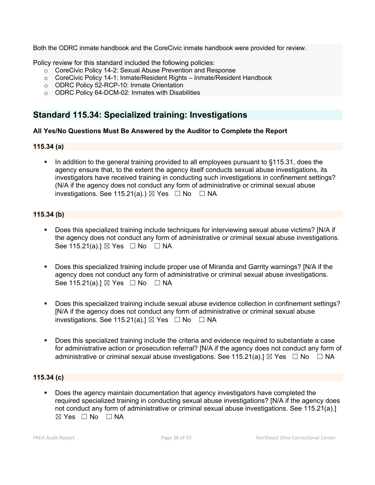Both the ODRC inmate handbook and the CoreCivic inmate handbook were provided for review.

Policy review for this standard included the following policies:

- o CoreCivic Policy 14-2: Sexual Abuse Prevention and Response
- o CoreCivic Policy 14-1: Inmate/Resident Rights Inmate/Resident Handbook
- o ODRC Policy 52-RCP-10: Inmate Orientation
- o ODRC Policy 64-DCM-02: Inmates with Disabilities

# **Standard 115.34: Specialized training: Investigations**

## **All Yes/No Questions Must Be Answered by the Auditor to Complete the Report**

## **115.34 (a)**

In addition to the general training provided to all employees pursuant to §115.31, does the agency ensure that, to the extent the agency itself conducts sexual abuse investigations, its investigators have received training in conducting such investigations in confinement settings? (N/A if the agency does not conduct any form of administrative or criminal sexual abuse investigations. See 115.21(a).)  $\boxtimes$  Yes  $\Box$  No  $\Box$  NA

# **115.34 (b)**

- Does this specialized training include techniques for interviewing sexual abuse victims? [N/A if the agency does not conduct any form of administrative or criminal sexual abuse investigations. See 115.21(a).]  $\boxtimes$  Yes  $\Box$  No  $\Box$  NA
- Does this specialized training include proper use of Miranda and Garrity warnings? [N/A if the agency does not conduct any form of administrative or criminal sexual abuse investigations. See 115.21(a).]  $\boxtimes$  Yes  $\Box$  No  $\Box$  NA
- Does this specialized training include sexual abuse evidence collection in confinement settings? [N/A if the agency does not conduct any form of administrative or criminal sexual abuse investigations. See 115.21(a).]  $\boxtimes$  Yes  $\Box$  No  $\Box$  NA
- Does this specialized training include the criteria and evidence required to substantiate a case for administrative action or prosecution referral? [N/A if the agency does not conduct any form of administrative or criminal sexual abuse investigations. See 115.21(a).]  $\boxtimes$  Yes  $\Box$  No  $\Box$  NA

# **115.34 (c)**

 Does the agency maintain documentation that agency investigators have completed the required specialized training in conducting sexual abuse investigations? [N/A if the agency does not conduct any form of administrative or criminal sexual abuse investigations. See 115.21(a).]  $\boxtimes$  Yes  $\Box$  No  $\Box$  NA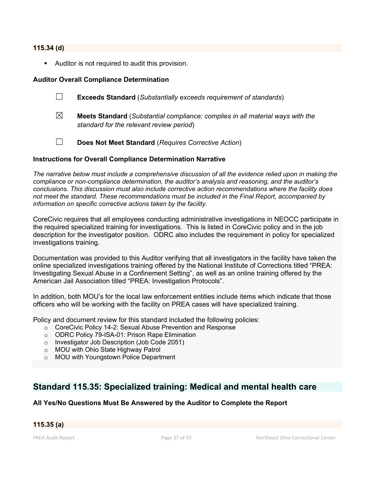#### **115.34 (d)**

Auditor is not required to audit this provision.

## **Auditor Overall Compliance Determination**

- ☐ **Exceeds Standard** (*Substantially exceeds requirement of standards*)
- ☒ **Meets Standard** (*Substantial compliance; complies in all material ways with the standard for the relevant review period*)
- ☐ **Does Not Meet Standard** (*Requires Corrective Action*)

#### **Instructions for Overall Compliance Determination Narrative**

*The narrative below must include a comprehensive discussion of all the evidence relied upon in making the compliance or non-compliance determination, the auditor's analysis and reasoning, and the auditor's conclusions. This discussion must also include corrective action recommendations where the facility does not meet the standard. These recommendations must be included in the Final Report, accompanied by information on specific corrective actions taken by the facility.*

CoreCivic requires that all employees conducting administrative investigations in NEOCC participate in the required specialized training for investigations. This is listed in CoreCivic policy and in the job description for the investigator position. ODRC also includes the requirement in policy for specialized investigations training.

Documentation was provided to this Auditor verifying that all investigators in the facility have taken the online specialized investigations training offered by the National Institute of Corrections titled "PREA: Investigating Sexual Abuse in a Confinement Setting", as well as an online training offered by the American Jail Association titled "PREA: Investigation Protocols".

In addition, both MOU's for the local law enforcement entities include items which indicate that those officers who will be working with the facility on PREA cases will have specialized training.

Policy and document review for this standard included the following policies:

- o CoreCivic Policy 14-2: Sexual Abuse Prevention and Response
- o ODRC Policy 79-ISA-01: Prison Rape Elimination
- o Investigator Job Description (Job Code 2051)
- o MOU with Ohio State Highway Patrol
- o MOU with Youngstown Police Department

# **Standard 115.35: Specialized training: Medical and mental health care**

**All Yes/No Questions Must Be Answered by the Auditor to Complete the Report**

## **115.35 (a)**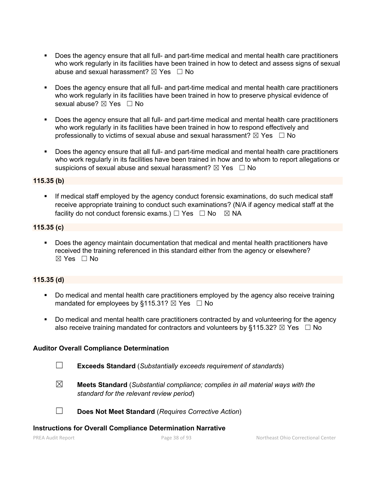- Does the agency ensure that all full- and part-time medical and mental health care practitioners who work regularly in its facilities have been trained in how to detect and assess signs of sexual abuse and sexual harassment?  $\boxtimes$  Yes  $\Box$  No
- Does the agency ensure that all full- and part-time medical and mental health care practitioners who work regularly in its facilities have been trained in how to preserve physical evidence of sexual abuse?  $\boxtimes$  Yes  $\Box$  No
- Does the agency ensure that all full- and part-time medical and mental health care practitioners who work regularly in its facilities have been trained in how to respond effectively and professionally to victims of sexual abuse and sexual harassment?  $\boxtimes$  Yes  $\Box$  No
- Does the agency ensure that all full- and part-time medical and mental health care practitioners who work regularly in its facilities have been trained in how and to whom to report allegations or suspicions of sexual abuse and sexual harassment?  $\boxtimes$  Yes  $\Box$  No

#### **115.35 (b)**

 If medical staff employed by the agency conduct forensic examinations, do such medical staff receive appropriate training to conduct such examinations? (N/A if agency medical staff at the facility do not conduct forensic exams.)  $\Box$  Yes  $\Box$  No  $\boxtimes$  NA

## **115.35 (c)**

 Does the agency maintain documentation that medical and mental health practitioners have received the training referenced in this standard either from the agency or elsewhere?  $\boxtimes$  Yes  $\Box$  No

## **115.35 (d)**

- Do medical and mental health care practitioners employed by the agency also receive training mandated for employees by §115.31?  $\boxtimes$  Yes  $\Box$  No
- Do medical and mental health care practitioners contracted by and volunteering for the agency also receive training mandated for contractors and volunteers by §115.32?  $\boxtimes$  Yes  $\Box$  No

#### **Auditor Overall Compliance Determination**

- ☐ **Exceeds Standard** (*Substantially exceeds requirement of standards*)
- ☒ **Meets Standard** (*Substantial compliance; complies in all material ways with the standard for the relevant review period*)
- ☐ **Does Not Meet Standard** (*Requires Corrective Action*)

#### **Instructions for Overall Compliance Determination Narrative**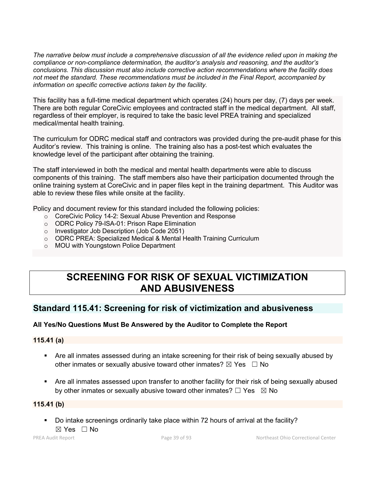*The narrative below must include a comprehensive discussion of all the evidence relied upon in making the compliance or non-compliance determination, the auditor's analysis and reasoning, and the auditor's conclusions. This discussion must also include corrective action recommendations where the facility does not meet the standard. These recommendations must be included in the Final Report, accompanied by information on specific corrective actions taken by the facility.*

This facility has a full-time medical department which operates (24) hours per day, (7) days per week. There are both regular CoreCivic employees and contracted staff in the medical department. All staff, regardless of their employer, is required to take the basic level PREA training and specialized medical/mental health training.

The curriculum for ODRC medical staff and contractors was provided during the pre-audit phase for this Auditor's review. This training is online. The training also has a post-test which evaluates the knowledge level of the participant after obtaining the training.

The staff interviewed in both the medical and mental health departments were able to discuss components of this training. The staff members also have their participation documented through the online training system at CoreCivic and in paper files kept in the training department. This Auditor was able to review these files while onsite at the facility.

Policy and document review for this standard included the following policies:

- o CoreCivic Policy 14-2: Sexual Abuse Prevention and Response
- o ODRC Policy 79-ISA-01: Prison Rape Elimination
- o Investigator Job Description (Job Code 2051)
- $\circ$  ODRC PREA: Specialized Medical & Mental Health Training Curriculum
- o MOU with Youngstown Police Department

# **SCREENING FOR RISK OF SEXUAL VICTIMIZATION AND ABUSIVENESS**

# **Standard 115.41: Screening for risk of victimization and abusiveness**

## **All Yes/No Questions Must Be Answered by the Auditor to Complete the Report**

**115.41 (a)**

- Are all inmates assessed during an intake screening for their risk of being sexually abused by other inmates or sexually abusive toward other inmates?  $\boxtimes$  Yes  $\Box$  No
- Are all inmates assessed upon transfer to another facility for their risk of being sexually abused by other inmates or sexually abusive toward other inmates?  $\Box$  Yes  $\boxtimes$  No

**115.41 (b)**

 Do intake screenings ordinarily take place within 72 hours of arrival at the facility?  $\boxtimes$  Yes  $\Box$  No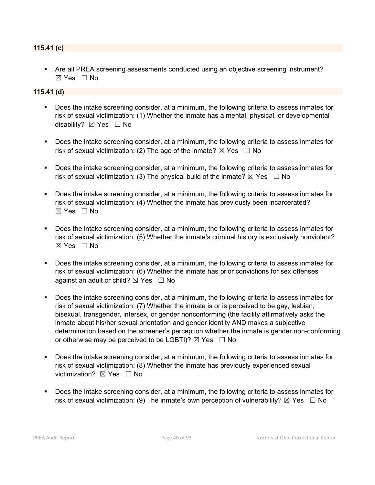#### **115.41 (c)**

 Are all PREA screening assessments conducted using an objective screening instrument? ☒ Yes ☐ No

## **115.41 (d)**

- Does the intake screening consider, at a minimum, the following criteria to assess inmates for risk of sexual victimization: (1) Whether the inmate has a mental, physical, or developmental disability?  $\boxtimes$  Yes  $\Box$  No
- Does the intake screening consider, at a minimum, the following criteria to assess inmates for risk of sexual victimization: (2) The age of the inmate?  $\boxtimes$  Yes  $\Box$  No
- Does the intake screening consider, at a minimum, the following criteria to assess inmates for risk of sexual victimization: (3) The physical build of the inmate?  $\boxtimes$  Yes  $\Box$  No
- Does the intake screening consider, at a minimum, the following criteria to assess inmates for risk of sexual victimization: (4) Whether the inmate has previously been incarcerated? ☒ Yes ☐ No
- Does the intake screening consider, at a minimum, the following criteria to assess inmates for risk of sexual victimization: (5) Whether the inmate's criminal history is exclusively nonviolent?  $\boxtimes$  Yes  $\Box$  No
- Does the intake screening consider, at a minimum, the following criteria to assess inmates for risk of sexual victimization: (6) Whether the inmate has prior convictions for sex offenses against an adult or child?  $\boxtimes$  Yes  $\Box$  No
- Does the intake screening consider, at a minimum, the following criteria to assess inmates for risk of sexual victimization: (7) Whether the inmate is or is perceived to be gay, lesbian, bisexual, transgender, intersex, or gender nonconforming (the facility affirmatively asks the inmate about his/her sexual orientation and gender identity AND makes a subjective determination based on the screener's perception whether the inmate is gender non-conforming or otherwise may be perceived to be LGBTI)?  $\boxtimes$  Yes  $\Box$  No
- Does the intake screening consider, at a minimum, the following criteria to assess inmates for risk of sexual victimization: (8) Whether the inmate has previously experienced sexual victimization? **⊠** Yes □ No
- Does the intake screening consider, at a minimum, the following criteria to assess inmates for risk of sexual victimization: (9) The inmate's own perception of vulnerability?  $\boxtimes$  Yes  $\Box$  No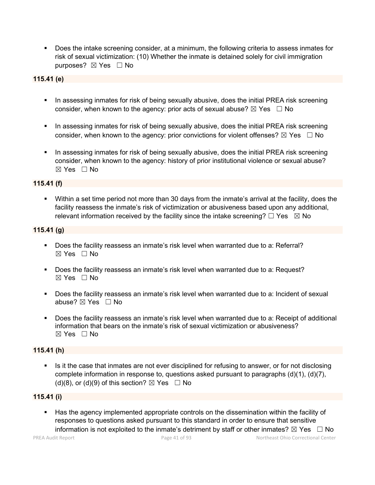Does the intake screening consider, at a minimum, the following criteria to assess inmates for risk of sexual victimization: (10) Whether the inmate is detained solely for civil immigration purposes? ⊠ Yes □ No

## **115.41 (e)**

- In assessing inmates for risk of being sexually abusive, does the initial PREA risk screening consider, when known to the agency: prior acts of sexual abuse?  $\boxtimes$  Yes  $\Box$  No
- In assessing inmates for risk of being sexually abusive, does the initial PREA risk screening consider, when known to the agency: prior convictions for violent offenses?  $\boxtimes$  Yes  $\Box$  No
- In assessing inmates for risk of being sexually abusive, does the initial PREA risk screening consider, when known to the agency: history of prior institutional violence or sexual abuse? ☒ Yes ☐ No

## **115.41 (f)**

 Within a set time period not more than 30 days from the inmate's arrival at the facility, does the facility reassess the inmate's risk of victimization or abusiveness based upon any additional, relevant information received by the facility since the intake screening?  $\Box$  Yes  $\boxtimes$  No

#### **115.41 (g)**

- Does the facility reassess an inmate's risk level when warranted due to a: Referral?  $\boxtimes$  Yes  $\Box$  No
- Does the facility reassess an inmate's risk level when warranted due to a: Request?  $\boxtimes$  Yes  $\Box$  No
- Does the facility reassess an inmate's risk level when warranted due to a: Incident of sexual abuse?  $\boxtimes$  Yes  $\Box$  No
- Does the facility reassess an inmate's risk level when warranted due to a: Receipt of additional information that bears on the inmate's risk of sexual victimization or abusiveness? ☒ Yes ☐ No

#### **115.41 (h)**

Is it the case that inmates are not ever disciplined for refusing to answer, or for not disclosing complete information in response to, questions asked pursuant to paragraphs  $(d)(1)$ ,  $(d)(7)$ , (d)(8), or (d)(9) of this section?  $\boxtimes$  Yes  $\Box$  No

#### **115.41 (i)**

 Has the agency implemented appropriate controls on the dissemination within the facility of responses to questions asked pursuant to this standard in order to ensure that sensitive information is not exploited to the inmate's detriment by staff or other inmates?  $\boxtimes$  Yes  $\Box$  No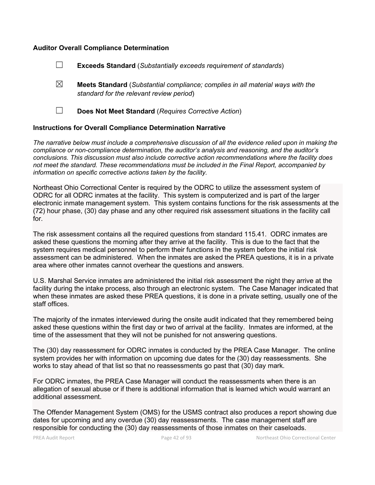#### **Auditor Overall Compliance Determination**

- ☐ **Exceeds Standard** (*Substantially exceeds requirement of standards*)
- ☒ **Meets Standard** (*Substantial compliance; complies in all material ways with the standard for the relevant review period*)
- 
- ☐ **Does Not Meet Standard** (*Requires Corrective Action*)

#### **Instructions for Overall Compliance Determination Narrative**

*The narrative below must include a comprehensive discussion of all the evidence relied upon in making the compliance or non-compliance determination, the auditor's analysis and reasoning, and the auditor's conclusions. This discussion must also include corrective action recommendations where the facility does not meet the standard. These recommendations must be included in the Final Report, accompanied by information on specific corrective actions taken by the facility.*

Northeast Ohio Correctional Center is required by the ODRC to utilize the assessment system of ODRC for all ODRC inmates at the facility. This system is computerized and is part of the larger electronic inmate management system. This system contains functions for the risk assessments at the (72) hour phase, (30) day phase and any other required risk assessment situations in the facility call for.

The risk assessment contains all the required questions from standard 115.41. ODRC inmates are asked these questions the morning after they arrive at the facility. This is due to the fact that the system requires medical personnel to perform their functions in the system before the initial risk assessment can be administered. When the inmates are asked the PREA questions, it is in a private area where other inmates cannot overhear the questions and answers.

U.S. Marshal Service inmates are administered the initial risk assessment the night they arrive at the facility during the intake process, also through an electronic system. The Case Manager indicated that when these inmates are asked these PREA questions, it is done in a private setting, usually one of the staff offices.

The majority of the inmates interviewed during the onsite audit indicated that they remembered being asked these questions within the first day or two of arrival at the facility. Inmates are informed, at the time of the assessment that they will not be punished for not answering questions.

The (30) day reassessment for ODRC inmates is conducted by the PREA Case Manager. The online system provides her with information on upcoming due dates for the (30) day reassessments. She works to stay ahead of that list so that no reassessments go past that (30) day mark.

For ODRC inmates, the PREA Case Manager will conduct the reassessments when there is an allegation of sexual abuse or if there is additional information that is learned which would warrant an additional assessment.

The Offender Management System (OMS) for the USMS contract also produces a report showing due dates for upcoming and any overdue (30) day reassessments. The case management staff are responsible for conducting the (30) day reassessments of those inmates on their caseloads.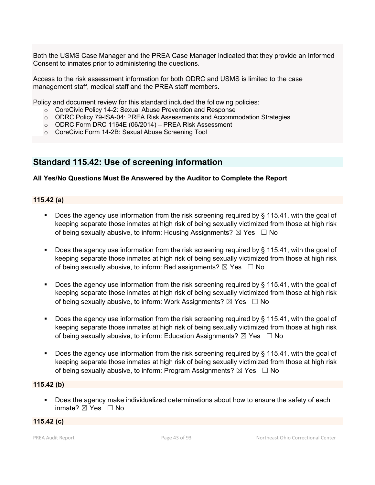Both the USMS Case Manager and the PREA Case Manager indicated that they provide an Informed Consent to inmates prior to administering the questions.

Access to the risk assessment information for both ODRC and USMS is limited to the case management staff, medical staff and the PREA staff members.

Policy and document review for this standard included the following policies:

- o CoreCivic Policy 14-2: Sexual Abuse Prevention and Response
- o ODRC Policy 79-ISA-04: PREA Risk Assessments and Accommodation Strategies
- o ODRC Form DRC 1164E (06/2014) PREA Risk Assessment
- o CoreCivic Form 14-2B: Sexual Abuse Screening Tool

# **Standard 115.42: Use of screening information**

#### **All Yes/No Questions Must Be Answered by the Auditor to Complete the Report**

#### **115.42 (a)**

- Does the agency use information from the risk screening required by § 115.41, with the goal of keeping separate those inmates at high risk of being sexually victimized from those at high risk of being sexually abusive, to inform: Housing Assignments?  $\boxtimes$  Yes  $\Box$  No
- Does the agency use information from the risk screening required by  $\S$  115.41, with the goal of keeping separate those inmates at high risk of being sexually victimized from those at high risk of being sexually abusive, to inform: Bed assignments?  $\boxtimes$  Yes  $\Box$  No
- Does the agency use information from the risk screening required by § 115.41, with the goal of keeping separate those inmates at high risk of being sexually victimized from those at high risk of being sexually abusive, to inform: Work Assignments?  $\boxtimes$  Yes  $\Box$  No
- Does the agency use information from the risk screening required by § 115.41, with the goal of keeping separate those inmates at high risk of being sexually victimized from those at high risk of being sexually abusive, to inform: Education Assignments?  $\boxtimes$  Yes  $\Box$  No
- Does the agency use information from the risk screening required by § 115.41, with the goal of keeping separate those inmates at high risk of being sexually victimized from those at high risk of being sexually abusive, to inform: Program Assignments?  $\boxtimes$  Yes  $\Box$  No

#### **115.42 (b)**

 Does the agency make individualized determinations about how to ensure the safety of each inmate? ☒ Yes ☐ No

#### **115.42 (c)**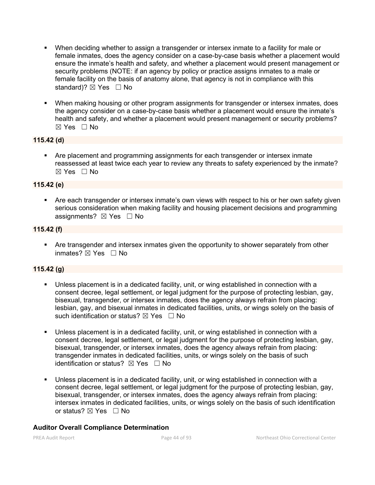- When deciding whether to assign a transgender or intersex inmate to a facility for male or female inmates, does the agency consider on a case-by-case basis whether a placement would ensure the inmate's health and safety, and whether a placement would present management or security problems (NOTE: if an agency by policy or practice assigns inmates to a male or female facility on the basis of anatomy alone, that agency is not in compliance with this standard)?  $\boxtimes$  Yes  $\Box$  No
- When making housing or other program assignments for transgender or intersex inmates, does the agency consider on a case-by-case basis whether a placement would ensure the inmate's health and safety, and whether a placement would present management or security problems? ☒ Yes ☐ No

## **115.42 (d)**

 Are placement and programming assignments for each transgender or intersex inmate reassessed at least twice each year to review any threats to safety experienced by the inmate?  $\boxtimes$  Yes  $\Box$  No

## **115.42 (e)**

 Are each transgender or intersex inmate's own views with respect to his or her own safety given serious consideration when making facility and housing placement decisions and programming assignments?  $\boxtimes$  Yes  $\Box$  No

## **115.42 (f)**

 Are transgender and intersex inmates given the opportunity to shower separately from other inmates?  $⊠$  Yes  $□$  No

## **115.42 (g)**

- Unless placement is in a dedicated facility, unit, or wing established in connection with a consent decree, legal settlement, or legal judgment for the purpose of protecting lesbian, gay, bisexual, transgender, or intersex inmates, does the agency always refrain from placing: lesbian, gay, and bisexual inmates in dedicated facilities, units, or wings solely on the basis of such identification or status?  $\boxtimes$  Yes  $\Box$  No
- Unless placement is in a dedicated facility, unit, or wing established in connection with a consent decree, legal settlement, or legal judgment for the purpose of protecting lesbian, gay, bisexual, transgender, or intersex inmates, does the agency always refrain from placing: transgender inmates in dedicated facilities, units, or wings solely on the basis of such identification or status?  $\boxtimes$  Yes  $\Box$  No
- Unless placement is in a dedicated facility, unit, or wing established in connection with a consent decree, legal settlement, or legal judgment for the purpose of protecting lesbian, gay, bisexual, transgender, or intersex inmates, does the agency always refrain from placing: intersex inmates in dedicated facilities, units, or wings solely on the basis of such identification or status?  $\boxtimes$  Yes  $\Box$  No

#### **Auditor Overall Compliance Determination**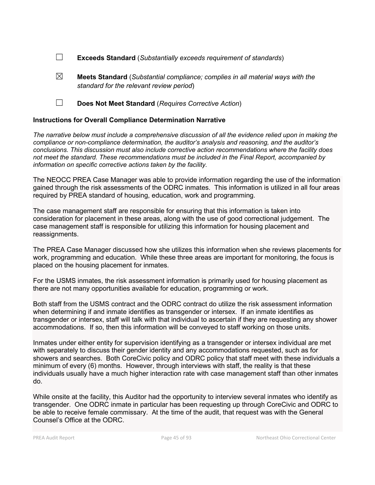- ☐ **Exceeds Standard** (*Substantially exceeds requirement of standards*)
- ☒ **Meets Standard** (*Substantial compliance; complies in all material ways with the standard for the relevant review period*)
- ☐ **Does Not Meet Standard** (*Requires Corrective Action*)

## **Instructions for Overall Compliance Determination Narrative**

*The narrative below must include a comprehensive discussion of all the evidence relied upon in making the compliance or non-compliance determination, the auditor's analysis and reasoning, and the auditor's conclusions. This discussion must also include corrective action recommendations where the facility does not meet the standard. These recommendations must be included in the Final Report, accompanied by information on specific corrective actions taken by the facility.*

The NEOCC PREA Case Manager was able to provide information regarding the use of the information gained through the risk assessments of the ODRC inmates. This information is utilized in all four areas required by PREA standard of housing, education, work and programming.

The case management staff are responsible for ensuring that this information is taken into consideration for placement in these areas, along with the use of good correctional judgement. The case management staff is responsible for utilizing this information for housing placement and reassignments.

The PREA Case Manager discussed how she utilizes this information when she reviews placements for work, programming and education. While these three areas are important for monitoring, the focus is placed on the housing placement for inmates.

For the USMS inmates, the risk assessment information is primarily used for housing placement as there are not many opportunities available for education, programming or work.

Both staff from the USMS contract and the ODRC contract do utilize the risk assessment information when determining if and inmate identifies as transgender or intersex. If an inmate identifies as transgender or intersex, staff will talk with that individual to ascertain if they are requesting any shower accommodations. If so, then this information will be conveyed to staff working on those units.

Inmates under either entity for supervision identifying as a transgender or intersex individual are met with separately to discuss their gender identity and any accommodations requested, such as for showers and searches. Both CoreCivic policy and ODRC policy that staff meet with these individuals a minimum of every (6) months. However, through interviews with staff, the reality is that these individuals usually have a much higher interaction rate with case management staff than other inmates do.

While onsite at the facility, this Auditor had the opportunity to interview several inmates who identify as transgender. One ODRC inmate in particular has been requesting up through CoreCivic and ODRC to be able to receive female commissary. At the time of the audit, that request was with the General Counsel's Office at the ODRC.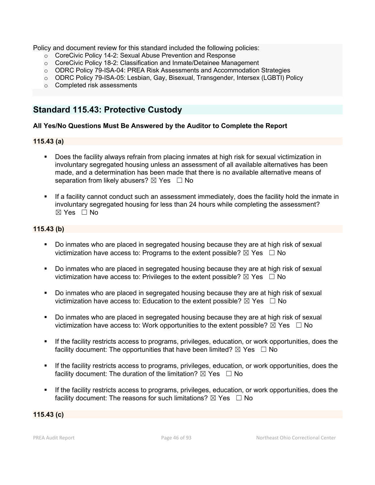Policy and document review for this standard included the following policies:

- o CoreCivic Policy 14-2: Sexual Abuse Prevention and Response
- $\circ$  CoreCivic Policy 18-2: Classification and Inmate/Detainee Management
- o ODRC Policy 79-ISA-04: PREA Risk Assessments and Accommodation Strategies
- o ODRC Policy 79-ISA-05: Lesbian, Gay, Bisexual, Transgender, Intersex (LGBTI) Policy
- o Completed risk assessments

## **Standard 115.43: Protective Custody**

#### **All Yes/No Questions Must Be Answered by the Auditor to Complete the Report**

#### **115.43 (a)**

- Does the facility always refrain from placing inmates at high risk for sexual victimization in involuntary segregated housing unless an assessment of all available alternatives has been made, and a determination has been made that there is no available alternative means of separation from likely abusers?  $\boxtimes$  Yes  $\Box$  No
- If a facility cannot conduct such an assessment immediately, does the facility hold the inmate in involuntary segregated housing for less than 24 hours while completing the assessment? ☒ Yes ☐ No

#### **115.43 (b)**

- Do inmates who are placed in segregated housing because they are at high risk of sexual victimization have access to: Programs to the extent possible?  $\boxtimes$  Yes  $\Box$  No
- Do inmates who are placed in segregated housing because they are at high risk of sexual victimization have access to: Privileges to the extent possible?  $\boxtimes$  Yes  $\Box$  No
- Do inmates who are placed in segregated housing because they are at high risk of sexual victimization have access to: Education to the extent possible?  $\boxtimes$  Yes  $\Box$  No
- Do inmates who are placed in segregated housing because they are at high risk of sexual victimization have access to: Work opportunities to the extent possible?  $\boxtimes$  Yes  $\Box$  No
- If the facility restricts access to programs, privileges, education, or work opportunities, does the facility document: The opportunities that have been limited?  $\boxtimes$  Yes  $\Box$  No
- If the facility restricts access to programs, privileges, education, or work opportunities, does the facility document: The duration of the limitation?  $\boxtimes$  Yes  $\Box$  No
- If the facility restricts access to programs, privileges, education, or work opportunities, does the facility document: The reasons for such limitations?  $\boxtimes$  Yes  $\Box$  No

## **115.43 (c)**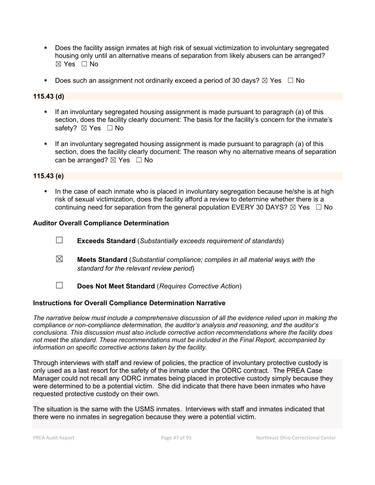- Does the facility assign inmates at high risk of sexual victimization to involuntary segregated housing only until an alternative means of separation from likely abusers can be arranged? ☒ Yes ☐ No
- Does such an assignment not ordinarily exceed a period of 30 days?  $\boxtimes$  Yes  $\Box$  No

## **115.43 (d)**

- If an involuntary segregated housing assignment is made pursuant to paragraph (a) of this section, does the facility clearly document: The basis for the facility's concern for the inmate's safety? ⊠ Yes □ No
- If an involuntary segregated housing assignment is made pursuant to paragraph (a) of this section, does the facility clearly document: The reason why no alternative means of separation can be arranged?  $\boxtimes$  Yes  $\Box$  No

## **115.43 (e)**

In the case of each inmate who is placed in involuntary segregation because he/she is at high risk of sexual victimization, does the facility afford a review to determine whether there is a continuing need for separation from the general population EVERY 30 DAYS?  $\boxtimes$  Yes  $\Box$  No

#### **Auditor Overall Compliance Determination**

- ☐ **Exceeds Standard** (*Substantially exceeds requirement of standards*)
- ☒ **Meets Standard** (*Substantial compliance; complies in all material ways with the standard for the relevant review period*)
	-
- ☐ **Does Not Meet Standard** (*Requires Corrective Action*)

## **Instructions for Overall Compliance Determination Narrative**

*The narrative below must include a comprehensive discussion of all the evidence relied upon in making the compliance or non-compliance determination, the auditor's analysis and reasoning, and the auditor's conclusions. This discussion must also include corrective action recommendations where the facility does not meet the standard. These recommendations must be included in the Final Report, accompanied by information on specific corrective actions taken by the facility.*

Through interviews with staff and review of policies, the practice of involuntary protective custody is only used as a last resort for the safety of the inmate under the ODRC contract. The PREA Case Manager could not recall any ODRC inmates being placed in protective custody simply because they were determined to be a potential victim. She did indicate that there have been inmates who have requested protective custody on their own.

The situation is the same with the USMS inmates. Interviews with staff and inmates indicated that there were no inmates in segregation because they were a potential victim.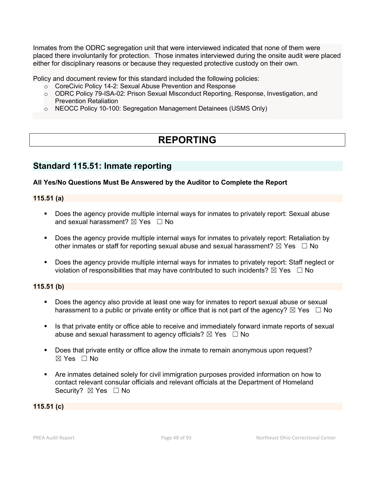Inmates from the ODRC segregation unit that were interviewed indicated that none of them were placed there involuntarily for protection. Those inmates interviewed during the onsite audit were placed either for disciplinary reasons or because they requested protective custody on their own.

Policy and document review for this standard included the following policies:

- o CoreCivic Policy 14-2: Sexual Abuse Prevention and Response
- o ODRC Policy 79-ISA-02: Prison Sexual Misconduct Reporting, Response, Investigation, and Prevention Retaliation
- o NEOCC Policy 10-100: Segregation Management Detainees (USMS Only)

# **REPORTING**

# **Standard 115.51: Inmate reporting**

## **All Yes/No Questions Must Be Answered by the Auditor to Complete the Report**

## **115.51 (a)**

- Does the agency provide multiple internal ways for inmates to privately report: Sexual abuse and sexual harassment?  $\boxtimes$  Yes  $\Box$  No
- Does the agency provide multiple internal ways for inmates to privately report: Retaliation by other inmates or staff for reporting sexual abuse and sexual harassment?  $\boxtimes$  Yes  $\Box$  No
- Does the agency provide multiple internal ways for inmates to privately report: Staff neglect or violation of responsibilities that may have contributed to such incidents?  $\boxtimes$  Yes  $\Box$  No

## **115.51 (b)**

- Does the agency also provide at least one way for inmates to report sexual abuse or sexual harassment to a public or private entity or office that is not part of the agency?  $\boxtimes$  Yes  $\Box$  No
- Is that private entity or office able to receive and immediately forward inmate reports of sexual abuse and sexual harassment to agency officials?  $\boxtimes$  Yes  $\Box$  No
- **Does that private entity or office allow the inmate to remain anonymous upon request?**  $\boxtimes$  Yes  $\Box$  No
- Are inmates detained solely for civil immigration purposes provided information on how to contact relevant consular officials and relevant officials at the Department of Homeland Security? ⊠ Yes □ No

#### **115.51 (c)**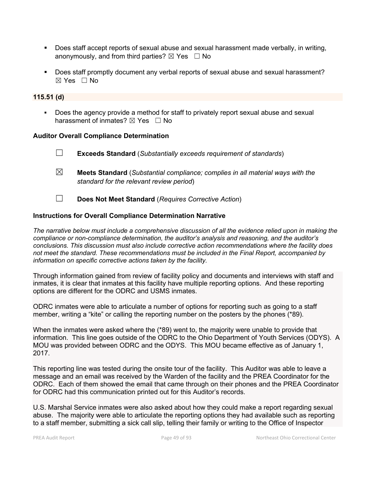- Does staff accept reports of sexual abuse and sexual harassment made verbally, in writing, anonymously, and from third parties?  $\boxtimes$  Yes  $\Box$  No
- Does staff promptly document any verbal reports of sexual abuse and sexual harassment?  $\boxtimes$  Yes  $\Box$  No

## **115.51 (d)**

Does the agency provide a method for staff to privately report sexual abuse and sexual harassment of inmates?  $\boxtimes$  Yes  $\Box$  No

#### **Auditor Overall Compliance Determination**

- ☐ **Exceeds Standard** (*Substantially exceeds requirement of standards*)
- ☒ **Meets Standard** (*Substantial compliance; complies in all material ways with the standard for the relevant review period*)
- ☐ **Does Not Meet Standard** (*Requires Corrective Action*)

#### **Instructions for Overall Compliance Determination Narrative**

*The narrative below must include a comprehensive discussion of all the evidence relied upon in making the compliance or non-compliance determination, the auditor's analysis and reasoning, and the auditor's conclusions. This discussion must also include corrective action recommendations where the facility does not meet the standard. These recommendations must be included in the Final Report, accompanied by information on specific corrective actions taken by the facility.*

Through information gained from review of facility policy and documents and interviews with staff and inmates, it is clear that inmates at this facility have multiple reporting options. And these reporting options are different for the ODRC and USMS inmates.

ODRC inmates were able to articulate a number of options for reporting such as going to a staff member, writing a "kite" or calling the reporting number on the posters by the phones (\*89).

When the inmates were asked where the (\*89) went to, the majority were unable to provide that information. This line goes outside of the ODRC to the Ohio Department of Youth Services (ODYS). A MOU was provided between ODRC and the ODYS. This MOU became effective as of January 1, 2017.

This reporting line was tested during the onsite tour of the facility. This Auditor was able to leave a message and an email was received by the Warden of the facility and the PREA Coordinator for the ODRC. Each of them showed the email that came through on their phones and the PREA Coordinator for ODRC had this communication printed out for this Auditor's records.

U.S. Marshal Service inmates were also asked about how they could make a report regarding sexual abuse. The majority were able to articulate the reporting options they had available such as reporting to a staff member, submitting a sick call slip, telling their family or writing to the Office of Inspector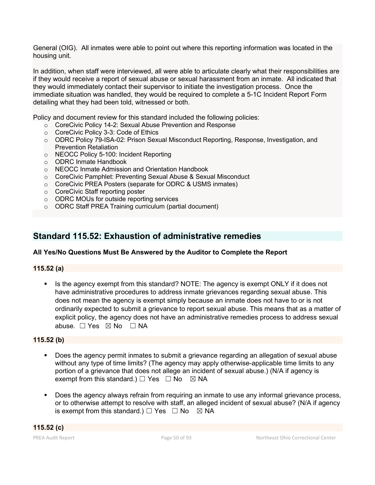General (OIG). All inmates were able to point out where this reporting information was located in the housing unit.

In addition, when staff were interviewed, all were able to articulate clearly what their responsibilities are if they would receive a report of sexual abuse or sexual harassment from an inmate. All indicated that they would immediately contact their supervisor to initiate the investigation process. Once the immediate situation was handled, they would be required to complete a 5-1C Incident Report Form detailing what they had been told, witnessed or both.

Policy and document review for this standard included the following policies:

- o CoreCivic Policy 14-2: Sexual Abuse Prevention and Response
- o CoreCivic Policy 3-3: Code of Ethics
- o ODRC Policy 79-ISA-02: Prison Sexual Misconduct Reporting, Response, Investigation, and Prevention Retaliation
- o NEOCC Policy 5-100: Incident Reporting
- o ODRC Inmate Handbook
- o NEOCC Inmate Admission and Orientation Handbook
- o CoreCivic Pamphlet: Preventing Sexual Abuse & Sexual Misconduct
- o CoreCivic PREA Posters (separate for ODRC & USMS inmates)
- o CoreCivic Staff reporting poster
- o ODRC MOUs for outside reporting services
- o ODRC Staff PREA Training curriculum (partial document)

# **Standard 115.52: Exhaustion of administrative remedies**

## **All Yes/No Questions Must Be Answered by the Auditor to Complete the Report**

## **115.52 (a)**

 Is the agency exempt from this standard? NOTE: The agency is exempt ONLY if it does not have administrative procedures to address inmate grievances regarding sexual abuse. This does not mean the agency is exempt simply because an inmate does not have to or is not ordinarily expected to submit a grievance to report sexual abuse. This means that as a matter of explicit policy, the agency does not have an administrative remedies process to address sexual abuse. □ Yes ⊠ No □ NA

## **115.52 (b)**

- Does the agency permit inmates to submit a grievance regarding an allegation of sexual abuse without any type of time limits? (The agency may apply otherwise-applicable time limits to any portion of a grievance that does not allege an incident of sexual abuse.) (N/A if agency is exempt from this standard.)  $\Box$  Yes  $\Box$  No  $\boxtimes$  NA
- Does the agency always refrain from requiring an inmate to use any informal grievance process, or to otherwise attempt to resolve with staff, an alleged incident of sexual abuse? (N/A if agency is exempt from this standard.)  $\Box$  Yes  $\Box$  No  $\boxtimes$  NA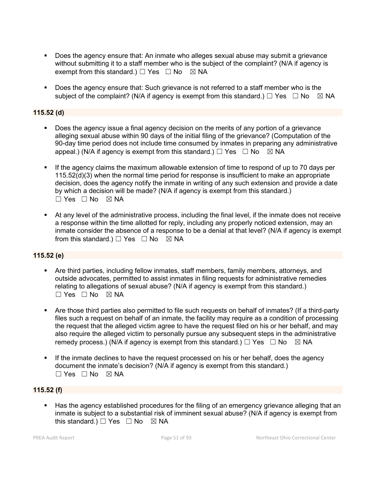- Does the agency ensure that: An inmate who alleges sexual abuse may submit a grievance without submitting it to a staff member who is the subject of the complaint? (N/A if agency is exempt from this standard.)  $\Box$  Yes  $\Box$  No  $\boxtimes$  NA
- Does the agency ensure that: Such grievance is not referred to a staff member who is the subject of the complaint? (N/A if agency is exempt from this standard.)  $\Box$  Yes  $\Box$  No  $\boxtimes$  NA

## **115.52 (d)**

- Does the agency issue a final agency decision on the merits of any portion of a grievance alleging sexual abuse within 90 days of the initial filing of the grievance? (Computation of the 90-day time period does not include time consumed by inmates in preparing any administrative appeal.) (N/A if agency is exempt from this standard.)  $\Box$  Yes  $\Box$  No  $\boxtimes$  NA
- If the agency claims the maximum allowable extension of time to respond of up to 70 days per 115.52(d)(3) when the normal time period for response is insufficient to make an appropriate decision, does the agency notify the inmate in writing of any such extension and provide a date by which a decision will be made? (N/A if agency is exempt from this standard.)  $\Box$  Yes  $\Box$  No  $\boxtimes$  NA
- At any level of the administrative process, including the final level, if the inmate does not receive a response within the time allotted for reply, including any properly noticed extension, may an inmate consider the absence of a response to be a denial at that level? (N/A if agency is exempt from this standard.)  $\Box$  Yes  $\Box$  No  $\boxtimes$  NA

## **115.52 (e)**

- Are third parties, including fellow inmates, staff members, family members, attorneys, and outside advocates, permitted to assist inmates in filing requests for administrative remedies relating to allegations of sexual abuse? (N/A if agency is exempt from this standard.)  $\Box$  Yes  $\Box$  No  $\boxtimes$  NA
- Are those third parties also permitted to file such requests on behalf of inmates? (If a third-party files such a request on behalf of an inmate, the facility may require as a condition of processing the request that the alleged victim agree to have the request filed on his or her behalf, and may also require the alleged victim to personally pursue any subsequent steps in the administrative remedy process.) (N/A if agency is exempt from this standard.)  $\Box$  Yes  $\Box$  No  $\boxtimes$  NA
- If the inmate declines to have the request processed on his or her behalf, does the agency document the inmate's decision? (N/A if agency is exempt from this standard.)  $\Box$  Yes  $\Box$  No  $\boxtimes$  NA

#### **115.52 (f)**

 Has the agency established procedures for the filing of an emergency grievance alleging that an inmate is subject to a substantial risk of imminent sexual abuse? (N/A if agency is exempt from this standard.)  $\Box$  Yes  $\Box$  No  $\boxtimes$  NA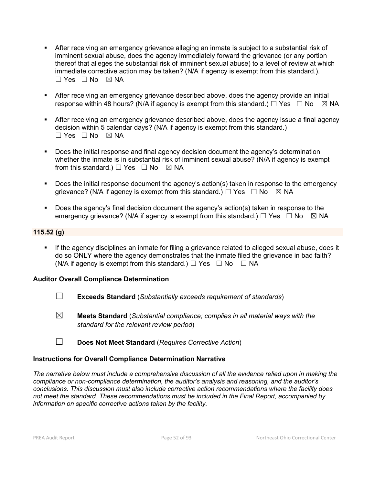- After receiving an emergency grievance alleging an inmate is subject to a substantial risk of imminent sexual abuse, does the agency immediately forward the grievance (or any portion thereof that alleges the substantial risk of imminent sexual abuse) to a level of review at which immediate corrective action may be taken? (N/A if agency is exempt from this standard.).  $\Box$  Yes  $\Box$  No  $\boxtimes$  NA
- After receiving an emergency grievance described above, does the agency provide an initial response within 48 hours? (N/A if agency is exempt from this standard.)  $\Box$  Yes  $\Box$  No  $\boxtimes$  NA
- After receiving an emergency grievance described above, does the agency issue a final agency decision within 5 calendar days? (N/A if agency is exempt from this standard.)  $\Box$  Yes  $\Box$  No  $\boxtimes$  NA
- Does the initial response and final agency decision document the agency's determination whether the inmate is in substantial risk of imminent sexual abuse? (N/A if agency is exempt from this standard.)  $\Box$  Yes  $\Box$  No  $\boxtimes$  NA
- Does the initial response document the agency's action(s) taken in response to the emergency grievance? (N/A if agency is exempt from this standard.)  $\Box$  Yes  $\Box$  No  $\boxtimes$  NA
- Does the agency's final decision document the agency's action(s) taken in response to the emergency grievance? (N/A if agency is exempt from this standard.)  $\Box$  Yes  $\Box$  No  $\boxtimes$  NA

## **115.52 (g)**

 If the agency disciplines an inmate for filing a grievance related to alleged sexual abuse, does it do so ONLY where the agency demonstrates that the inmate filed the grievance in bad faith? (N/A if agency is exempt from this standard.)  $\Box$  Yes  $\Box$  No  $\Box$  NA

## **Auditor Overall Compliance Determination**

- ☐ **Exceeds Standard** (*Substantially exceeds requirement of standards*)
- ☒ **Meets Standard** (*Substantial compliance; complies in all material ways with the standard for the relevant review period*)
- ☐ **Does Not Meet Standard** (*Requires Corrective Action*)

#### **Instructions for Overall Compliance Determination Narrative**

*The narrative below must include a comprehensive discussion of all the evidence relied upon in making the compliance or non-compliance determination, the auditor's analysis and reasoning, and the auditor's conclusions. This discussion must also include corrective action recommendations where the facility does not meet the standard. These recommendations must be included in the Final Report, accompanied by information on specific corrective actions taken by the facility.*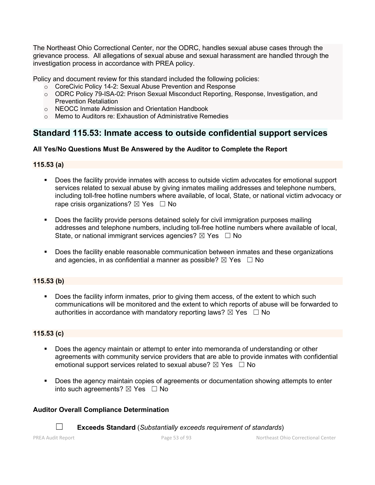The Northeast Ohio Correctional Center, nor the ODRC, handles sexual abuse cases through the grievance process. All allegations of sexual abuse and sexual harassment are handled through the investigation process in accordance with PREA policy.

Policy and document review for this standard included the following policies:

- o CoreCivic Policy 14-2: Sexual Abuse Prevention and Response
- o ODRC Policy 79-ISA-02: Prison Sexual Misconduct Reporting, Response, Investigation, and Prevention Retaliation
- o NEOCC Inmate Admission and Orientation Handbook
- o Memo to Auditors re: Exhaustion of Administrative Remedies

# **Standard 115.53: Inmate access to outside confidential support services**

## **All Yes/No Questions Must Be Answered by the Auditor to Complete the Report**

## **115.53 (a)**

- Does the facility provide inmates with access to outside victim advocates for emotional support services related to sexual abuse by giving inmates mailing addresses and telephone numbers, including toll-free hotline numbers where available, of local, State, or national victim advocacy or rape crisis organizations?  $\boxtimes$  Yes  $\Box$  No
- **Does the facility provide persons detained solely for civil immigration purposes mailing** addresses and telephone numbers, including toll-free hotline numbers where available of local, State, or national immigrant services agencies?  $\boxtimes$  Yes  $\Box$  No
- **Does the facility enable reasonable communication between inmates and these organizations** and agencies, in as confidential a manner as possible?  $\boxtimes$  Yes  $\Box$  No

## **115.53 (b)**

Does the facility inform inmates, prior to giving them access, of the extent to which such communications will be monitored and the extent to which reports of abuse will be forwarded to authorities in accordance with mandatory reporting laws?  $\boxtimes$  Yes  $\Box$  No

## **115.53 (c)**

- Does the agency maintain or attempt to enter into memoranda of understanding or other agreements with community service providers that are able to provide inmates with confidential emotional support services related to sexual abuse?  $\boxtimes$  Yes  $\Box$  No
- Does the agency maintain copies of agreements or documentation showing attempts to enter into such agreements?  $\boxtimes$  Yes  $\Box$  No

## **Auditor Overall Compliance Determination**

☐ **Exceeds Standard** (*Substantially exceeds requirement of standards*)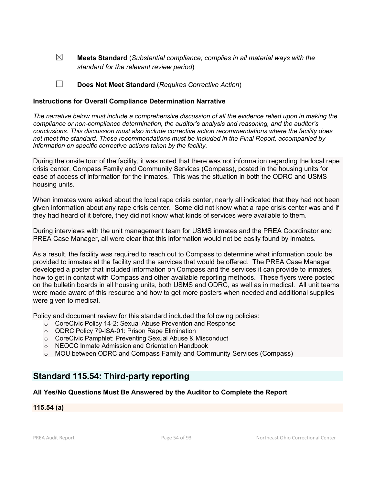☒ **Meets Standard** (*Substantial compliance; complies in all material ways with the standard for the relevant review period*)

☐ **Does Not Meet Standard** (*Requires Corrective Action*)

#### **Instructions for Overall Compliance Determination Narrative**

*The narrative below must include a comprehensive discussion of all the evidence relied upon in making the compliance or non-compliance determination, the auditor's analysis and reasoning, and the auditor's conclusions. This discussion must also include corrective action recommendations where the facility does not meet the standard. These recommendations must be included in the Final Report, accompanied by information on specific corrective actions taken by the facility.*

During the onsite tour of the facility, it was noted that there was not information regarding the local rape crisis center, Compass Family and Community Services (Compass), posted in the housing units for ease of access of information for the inmates. This was the situation in both the ODRC and USMS housing units.

When inmates were asked about the local rape crisis center, nearly all indicated that they had not been given information about any rape crisis center. Some did not know what a rape crisis center was and if they had heard of it before, they did not know what kinds of services were available to them.

During interviews with the unit management team for USMS inmates and the PREA Coordinator and PREA Case Manager, all were clear that this information would not be easily found by inmates.

As a result, the facility was required to reach out to Compass to determine what information could be provided to inmates at the facility and the services that would be offered. The PREA Case Manager developed a poster that included information on Compass and the services it can provide to inmates, how to get in contact with Compass and other available reporting methods. These flyers were posted on the bulletin boards in all housing units, both USMS and ODRC, as well as in medical. All unit teams were made aware of this resource and how to get more posters when needed and additional supplies were given to medical.

Policy and document review for this standard included the following policies:

- o CoreCivic Policy 14-2: Sexual Abuse Prevention and Response
- o ODRC Policy 79-ISA-01: Prison Rape Elimination
- o CoreCivic Pamphlet: Preventing Sexual Abuse & Misconduct
- o NEOCC Inmate Admission and Orientation Handbook
- o MOU between ODRC and Compass Family and Community Services (Compass)

# **Standard 115.54: Third-party reporting**

## **All Yes/No Questions Must Be Answered by the Auditor to Complete the Report**

## **115.54 (a)**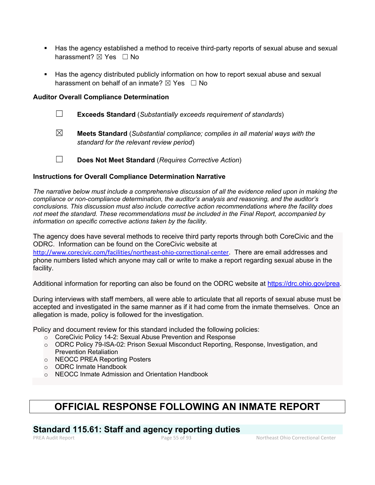- Has the agency established a method to receive third-party reports of sexual abuse and sexual harassment?  $\boxtimes$  Yes  $\Box$  No
- Has the agency distributed publicly information on how to report sexual abuse and sexual harassment on behalf of an inmate?  $\boxtimes$  Yes  $\Box$  No

#### **Auditor Overall Compliance Determination**

- ☐ **Exceeds Standard** (*Substantially exceeds requirement of standards*)
- ☒ **Meets Standard** (*Substantial compliance; complies in all material ways with the standard for the relevant review period*)
- ☐ **Does Not Meet Standard** (*Requires Corrective Action*)

## **Instructions for Overall Compliance Determination Narrative**

*The narrative below must include a comprehensive discussion of all the evidence relied upon in making the compliance or non-compliance determination, the auditor's analysis and reasoning, and the auditor's conclusions. This discussion must also include corrective action recommendations where the facility does not meet the standard. These recommendations must be included in the Final Report, accompanied by information on specific corrective actions taken by the facility.*

The agency does have several methods to receive third party reports through both CoreCivic and the ODRC. Information can be found on the CoreCivic website at

<http://www.corecivic.com/facilities/northeast-ohio-correctional-center>. There are email addresses and phone numbers listed which anyone may call or write to make a report regarding sexual abuse in the facility.

Additional information for reporting can also be found on the ODRC website at [https://drc.ohio.gov/prea.](https://drc.ohio.gov/prea)

During interviews with staff members, all were able to articulate that all reports of sexual abuse must be accepted and investigated in the same manner as if it had come from the inmate themselves. Once an allegation is made, policy is followed for the investigation.

Policy and document review for this standard included the following policies:

- o CoreCivic Policy 14-2: Sexual Abuse Prevention and Response
- o ODRC Policy 79-ISA-02: Prison Sexual Misconduct Reporting, Response, Investigation, and Prevention Retaliation
- o NEOCC PREA Reporting Posters
- o ODRC Inmate Handbook
- o NEOCC Inmate Admission and Orientation Handbook

# **OFFICIAL RESPONSE FOLLOWING AN INMATE REPORT**

## **Standard 115.61: Staff and agency reporting duties**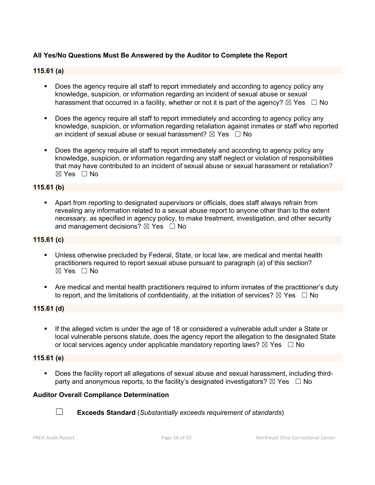## **All Yes/No Questions Must Be Answered by the Auditor to Complete the Report**

## **115.61 (a)**

- Does the agency require all staff to report immediately and according to agency policy any knowledge, suspicion, or information regarding an incident of sexual abuse or sexual harassment that occurred in a facility, whether or not it is part of the agency?  $\boxtimes$  Yes  $\Box$  No
- Does the agency require all staff to report immediately and according to agency policy any knowledge, suspicion, or information regarding retaliation against inmates or staff who reported an incident of sexual abuse or sexual harassment?  $\boxtimes$  Yes  $\Box$  No
- Does the agency require all staff to report immediately and according to agency policy any knowledge, suspicion, or information regarding any staff neglect or violation of responsibilities that may have contributed to an incident of sexual abuse or sexual harassment or retaliation? ☒ Yes ☐ No

#### **115.61 (b)**

 Apart from reporting to designated supervisors or officials, does staff always refrain from revealing any information related to a sexual abuse report to anyone other than to the extent necessary, as specified in agency policy, to make treatment, investigation, and other security and management decisions?  $\boxtimes$  Yes  $\Box$  No

#### **115.61 (c)**

- Unless otherwise precluded by Federal, State, or local law, are medical and mental health practitioners required to report sexual abuse pursuant to paragraph (a) of this section?  $\boxtimes$  Yes  $\Box$  No
- Are medical and mental health practitioners required to inform inmates of the practitioner's duty to report, and the limitations of confidentiality, at the initiation of services?  $\boxtimes$  Yes  $\Box$  No

## **115.61 (d)**

 If the alleged victim is under the age of 18 or considered a vulnerable adult under a State or local vulnerable persons statute, does the agency report the allegation to the designated State or local services agency under applicable mandatory reporting laws?  $\boxtimes$  Yes  $\Box$  No

#### **115.61 (e)**

 Does the facility report all allegations of sexual abuse and sexual harassment, including thirdparty and anonymous reports, to the facility's designated investigators?  $\boxtimes$  Yes  $\Box$  No

#### **Auditor Overall Compliance Determination**



☐ **Exceeds Standard** (*Substantially exceeds requirement of standards*)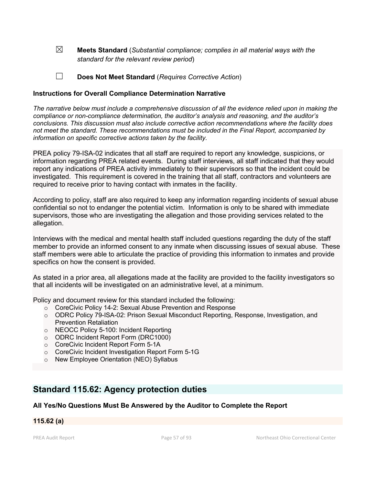☒ **Meets Standard** (*Substantial compliance; complies in all material ways with the standard for the relevant review period*)

☐ **Does Not Meet Standard** (*Requires Corrective Action*)

#### **Instructions for Overall Compliance Determination Narrative**

*The narrative below must include a comprehensive discussion of all the evidence relied upon in making the compliance or non-compliance determination, the auditor's analysis and reasoning, and the auditor's conclusions. This discussion must also include corrective action recommendations where the facility does not meet the standard. These recommendations must be included in the Final Report, accompanied by information on specific corrective actions taken by the facility.*

PREA policy 79-ISA-02 indicates that all staff are required to report any knowledge, suspicions, or information regarding PREA related events. During staff interviews, all staff indicated that they would report any indications of PREA activity immediately to their supervisors so that the incident could be investigated. This requirement is covered in the training that all staff, contractors and volunteers are required to receive prior to having contact with inmates in the facility.

According to policy, staff are also required to keep any information regarding incidents of sexual abuse confidential so not to endanger the potential victim. Information is only to be shared with immediate supervisors, those who are investigating the allegation and those providing services related to the allegation.

Interviews with the medical and mental health staff included questions regarding the duty of the staff member to provide an informed consent to any inmate when discussing issues of sexual abuse. These staff members were able to articulate the practice of providing this information to inmates and provide specifics on how the consent is provided.

As stated in a prior area, all allegations made at the facility are provided to the facility investigators so that all incidents will be investigated on an administrative level, at a minimum.

Policy and document review for this standard included the following:

- o CoreCivic Policy 14-2: Sexual Abuse Prevention and Response
- o ODRC Policy 79-ISA-02: Prison Sexual Misconduct Reporting, Response, Investigation, and Prevention Retaliation
- o NEOCC Policy 5-100: Incident Reporting
- o ODRC Incident Report Form (DRC1000)
- o CoreCivic Incident Report Form 5-1A
- o CoreCivic Incident Investigation Report Form 5-1G
- o New Employee Orientation (NEO) Syllabus

# **Standard 115.62: Agency protection duties**

#### **All Yes/No Questions Must Be Answered by the Auditor to Complete the Report**

## **115.62 (a)**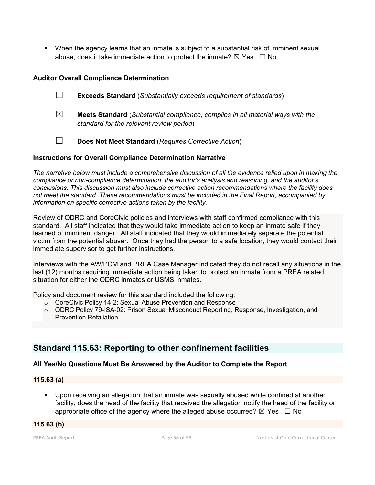When the agency learns that an inmate is subject to a substantial risk of imminent sexual abuse, does it take immediate action to protect the inmate?  $\boxtimes$  Yes  $\Box$  No

## **Auditor Overall Compliance Determination**

- ☐ **Exceeds Standard** (*Substantially exceeds requirement of standards*)
- ☒ **Meets Standard** (*Substantial compliance; complies in all material ways with the standard for the relevant review period*)
- ☐ **Does Not Meet Standard** (*Requires Corrective Action*)

## **Instructions for Overall Compliance Determination Narrative**

*The narrative below must include a comprehensive discussion of all the evidence relied upon in making the compliance or non-compliance determination, the auditor's analysis and reasoning, and the auditor's conclusions. This discussion must also include corrective action recommendations where the facility does not meet the standard. These recommendations must be included in the Final Report, accompanied by information on specific corrective actions taken by the facility.*

Review of ODRC and CoreCivic policies and interviews with staff confirmed compliance with this standard. All staff indicated that they would take immediate action to keep an inmate safe if they learned of imminent danger. All staff indicated that they would immediately separate the potential victim from the potential abuser. Once they had the person to a safe location, they would contact their immediate supervisor to get further instructions.

Interviews with the AW/PCM and PREA Case Manager indicated they do not recall any situations in the last (12) months requiring immediate action being taken to protect an inmate from a PREA related situation for either the ODRC inmates or USMS inmates.

Policy and document review for this standard included the following:

- o CoreCivic Policy 14-2: Sexual Abuse Prevention and Response
- o ODRC Policy 79-ISA-02: Prison Sexual Misconduct Reporting, Response, Investigation, and Prevention Retaliation

# **Standard 115.63: Reporting to other confinement facilities**

## **All Yes/No Questions Must Be Answered by the Auditor to Complete the Report**

## **115.63 (a)**

 Upon receiving an allegation that an inmate was sexually abused while confined at another facility, does the head of the facility that received the allegation notify the head of the facility or appropriate office of the agency where the alleged abuse occurred?  $\boxtimes$  Yes  $\Box$  No

## **115.63 (b)**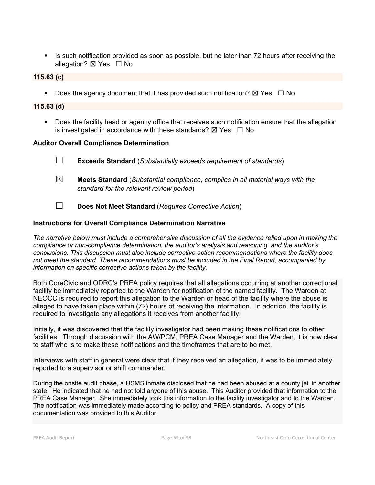Is such notification provided as soon as possible, but no later than 72 hours after receiving the allegation?  $\boxtimes$  Yes  $\Box$  No

## **115.63 (c)**

Does the agency document that it has provided such notification?  $\boxtimes$  Yes  $\Box$  No

#### **115.63 (d)**

 Does the facility head or agency office that receives such notification ensure that the allegation is investigated in accordance with these standards?  $\boxtimes$  Yes  $\Box$  No

#### **Auditor Overall Compliance Determination**

- ☐ **Exceeds Standard** (*Substantially exceeds requirement of standards*)
- ☒ **Meets Standard** (*Substantial compliance; complies in all material ways with the standard for the relevant review period*)
- ☐ **Does Not Meet Standard** (*Requires Corrective Action*)

#### **Instructions for Overall Compliance Determination Narrative**

*The narrative below must include a comprehensive discussion of all the evidence relied upon in making the compliance or non-compliance determination, the auditor's analysis and reasoning, and the auditor's conclusions. This discussion must also include corrective action recommendations where the facility does not meet the standard. These recommendations must be included in the Final Report, accompanied by information on specific corrective actions taken by the facility.*

Both CoreCivic and ODRC's PREA policy requires that all allegations occurring at another correctional facility be immediately reported to the Warden for notification of the named facility. The Warden at NEOCC is required to report this allegation to the Warden or head of the facility where the abuse is alleged to have taken place within (72) hours of receiving the information. In addition, the facility is required to investigate any allegations it receives from another facility.

Initially, it was discovered that the facility investigator had been making these notifications to other facilities. Through discussion with the AW/PCM, PREA Case Manager and the Warden, it is now clear to staff who is to make these notifications and the timeframes that are to be met.

Interviews with staff in general were clear that if they received an allegation, it was to be immediately reported to a supervisor or shift commander.

During the onsite audit phase, a USMS inmate disclosed that he had been abused at a county jail in another state. He indicated that he had not told anyone of this abuse. This Auditor provided that information to the PREA Case Manager. She immediately took this information to the facility investigator and to the Warden. The notification was immediately made according to policy and PREA standards. A copy of this documentation was provided to this Auditor.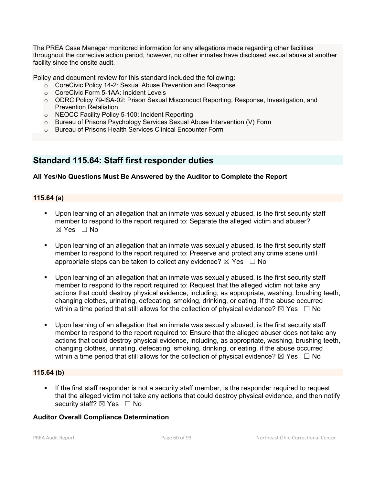The PREA Case Manager monitored information for any allegations made regarding other facilities throughout the corrective action period, however, no other inmates have disclosed sexual abuse at another facility since the onsite audit.

Policy and document review for this standard included the following:

- o CoreCivic Policy 14-2: Sexual Abuse Prevention and Response
- o CoreCivic Form 5-1AA: Incident Levels
- o ODRC Policy 79-ISA-02: Prison Sexual Misconduct Reporting, Response, Investigation, and Prevention Retaliation
- o NEOCC Facility Policy 5-100: Incident Reporting
- o Bureau of Prisons Psychology Services Sexual Abuse Intervention (V) Form
- o Bureau of Prisons Health Services Clinical Encounter Form

# **Standard 115.64: Staff first responder duties**

## **All Yes/No Questions Must Be Answered by the Auditor to Complete the Report**

## **115.64 (a)**

- Upon learning of an allegation that an inmate was sexually abused, is the first security staff member to respond to the report required to: Separate the alleged victim and abuser? ☒ Yes ☐ No
- Upon learning of an allegation that an inmate was sexually abused, is the first security staff member to respond to the report required to: Preserve and protect any crime scene until appropriate steps can be taken to collect any evidence?  $\boxtimes$  Yes  $\Box$  No
- Upon learning of an allegation that an inmate was sexually abused, is the first security staff member to respond to the report required to: Request that the alleged victim not take any actions that could destroy physical evidence, including, as appropriate, washing, brushing teeth, changing clothes, urinating, defecating, smoking, drinking, or eating, if the abuse occurred within a time period that still allows for the collection of physical evidence?  $\boxtimes$  Yes  $\Box$  No
- Upon learning of an allegation that an inmate was sexually abused, is the first security staff member to respond to the report required to: Ensure that the alleged abuser does not take any actions that could destroy physical evidence, including, as appropriate, washing, brushing teeth, changing clothes, urinating, defecating, smoking, drinking, or eating, if the abuse occurred within a time period that still allows for the collection of physical evidence?  $\boxtimes$  Yes  $\Box$  No

## **115.64 (b)**

 If the first staff responder is not a security staff member, is the responder required to request that the alleged victim not take any actions that could destroy physical evidence, and then notify security staff?  $\boxtimes$  Yes  $\Box$  No

## **Auditor Overall Compliance Determination**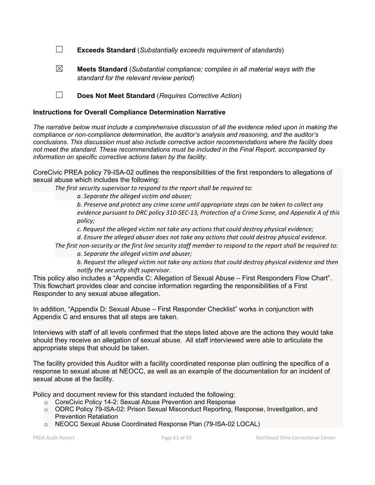☐ **Exceeds Standard** (*Substantially exceeds requirement of standards*)

☒ **Meets Standard** (*Substantial compliance; complies in all material ways with the standard for the relevant review period*)

☐ **Does Not Meet Standard** (*Requires Corrective Action*)

#### **Instructions for Overall Compliance Determination Narrative**

*The narrative below must include a comprehensive discussion of all the evidence relied upon in making the compliance or non-compliance determination, the auditor's analysis and reasoning, and the auditor's conclusions. This discussion must also include corrective action recommendations where the facility does not meet the standard. These recommendations must be included in the Final Report, accompanied by information on specific corrective actions taken by the facility.*

CoreCivic PREA policy 79-ISA-02 outlines the responsibilities of the first responders to allegations of sexual abuse which includes the following:

*The first security supervisor to respond to the report shall be required to:* 

*a. Separate the alleged victim and abuser;* 

*b. Preserve and protect any crime scene until appropriate steps can be taken to collect any evidence pursuant to DRC policy 310-SEC-13, Protection of a Crime Scene, and Appendix A of this policy;* 

*c. Request the alleged victim not take any actions that could destroy physical evidence;* 

*d. Ensure the alleged abuser does not take any actions that could destroy physical evidence.* 

*The first non-security or the first line security staff member to respond to the report shall be required to:* 

*a. Separate the alleged victim and abuser;* 

*b. Request the alleged victim not take any actions that could destroy physical evidence and then notify the security shift supervisor.*

This policy also includes a "Appendix C: Allegation of Sexual Abuse – First Responders Flow Chart". This flowchart provides clear and concise information regarding the responsibilities of a First Responder to any sexual abuse allegation.

In addition, "Appendix D: Sexual Abuse – First Responder Checklist" works in conjunction with Appendix C and ensures that all steps are taken.

Interviews with staff of all levels confirmed that the steps listed above are the actions they would take should they receive an allegation of sexual abuse. All staff interviewed were able to articulate the appropriate steps that should be taken.

The facility provided this Auditor with a facility coordinated response plan outlining the specifics of a response to sexual abuse at NEOCC, as well as an example of the documentation for an incident of sexual abuse at the facility.

Policy and document review for this standard included the following:

- o CoreCivic Policy 14-2: Sexual Abuse Prevention and Response
- o ODRC Policy 79-ISA-02: Prison Sexual Misconduct Reporting, Response, Investigation, and Prevention Retaliation
- o NEOCC Sexual Abuse Coordinated Response Plan (79-ISA-02 LOCAL)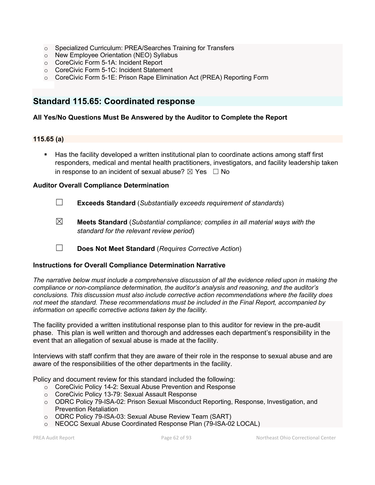- o Specialized Curriculum: PREA/Searches Training for Transfers
- o New Employee Orientation (NEO) Syllabus
- o CoreCivic Form 5-1A: Incident Report
- o CoreCivic Form 5-1C: Incident Statement
- o CoreCivic Form 5-1E: Prison Rape Elimination Act (PREA) Reporting Form

# **Standard 115.65: Coordinated response**

## **All Yes/No Questions Must Be Answered by the Auditor to Complete the Report**

#### **115.65 (a)**

 Has the facility developed a written institutional plan to coordinate actions among staff first responders, medical and mental health practitioners, investigators, and facility leadership taken in response to an incident of sexual abuse?  $\boxtimes$  Yes  $\Box$  No

## **Auditor Overall Compliance Determination**

- ☐ **Exceeds Standard** (*Substantially exceeds requirement of standards*)
- ☒ **Meets Standard** (*Substantial compliance; complies in all material ways with the standard for the relevant review period*)
- ☐ **Does Not Meet Standard** (*Requires Corrective Action*)

## **Instructions for Overall Compliance Determination Narrative**

*The narrative below must include a comprehensive discussion of all the evidence relied upon in making the compliance or non-compliance determination, the auditor's analysis and reasoning, and the auditor's conclusions. This discussion must also include corrective action recommendations where the facility does not meet the standard. These recommendations must be included in the Final Report, accompanied by information on specific corrective actions taken by the facility.*

The facility provided a written institutional response plan to this auditor for review in the pre-audit phase. This plan is well written and thorough and addresses each department's responsibility in the event that an allegation of sexual abuse is made at the facility.

Interviews with staff confirm that they are aware of their role in the response to sexual abuse and are aware of the responsibilities of the other departments in the facility.

Policy and document review for this standard included the following:

- o CoreCivic Policy 14-2: Sexual Abuse Prevention and Response
- o CoreCivic Policy 13-79: Sexual Assault Response
- o ODRC Policy 79-ISA-02: Prison Sexual Misconduct Reporting, Response, Investigation, and Prevention Retaliation
- o ODRC Policy 79-ISA-03: Sexual Abuse Review Team (SART)
- o NEOCC Sexual Abuse Coordinated Response Plan (79-ISA-02 LOCAL)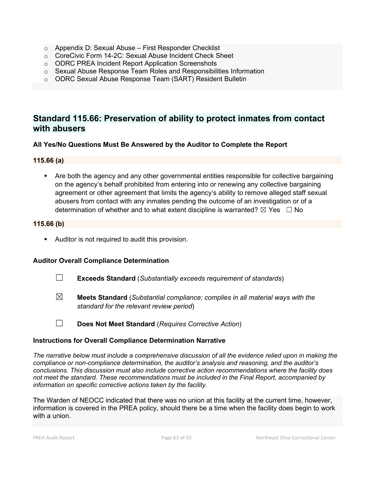- o Appendix D: Sexual Abuse First Responder Checklist
- o CoreCivic Form 14-2C: Sexual Abuse Incident Check Sheet
- o ODRC PREA Incident Report Application Screenshots
- o Sexual Abuse Response Team Roles and Responsibilities Information
- o ODRC Sexual Abuse Response Team (SART) Resident Bulletin

# **Standard 115.66: Preservation of ability to protect inmates from contact with abusers**

## **All Yes/No Questions Must Be Answered by the Auditor to Complete the Report**

#### **115.66 (a)**

 Are both the agency and any other governmental entities responsible for collective bargaining on the agency's behalf prohibited from entering into or renewing any collective bargaining agreement or other agreement that limits the agency's ability to remove alleged staff sexual abusers from contact with any inmates pending the outcome of an investigation or of a determination of whether and to what extent discipline is warranted?  $\boxtimes$  Yes  $\Box$  No

#### **115.66 (b)**

Auditor is not required to audit this provision.

#### **Auditor Overall Compliance Determination**

- ☐ **Exceeds Standard** (*Substantially exceeds requirement of standards*)
- ☒ **Meets Standard** (*Substantial compliance; complies in all material ways with the standard for the relevant review period*)
- ☐ **Does Not Meet Standard** (*Requires Corrective Action*)

#### **Instructions for Overall Compliance Determination Narrative**

*The narrative below must include a comprehensive discussion of all the evidence relied upon in making the compliance or non-compliance determination, the auditor's analysis and reasoning, and the auditor's conclusions. This discussion must also include corrective action recommendations where the facility does not meet the standard. These recommendations must be included in the Final Report, accompanied by information on specific corrective actions taken by the facility.*

The Warden of NEOCC indicated that there was no union at this facility at the current time, however, information is covered in the PREA policy, should there be a time when the facility does begin to work with a union.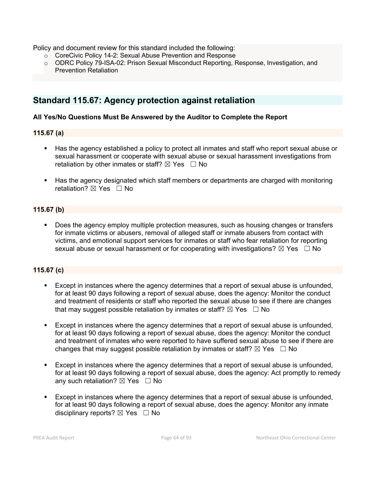Policy and document review for this standard included the following:

- o CoreCivic Policy 14-2: Sexual Abuse Prevention and Response
- o ODRC Policy 79-ISA-02: Prison Sexual Misconduct Reporting, Response, Investigation, and Prevention Retaliation

# **Standard 115.67: Agency protection against retaliation**

## **All Yes/No Questions Must Be Answered by the Auditor to Complete the Report**

## **115.67 (a)**

- Has the agency established a policy to protect all inmates and staff who report sexual abuse or sexual harassment or cooperate with sexual abuse or sexual harassment investigations from retaliation by other inmates or staff?  $\boxtimes$  Yes  $\Box$  No
- Has the agency designated which staff members or departments are charged with monitoring retaliation? ⊠ Yes □ No

## **115.67 (b)**

 Does the agency employ multiple protection measures, such as housing changes or transfers for inmate victims or abusers, removal of alleged staff or inmate abusers from contact with victims, and emotional support services for inmates or staff who fear retaliation for reporting sexual abuse or sexual harassment or for cooperating with investigations?  $\boxtimes$  Yes  $\Box$  No

## **115.67 (c)**

- Except in instances where the agency determines that a report of sexual abuse is unfounded, for at least 90 days following a report of sexual abuse, does the agency: Monitor the conduct and treatment of residents or staff who reported the sexual abuse to see if there are changes that may suggest possible retaliation by inmates or staff?  $\boxtimes$  Yes  $\Box$  No
- Except in instances where the agency determines that a report of sexual abuse is unfounded, for at least 90 days following a report of sexual abuse, does the agency: Monitor the conduct and treatment of inmates who were reported to have suffered sexual abuse to see if there are changes that may suggest possible retaliation by inmates or staff?  $\boxtimes$  Yes  $\Box$  No
- Except in instances where the agency determines that a report of sexual abuse is unfounded, for at least 90 days following a report of sexual abuse, does the agency: Act promptly to remedy any such retaliation?  $\boxtimes$  Yes  $\Box$  No
- Except in instances where the agency determines that a report of sexual abuse is unfounded, for at least 90 days following a report of sexual abuse, does the agency: Monitor any inmate disciplinary reports?  $\boxtimes$  Yes  $\Box$  No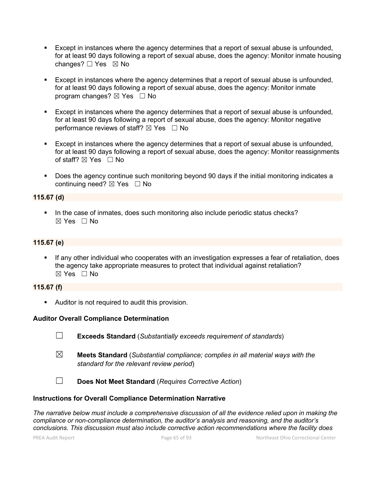- Except in instances where the agency determines that a report of sexual abuse is unfounded, for at least 90 days following a report of sexual abuse, does the agency: Monitor inmate housing changes? □ Yes ⊠ No
- Except in instances where the agency determines that a report of sexual abuse is unfounded, for at least 90 days following a report of sexual abuse, does the agency: Monitor inmate program changes?  $\boxtimes$  Yes  $\Box$  No
- Except in instances where the agency determines that a report of sexual abuse is unfounded, for at least 90 days following a report of sexual abuse, does the agency: Monitor negative performance reviews of staff?  $\boxtimes$  Yes  $\Box$  No
- Except in instances where the agency determines that a report of sexual abuse is unfounded, for at least 90 days following a report of sexual abuse, does the agency: Monitor reassignments of staff?  $\boxtimes$  Yes  $\Box$  No
- Does the agency continue such monitoring beyond 90 days if the initial monitoring indicates a continuing need?  $\boxtimes$  Yes  $\Box$  No

## **115.67 (d)**

In the case of inmates, does such monitoring also include periodic status checks?  $\boxtimes$  Yes  $\Box$  No

## **115.67 (e)**

 If any other individual who cooperates with an investigation expresses a fear of retaliation, does the agency take appropriate measures to protect that individual against retaliation? ☒ Yes ☐ No

## **115.67 (f)**

Auditor is not required to audit this provision.

## **Auditor Overall Compliance Determination**

- ☐ **Exceeds Standard** (*Substantially exceeds requirement of standards*)
- ☒ **Meets Standard** (*Substantial compliance; complies in all material ways with the standard for the relevant review period*)
- ☐ **Does Not Meet Standard** (*Requires Corrective Action*)

#### **Instructions for Overall Compliance Determination Narrative**

*The narrative below must include a comprehensive discussion of all the evidence relied upon in making the compliance or non-compliance determination, the auditor's analysis and reasoning, and the auditor's conclusions. This discussion must also include corrective action recommendations where the facility does*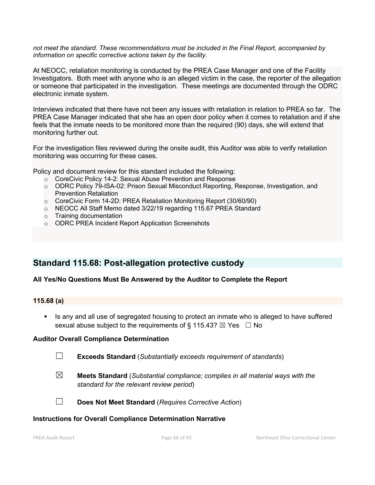*not meet the standard. These recommendations must be included in the Final Report, accompanied by information on specific corrective actions taken by the facility.*

At NEOCC, retaliation monitoring is conducted by the PREA Case Manager and one of the Facility Investigators. Both meet with anyone who is an alleged victim in the case, the reporter of the allegation or someone that participated in the investigation. These meetings are documented through the ODRC electronic inmate system.

Interviews indicated that there have not been any issues with retaliation in relation to PREA so far. The PREA Case Manager indicated that she has an open door policy when it comes to retaliation and if she feels that the inmate needs to be monitored more than the required (90) days, she will extend that monitoring further out.

For the investigation files reviewed during the onsite audit, this Auditor was able to verify retaliation monitoring was occurring for these cases.

Policy and document review for this standard included the following:

- o CoreCivic Policy 14-2: Sexual Abuse Prevention and Response
- o ODRC Policy 79-ISA-02: Prison Sexual Misconduct Reporting, Response, Investigation, and Prevention Retaliation
- $\circ$  CoreCivic Form 14-2D: PREA Retaliation Monitoring Report (30/60/90)
- o NEOCC All Staff Memo dated 3/22/19 regarding 115.67 PREA Standard
- o Training documentation
- o ODRC PREA Incident Report Application Screenshots

# **Standard 115.68: Post-allegation protective custody**

## **All Yes/No Questions Must Be Answered by the Auditor to Complete the Report**

#### **115.68 (a)**

 Is any and all use of segregated housing to protect an inmate who is alleged to have suffered sexual abuse subject to the requirements of § 115.43?  $\boxtimes$  Yes  $\Box$  No

## **Auditor Overall Compliance Determination**

- ☐ **Exceeds Standard** (*Substantially exceeds requirement of standards*)
- ☒ **Meets Standard** (*Substantial compliance; complies in all material ways with the standard for the relevant review period*)
- 
- ☐ **Does Not Meet Standard** (*Requires Corrective Action*)

## **Instructions for Overall Compliance Determination Narrative**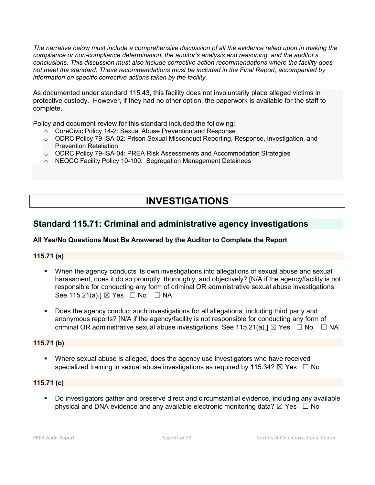*The narrative below must include a comprehensive discussion of all the evidence relied upon in making the compliance or non-compliance determination, the auditor's analysis and reasoning, and the auditor's conclusions. This discussion must also include corrective action recommendations where the facility does not meet the standard. These recommendations must be included in the Final Report, accompanied by information on specific corrective actions taken by the facility.*

As documented under standard 115.43, this facility does not involuntarily place alleged victims in protective custody. However, if they had no other option, the paperwork is available for the staff to complete.

Policy and document review for this standard included the following:

- o CoreCivic Policy 14-2: Sexual Abuse Prevention and Response
- o ODRC Policy 79-ISA-02: Prison Sexual Misconduct Reporting, Response, Investigation, and Prevention Retaliation
- o ODRC Policy 79-ISA-04: PREA Risk Assessments and Accommodation Strategies
- o NEOCC Facility Policy 10-100: Segregation Management Detainees

# **INVESTIGATIONS**

# **Standard 115.71: Criminal and administrative agency investigations**

## **All Yes/No Questions Must Be Answered by the Auditor to Complete the Report**

## **115.71 (a)**

- When the agency conducts its own investigations into allegations of sexual abuse and sexual harassment, does it do so promptly, thoroughly, and objectively? [N/A if the agency/facility is not responsible for conducting any form of criminal OR administrative sexual abuse investigations. See 115.21(a).]  $\boxtimes$  Yes  $\Box$  No  $\Box$  NA
- Does the agency conduct such investigations for all allegations, including third party and anonymous reports? [N/A if the agency/facility is not responsible for conducting any form of criminal OR administrative sexual abuse investigations. See 115.21(a).]  $\boxtimes$  Yes  $\Box$  No  $\Box$  NA

## **115.71 (b)**

 Where sexual abuse is alleged, does the agency use investigators who have received specialized training in sexual abuse investigations as required by 115.34?  $\boxtimes$  Yes  $\Box$  No

## **115.71 (c)**

 Do investigators gather and preserve direct and circumstantial evidence, including any available physical and DNA evidence and any available electronic monitoring data?  $\boxtimes$  Yes  $\Box$  No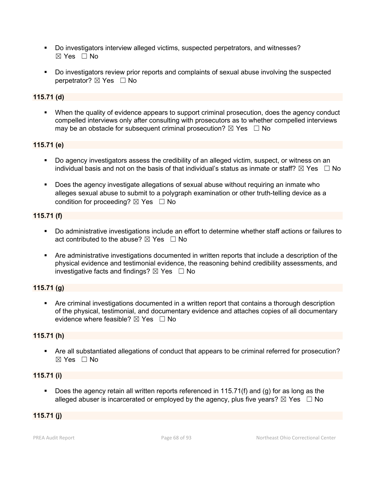- Do investigators interview alleged victims, suspected perpetrators, and witnesses?  $\boxtimes$  Yes  $\Box$  No
- Do investigators review prior reports and complaints of sexual abuse involving the suspected perpetrator? ⊠ Yes □ No

## **115.71 (d)**

 When the quality of evidence appears to support criminal prosecution, does the agency conduct compelled interviews only after consulting with prosecutors as to whether compelled interviews may be an obstacle for subsequent criminal prosecution?  $\boxtimes$  Yes  $\Box$  No

## **115.71 (e)**

- Do agency investigators assess the credibility of an alleged victim, suspect, or witness on an individual basis and not on the basis of that individual's status as inmate or staff?  $\boxtimes$  Yes  $\Box$  No
- Does the agency investigate allegations of sexual abuse without requiring an inmate who alleges sexual abuse to submit to a polygraph examination or other truth-telling device as a condition for proceeding?  $\boxtimes$  Yes  $\Box$  No

## **115.71 (f)**

- Do administrative investigations include an effort to determine whether staff actions or failures to act contributed to the abuse?  $\boxtimes$  Yes  $\Box$  No
- Are administrative investigations documented in written reports that include a description of the physical evidence and testimonial evidence, the reasoning behind credibility assessments, and investigative facts and findings?  $\boxtimes$  Yes  $\Box$  No

## **115.71 (g)**

 Are criminal investigations documented in a written report that contains a thorough description of the physical, testimonial, and documentary evidence and attaches copies of all documentary evidence where feasible?  $\boxtimes$  Yes  $\Box$  No

## **115.71 (h)**

 Are all substantiated allegations of conduct that appears to be criminal referred for prosecution?  $\boxtimes$  Yes  $\Box$  No

## **115.71 (i)**

 Does the agency retain all written reports referenced in 115.71(f) and (g) for as long as the alleged abuser is incarcerated or employed by the agency, plus five years?  $\boxtimes$  Yes  $\Box$  No

## **115.71 (j)**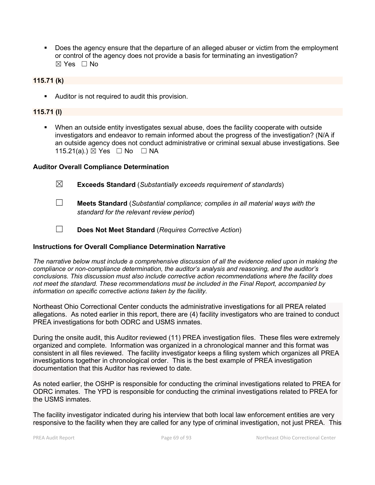Does the agency ensure that the departure of an alleged abuser or victim from the employment or control of the agency does not provide a basis for terminating an investigation? ☒ Yes ☐ No

## **115.71 (k)**

Auditor is not required to audit this provision.

## **115.71 (l)**

 When an outside entity investigates sexual abuse, does the facility cooperate with outside investigators and endeavor to remain informed about the progress of the investigation? (N/A if an outside agency does not conduct administrative or criminal sexual abuse investigations. See 115.21(a).) ⊠ Yes □ No □ NA

#### **Auditor Overall Compliance Determination**

- ☒ **Exceeds Standard** (*Substantially exceeds requirement of standards*)
- ☐ **Meets Standard** (*Substantial compliance; complies in all material ways with the standard for the relevant review period*)
- ☐ **Does Not Meet Standard** (*Requires Corrective Action*)

#### **Instructions for Overall Compliance Determination Narrative**

*The narrative below must include a comprehensive discussion of all the evidence relied upon in making the compliance or non-compliance determination, the auditor's analysis and reasoning, and the auditor's conclusions. This discussion must also include corrective action recommendations where the facility does not meet the standard. These recommendations must be included in the Final Report, accompanied by information on specific corrective actions taken by the facility.*

Northeast Ohio Correctional Center conducts the administrative investigations for all PREA related allegations. As noted earlier in this report, there are (4) facility investigators who are trained to conduct PREA investigations for both ODRC and USMS inmates.

During the onsite audit, this Auditor reviewed (11) PREA investigation files. These files were extremely organized and complete. Information was organized in a chronological manner and this format was consistent in all files reviewed. The facility investigator keeps a filing system which organizes all PREA investigations together in chronological order. This is the best example of PREA investigation documentation that this Auditor has reviewed to date.

As noted earlier, the OSHP is responsible for conducting the criminal investigations related to PREA for ODRC inmates. The YPD is responsible for conducting the criminal investigations related to PREA for the USMS inmates.

The facility investigator indicated during his interview that both local law enforcement entities are very responsive to the facility when they are called for any type of criminal investigation, not just PREA. This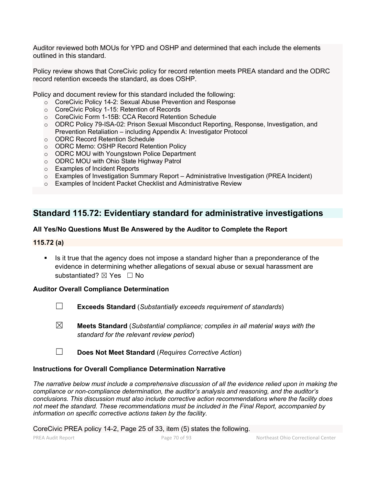Auditor reviewed both MOUs for YPD and OSHP and determined that each include the elements outlined in this standard.

Policy review shows that CoreCivic policy for record retention meets PREA standard and the ODRC record retention exceeds the standard, as does OSHP.

Policy and document review for this standard included the following:

- o CoreCivic Policy 14-2: Sexual Abuse Prevention and Response
- o CoreCivic Policy 1-15: Retention of Records
- o CoreCivic Form 1-15B: CCA Record Retention Schedule
- o ODRC Policy 79-ISA-02: Prison Sexual Misconduct Reporting, Response, Investigation, and Prevention Retaliation – including Appendix A: Investigator Protocol
- o ODRC Record Retention Schedule
- o ODRC Memo: OSHP Record Retention Policy
- o ODRC MOU with Youngstown Police Department
- o ODRC MOU with Ohio State Highway Patrol
- o Examples of Incident Reports
- $\circ$  Examples of Investigation Summary Report Administrative Investigation (PREA Incident)
- o Examples of Incident Packet Checklist and Administrative Review

# **Standard 115.72: Evidentiary standard for administrative investigations**

#### **All Yes/No Questions Must Be Answered by the Auditor to Complete the Report**

#### **115.72 (a)**

Is it true that the agency does not impose a standard higher than a preponderance of the evidence in determining whether allegations of sexual abuse or sexual harassment are substantiated? ⊠ Yes □ No

#### **Auditor Overall Compliance Determination**

- ☐ **Exceeds Standard** (*Substantially exceeds requirement of standards*)
- ☒ **Meets Standard** (*Substantial compliance; complies in all material ways with the standard for the relevant review period*)
- ☐ **Does Not Meet Standard** (*Requires Corrective Action*)

#### **Instructions for Overall Compliance Determination Narrative**

*The narrative below must include a comprehensive discussion of all the evidence relied upon in making the compliance or non-compliance determination, the auditor's analysis and reasoning, and the auditor's conclusions. This discussion must also include corrective action recommendations where the facility does not meet the standard. These recommendations must be included in the Final Report, accompanied by information on specific corrective actions taken by the facility.*

CoreCivic PREA policy 14-2, Page 25 of 33, item (5) states the following.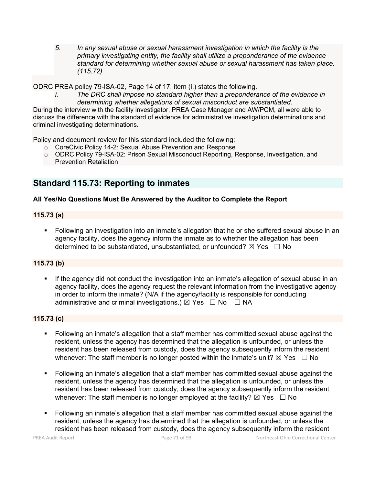*5. In any sexual abuse or sexual harassment investigation in which the facility is the primary investigating entity, the facility shall utilize a preponderance of the evidence standard for determining whether sexual abuse or sexual harassment has taken place. (115.72)*

ODRC PREA policy 79-ISA-02, Page 14 of 17, item (i.) states the following.

*i. The DRC shall impose no standard higher than a preponderance of the evidence in determining whether allegations of sexual misconduct are substantiated.* 

During the interview with the facility investigator, PREA Case Manager and AW/PCM, all were able to discuss the difference with the standard of evidence for administrative investigation determinations and criminal investigating determinations.

Policy and document review for this standard included the following:

- o CoreCivic Policy 14-2: Sexual Abuse Prevention and Response
- o ODRC Policy 79-ISA-02: Prison Sexual Misconduct Reporting, Response, Investigation, and Prevention Retaliation

# **Standard 115.73: Reporting to inmates**

## **All Yes/No Questions Must Be Answered by the Auditor to Complete the Report**

## **115.73 (a)**

 Following an investigation into an inmate's allegation that he or she suffered sexual abuse in an agency facility, does the agency inform the inmate as to whether the allegation has been determined to be substantiated, unsubstantiated, or unfounded?  $\boxtimes$  Yes  $\Box$  No

## **115.73 (b)**

 If the agency did not conduct the investigation into an inmate's allegation of sexual abuse in an agency facility, does the agency request the relevant information from the investigative agency in order to inform the inmate? (N/A if the agency/facility is responsible for conducting administrative and criminal investigations.)  $\boxtimes$  Yes  $\Box$  No  $\Box$  NA

## **115.73 (c)**

- Following an inmate's allegation that a staff member has committed sexual abuse against the resident, unless the agency has determined that the allegation is unfounded, or unless the resident has been released from custody, does the agency subsequently inform the resident whenever: The staff member is no longer posted within the inmate's unit?  $\boxtimes$  Yes  $\Box$  No
- Following an inmate's allegation that a staff member has committed sexual abuse against the resident, unless the agency has determined that the allegation is unfounded, or unless the resident has been released from custody, does the agency subsequently inform the resident whenever: The staff member is no longer employed at the facility?  $\boxtimes$  Yes  $\Box$  No
- Following an inmate's allegation that a staff member has committed sexual abuse against the resident, unless the agency has determined that the allegation is unfounded, or unless the resident has been released from custody, does the agency subsequently inform the resident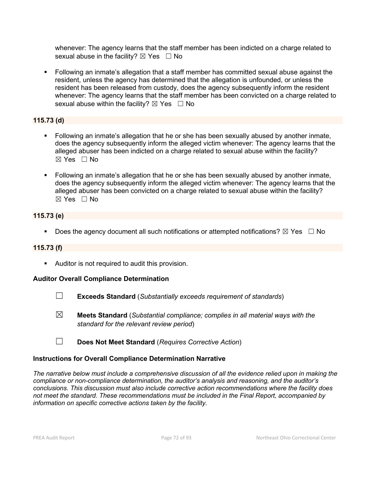whenever: The agency learns that the staff member has been indicted on a charge related to sexual abuse in the facility?  $\boxtimes$  Yes  $\Box$  No

 Following an inmate's allegation that a staff member has committed sexual abuse against the resident, unless the agency has determined that the allegation is unfounded, or unless the resident has been released from custody, does the agency subsequently inform the resident whenever: The agency learns that the staff member has been convicted on a charge related to sexual abuse within the facility?  $\boxtimes$  Yes  $\Box$  No

## **115.73 (d)**

- Following an inmate's allegation that he or she has been sexually abused by another inmate, does the agency subsequently inform the alleged victim whenever: The agency learns that the alleged abuser has been indicted on a charge related to sexual abuse within the facility? ☒ Yes ☐ No
- Following an inmate's allegation that he or she has been sexually abused by another inmate, does the agency subsequently inform the alleged victim whenever: The agency learns that the alleged abuser has been convicted on a charge related to sexual abuse within the facility? ☒ Yes ☐ No

## **115.73 (e)**

Does the agency document all such notifications or attempted notifications?  $\boxtimes$  Yes  $\Box$  No

## **115.73 (f)**

Auditor is not required to audit this provision.

## **Auditor Overall Compliance Determination**

- ☐ **Exceeds Standard** (*Substantially exceeds requirement of standards*)
- ☒ **Meets Standard** (*Substantial compliance; complies in all material ways with the standard for the relevant review period*)
- ☐ **Does Not Meet Standard** (*Requires Corrective Action*)

## **Instructions for Overall Compliance Determination Narrative**

*The narrative below must include a comprehensive discussion of all the evidence relied upon in making the compliance or non-compliance determination, the auditor's analysis and reasoning, and the auditor's conclusions. This discussion must also include corrective action recommendations where the facility does not meet the standard. These recommendations must be included in the Final Report, accompanied by information on specific corrective actions taken by the facility.*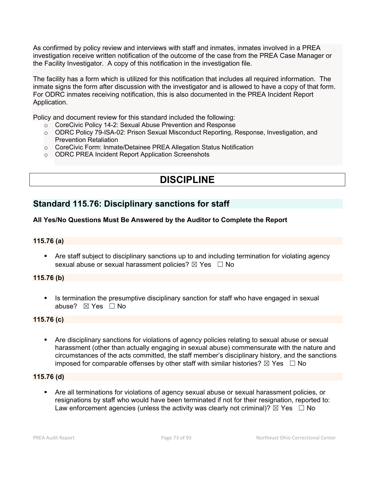As confirmed by policy review and interviews with staff and inmates, inmates involved in a PREA investigation receive written notification of the outcome of the case from the PREA Case Manager or the Facility Investigator. A copy of this notification in the investigation file.

The facility has a form which is utilized for this notification that includes all required information. The inmate signs the form after discussion with the investigator and is allowed to have a copy of that form. For ODRC inmates receiving notification, this is also documented in the PREA Incident Report Application.

Policy and document review for this standard included the following:

- o CoreCivic Policy 14-2: Sexual Abuse Prevention and Response
- o ODRC Policy 79-ISA-02: Prison Sexual Misconduct Reporting, Response, Investigation, and Prevention Retaliation
- o CoreCivic Form: Inmate/Detainee PREA Allegation Status Notification
- o ODRC PREA Incident Report Application Screenshots

# **DISCIPLINE**

# **Standard 115.76: Disciplinary sanctions for staff**

# **All Yes/No Questions Must Be Answered by the Auditor to Complete the Report**

# **115.76 (a)**

 Are staff subject to disciplinary sanctions up to and including termination for violating agency sexual abuse or sexual harassment policies?  $\boxtimes$  Yes  $\Box$  No

# **115.76 (b)**

Is termination the presumptive disciplinary sanction for staff who have engaged in sexual abuse? ☒ Yes ☐ No

# **115.76 (c)**

 Are disciplinary sanctions for violations of agency policies relating to sexual abuse or sexual harassment (other than actually engaging in sexual abuse) commensurate with the nature and circumstances of the acts committed, the staff member's disciplinary history, and the sanctions imposed for comparable offenses by other staff with similar histories?  $\boxtimes$  Yes  $\Box$  No

#### **115.76 (d)**

 Are all terminations for violations of agency sexual abuse or sexual harassment policies, or resignations by staff who would have been terminated if not for their resignation, reported to: Law enforcement agencies (unless the activity was clearly not criminal)?  $\boxtimes$  Yes  $\Box$  No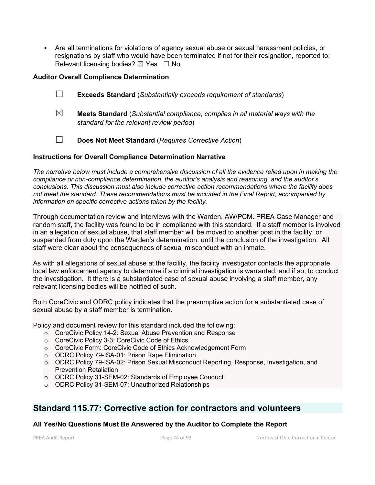Are all terminations for violations of agency sexual abuse or sexual harassment policies, or resignations by staff who would have been terminated if not for their resignation, reported to: Relevant licensing bodies?  $\boxtimes$  Yes  $\Box$  No

#### **Auditor Overall Compliance Determination**

- ☐ **Exceeds Standard** (*Substantially exceeds requirement of standards*)
- ☒ **Meets Standard** (*Substantial compliance; complies in all material ways with the standard for the relevant review period*)
- ☐ **Does Not Meet Standard** (*Requires Corrective Action*)

#### **Instructions for Overall Compliance Determination Narrative**

*The narrative below must include a comprehensive discussion of all the evidence relied upon in making the compliance or non-compliance determination, the auditor's analysis and reasoning, and the auditor's conclusions. This discussion must also include corrective action recommendations where the facility does not meet the standard. These recommendations must be included in the Final Report, accompanied by information on specific corrective actions taken by the facility.*

Through documentation review and interviews with the Warden, AW/PCM. PREA Case Manager and random staff, the facility was found to be in compliance with this standard. If a staff member is involved in an allegation of sexual abuse, that staff member will be moved to another post in the facility, or suspended from duty upon the Warden's determination, until the conclusion of the investigation. All staff were clear about the consequences of sexual misconduct with an inmate.

As with all allegations of sexual abuse at the facility, the facility investigator contacts the appropriate local law enforcement agency to determine if a criminal investigation is warranted, and if so, to conduct the investigation. It there is a substantiated case of sexual abuse involving a staff member, any relevant licensing bodies will be notified of such.

Both CoreCivic and ODRC policy indicates that the presumptive action for a substantiated case of sexual abuse by a staff member is termination.

Policy and document review for this standard included the following:

- o CoreCivic Policy 14-2: Sexual Abuse Prevention and Response
- o CoreCivic Policy 3-3: CoreCivic Code of Ethics
- o CoreCivic Form: CoreCivic Code of Ethics Acknowledgement Form
- o ODRC Policy 79-ISA-01: Prison Rape Elimination
- o ODRC Policy 79-ISA-02: Prison Sexual Misconduct Reporting, Response, Investigation, and Prevention Retaliation
- o ODRC Policy 31-SEM-02: Standards of Employee Conduct
- o ODRC Policy 31-SEM-07: Unauthorized Relationships

# **Standard 115.77: Corrective action for contractors and volunteers**

#### **All Yes/No Questions Must Be Answered by the Auditor to Complete the Report**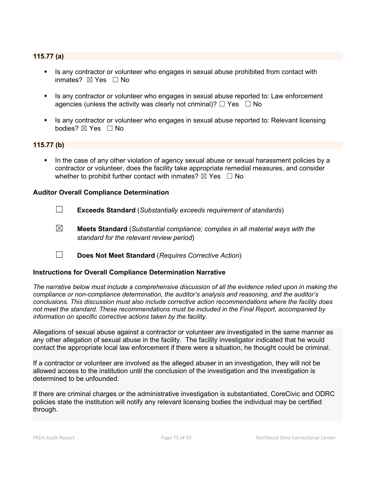## **115.77 (a)**

- Is any contractor or volunteer who engages in sexual abuse prohibited from contact with inmates? ⊠ Yes □ No
- Is any contractor or volunteer who engages in sexual abuse reported to: Law enforcement agencies (unless the activity was clearly not criminal)?  $\Box$  Yes  $\Box$  No
- Is any contractor or volunteer who engages in sexual abuse reported to: Relevant licensing bodies? ☒ Yes ☐ No

# **115.77 (b)**

 In the case of any other violation of agency sexual abuse or sexual harassment policies by a contractor or volunteer, does the facility take appropriate remedial measures, and consider whether to prohibit further contact with inmates?  $\boxtimes$  Yes  $\Box$  No

#### **Auditor Overall Compliance Determination**

- ☐ **Exceeds Standard** (*Substantially exceeds requirement of standards*)
- ☒ **Meets Standard** (*Substantial compliance; complies in all material ways with the standard for the relevant review period*)
- ☐ **Does Not Meet Standard** (*Requires Corrective Action*)

#### **Instructions for Overall Compliance Determination Narrative**

*The narrative below must include a comprehensive discussion of all the evidence relied upon in making the compliance or non-compliance determination, the auditor's analysis and reasoning, and the auditor's conclusions. This discussion must also include corrective action recommendations where the facility does not meet the standard. These recommendations must be included in the Final Report, accompanied by information on specific corrective actions taken by the facility.*

Allegations of sexual abuse against a contractor or volunteer are investigated in the same manner as any other allegation of sexual abuse in the facility. The facility investigator indicated that he would contact the appropriate local law enforcement if there were a situation, he thought could be criminal.

If a contractor or volunteer are involved as the alleged abuser in an investigation, they will not be allowed access to the institution until the conclusion of the investigation and the investigation is determined to be unfounded.

If there are criminal charges or the administrative investigation is substantiated, CoreCivic and ODRC policies state the institution will notify any relevant licensing bodies the individual may be certified through.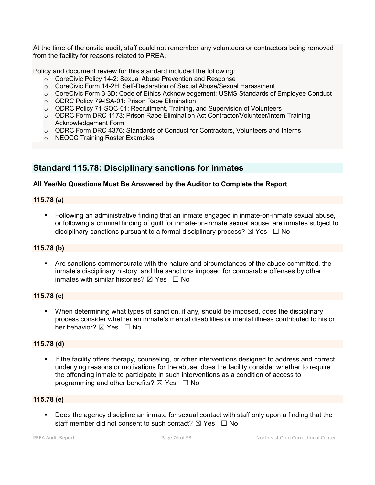At the time of the onsite audit, staff could not remember any volunteers or contractors being removed from the facility for reasons related to PREA.

Policy and document review for this standard included the following:

- o CoreCivic Policy 14-2: Sexual Abuse Prevention and Response
- o CoreCivic Form 14-2H: Self-Declaration of Sexual Abuse/Sexual Harassment
- o CoreCivic Form 3-3D: Code of Ethics Acknowledgement; USMS Standards of Employee Conduct
- o ODRC Policy 79-ISA-01: Prison Rape Elimination
- o ODRC Policy 71-SOC-01: Recruitment, Training, and Supervision of Volunteers
- o ODRC Form DRC 1173: Prison Rape Elimination Act Contractor/Volunteer/Intern Training Acknowledgement Form
- o ODRC Form DRC 4376: Standards of Conduct for Contractors, Volunteers and Interns
- o NEOCC Training Roster Examples

# **Standard 115.78: Disciplinary sanctions for inmates**

# **All Yes/No Questions Must Be Answered by the Auditor to Complete the Report**

# **115.78 (a)**

 Following an administrative finding that an inmate engaged in inmate-on-inmate sexual abuse, or following a criminal finding of guilt for inmate-on-inmate sexual abuse, are inmates subject to disciplinary sanctions pursuant to a formal disciplinary process?  $\boxtimes$  Yes  $\Box$  No

# **115.78 (b)**

 Are sanctions commensurate with the nature and circumstances of the abuse committed, the inmate's disciplinary history, and the sanctions imposed for comparable offenses by other inmates with similar histories?  $\boxtimes$  Yes  $\Box$  No

# **115.78 (c)**

 When determining what types of sanction, if any, should be imposed, does the disciplinary process consider whether an inmate's mental disabilities or mental illness contributed to his or her behavior? ⊠ Yes □ No

# **115.78 (d)**

 If the facility offers therapy, counseling, or other interventions designed to address and correct underlying reasons or motivations for the abuse, does the facility consider whether to require the offending inmate to participate in such interventions as a condition of access to programming and other benefits?  $\boxtimes$  Yes  $\Box$  No

# **115.78 (e)**

 Does the agency discipline an inmate for sexual contact with staff only upon a finding that the staff member did not consent to such contact?  $\boxtimes$  Yes  $\Box$  No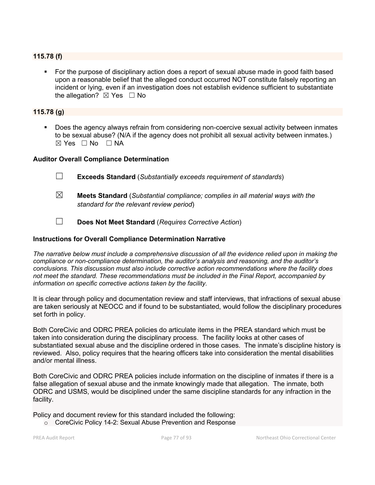#### **115.78 (f)**

 For the purpose of disciplinary action does a report of sexual abuse made in good faith based upon a reasonable belief that the alleged conduct occurred NOT constitute falsely reporting an incident or lying, even if an investigation does not establish evidence sufficient to substantiate the allegation?  $\boxtimes$  Yes  $\Box$  No

# **115.78 (g)**

 Does the agency always refrain from considering non-coercive sexual activity between inmates to be sexual abuse? (N/A if the agency does not prohibit all sexual activity between inmates.)  $\boxtimes$  Yes  $\Box$  No  $\Box$  NA

#### **Auditor Overall Compliance Determination**

- ☐ **Exceeds Standard** (*Substantially exceeds requirement of standards*)
- ☒ **Meets Standard** (*Substantial compliance; complies in all material ways with the standard for the relevant review period*)
- ☐ **Does Not Meet Standard** (*Requires Corrective Action*)

#### **Instructions for Overall Compliance Determination Narrative**

*The narrative below must include a comprehensive discussion of all the evidence relied upon in making the compliance or non-compliance determination, the auditor's analysis and reasoning, and the auditor's conclusions. This discussion must also include corrective action recommendations where the facility does not meet the standard. These recommendations must be included in the Final Report, accompanied by information on specific corrective actions taken by the facility.*

It is clear through policy and documentation review and staff interviews, that infractions of sexual abuse are taken seriously at NEOCC and if found to be substantiated, would follow the disciplinary procedures set forth in policy.

Both CoreCivic and ODRC PREA policies do articulate items in the PREA standard which must be taken into consideration during the disciplinary process. The facility looks at other cases of substantiated sexual abuse and the discipline ordered in those cases. The inmate's discipline history is reviewed. Also, policy requires that the hearing officers take into consideration the mental disabilities and/or mental illness.

Both CoreCivic and ODRC PREA policies include information on the discipline of inmates if there is a false allegation of sexual abuse and the inmate knowingly made that allegation. The inmate, both ODRC and USMS, would be disciplined under the same discipline standards for any infraction in the facility.

Policy and document review for this standard included the following: o CoreCivic Policy 14-2: Sexual Abuse Prevention and Response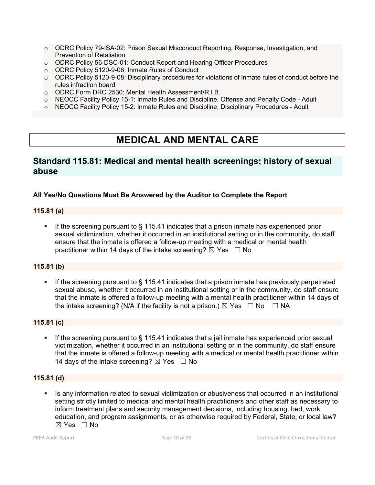- o ODRC Policy 79-ISA-02: Prison Sexual Misconduct Reporting, Response, Investigation, and Prevention of Retaliation
- o ODRC Policy 56-DSC-01: Conduct Report and Hearing Officer Procedures
- o ODRC Policy 5120-9-06: Inmate Rules of Conduct
- o ODRC Policy 5120-9-08: Disciplinary procedures for violations of inmate rules of conduct before the rules infraction board
- o ODRC Form DRC 2530: Mental Health Assessment/R.I.B.
- o NEOCC Facility Policy 15-1: Inmate Rules and Discipline, Offense and Penalty Code Adult
- o NEOCC Facility Policy 15-2: Inmate Rules and Discipline, Disciplinary Procedures Adult

# **MEDICAL AND MENTAL CARE**

# **Standard 115.81: Medical and mental health screenings; history of sexual abuse**

# **All Yes/No Questions Must Be Answered by the Auditor to Complete the Report**

# **115.81 (a)**

 If the screening pursuant to § 115.41 indicates that a prison inmate has experienced prior sexual victimization, whether it occurred in an institutional setting or in the community, do staff ensure that the inmate is offered a follow-up meeting with a medical or mental health practitioner within 14 days of the intake screening?  $\boxtimes$  Yes  $\Box$  No

# **115.81 (b)**

 If the screening pursuant to § 115.41 indicates that a prison inmate has previously perpetrated sexual abuse, whether it occurred in an institutional setting or in the community, do staff ensure that the inmate is offered a follow-up meeting with a mental health practitioner within 14 days of the intake screening? (N/A if the facility is not a prison.)  $\boxtimes$  Yes  $\Box$  No  $\Box$  NA

# **115.81 (c)**

 If the screening pursuant to § 115.41 indicates that a jail inmate has experienced prior sexual victimization, whether it occurred in an institutional setting or in the community, do staff ensure that the inmate is offered a follow-up meeting with a medical or mental health practitioner within 14 days of the intake screening?  $\boxtimes$  Yes  $\Box$  No

# **115.81 (d)**

 Is any information related to sexual victimization or abusiveness that occurred in an institutional setting strictly limited to medical and mental health practitioners and other staff as necessary to inform treatment plans and security management decisions, including housing, bed, work, education, and program assignments, or as otherwise required by Federal, State, or local law? ☒ Yes ☐ No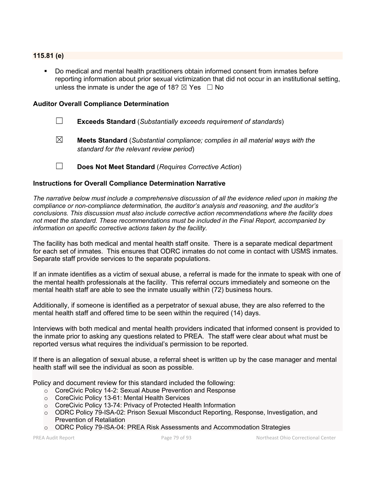# **115.81 (e)**

 Do medical and mental health practitioners obtain informed consent from inmates before reporting information about prior sexual victimization that did not occur in an institutional setting, unless the inmate is under the age of 18?  $\boxtimes$  Yes  $\Box$  No

#### **Auditor Overall Compliance Determination**

- ☐ **Exceeds Standard** (*Substantially exceeds requirement of standards*)
- ☒ **Meets Standard** (*Substantial compliance; complies in all material ways with the standard for the relevant review period*)
- ☐ **Does Not Meet Standard** (*Requires Corrective Action*)

#### **Instructions for Overall Compliance Determination Narrative**

*The narrative below must include a comprehensive discussion of all the evidence relied upon in making the compliance or non-compliance determination, the auditor's analysis and reasoning, and the auditor's conclusions. This discussion must also include corrective action recommendations where the facility does not meet the standard. These recommendations must be included in the Final Report, accompanied by information on specific corrective actions taken by the facility.*

The facility has both medical and mental health staff onsite. There is a separate medical department for each set of inmates. This ensures that ODRC inmates do not come in contact with USMS inmates. Separate staff provide services to the separate populations.

If an inmate identifies as a victim of sexual abuse, a referral is made for the inmate to speak with one of the mental health professionals at the facility. This referral occurs immediately and someone on the mental health staff are able to see the inmate usually within (72) business hours.

Additionally, if someone is identified as a perpetrator of sexual abuse, they are also referred to the mental health staff and offered time to be seen within the required (14) days.

Interviews with both medical and mental health providers indicated that informed consent is provided to the inmate prior to asking any questions related to PREA. The staff were clear about what must be reported versus what requires the individual's permission to be reported.

If there is an allegation of sexual abuse, a referral sheet is written up by the case manager and mental health staff will see the individual as soon as possible.

Policy and document review for this standard included the following:

- o CoreCivic Policy 14-2: Sexual Abuse Prevention and Response
- o CoreCivic Policy 13-61: Mental Health Services
- o CoreCivic Policy 13-74: Privacy of Protected Health Information
- o ODRC Policy 79-ISA-02: Prison Sexual Misconduct Reporting, Response, Investigation, and Prevention of Retaliation
- o ODRC Policy 79-ISA-04: PREA Risk Assessments and Accommodation Strategies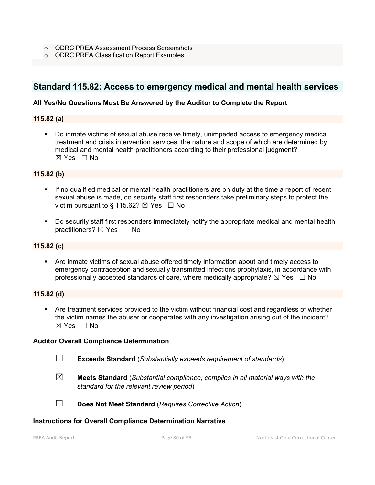- o ODRC PREA Assessment Process Screenshots
- o ODRC PREA Classification Report Examples

# **Standard 115.82: Access to emergency medical and mental health services**

#### **All Yes/No Questions Must Be Answered by the Auditor to Complete the Report**

**115.82 (a)**

 Do inmate victims of sexual abuse receive timely, unimpeded access to emergency medical treatment and crisis intervention services, the nature and scope of which are determined by medical and mental health practitioners according to their professional judgment?  $\boxtimes$  Yes  $\Box$  No

#### **115.82 (b)**

- If no qualified medical or mental health practitioners are on duty at the time a report of recent sexual abuse is made, do security staff first responders take preliminary steps to protect the victim pursuant to § 115.62?  $\boxtimes$  Yes  $\Box$  No
- Do security staff first responders immediately notify the appropriate medical and mental health practitioners?  $\boxtimes$  Yes  $\Box$  No

#### **115.82 (c)**

 Are inmate victims of sexual abuse offered timely information about and timely access to emergency contraception and sexually transmitted infections prophylaxis, in accordance with professionally accepted standards of care, where medically appropriate?  $\boxtimes$  Yes  $\Box$  No

# **115.82 (d)**

 Are treatment services provided to the victim without financial cost and regardless of whether the victim names the abuser or cooperates with any investigation arising out of the incident?  $\boxtimes$  Yes  $\Box$  No

#### **Auditor Overall Compliance Determination**

- ☐ **Exceeds Standard** (*Substantially exceeds requirement of standards*)
- ☒ **Meets Standard** (*Substantial compliance; complies in all material ways with the standard for the relevant review period*)
- 
- ☐ **Does Not Meet Standard** (*Requires Corrective Action*)

#### **Instructions for Overall Compliance Determination Narrative**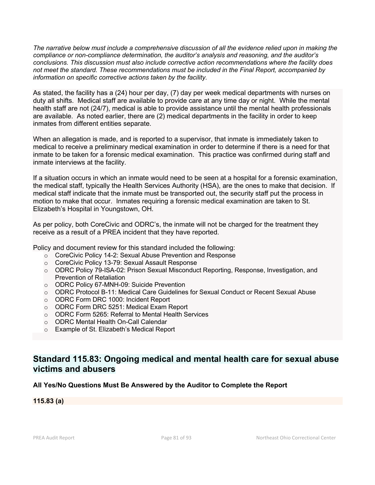*The narrative below must include a comprehensive discussion of all the evidence relied upon in making the compliance or non-compliance determination, the auditor's analysis and reasoning, and the auditor's conclusions. This discussion must also include corrective action recommendations where the facility does not meet the standard. These recommendations must be included in the Final Report, accompanied by information on specific corrective actions taken by the facility.*

As stated, the facility has a (24) hour per day, (7) day per week medical departments with nurses on duty all shifts. Medical staff are available to provide care at any time day or night. While the mental health staff are not (24/7), medical is able to provide assistance until the mental health professionals are available. As noted earlier, there are (2) medical departments in the facility in order to keep inmates from different entities separate.

When an allegation is made, and is reported to a supervisor, that inmate is immediately taken to medical to receive a preliminary medical examination in order to determine if there is a need for that inmate to be taken for a forensic medical examination. This practice was confirmed during staff and inmate interviews at the facility.

If a situation occurs in which an inmate would need to be seen at a hospital for a forensic examination, the medical staff, typically the Health Services Authority (HSA), are the ones to make that decision. If medical staff indicate that the inmate must be transported out, the security staff put the process in motion to make that occur. Inmates requiring a forensic medical examination are taken to St. Elizabeth's Hospital in Youngstown, OH.

As per policy, both CoreCivic and ODRC's, the inmate will not be charged for the treatment they receive as a result of a PREA incident that they have reported.

Policy and document review for this standard included the following:

- o CoreCivic Policy 14-2: Sexual Abuse Prevention and Response
- o CoreCivic Policy 13-79: Sexual Assault Response
- o ODRC Policy 79-ISA-02: Prison Sexual Misconduct Reporting, Response, Investigation, and Prevention of Retaliation
- o ODRC Policy 67-MNH-09: Suicide Prevention
- o ODRC Protocol B-11: Medical Care Guidelines for Sexual Conduct or Recent Sexual Abuse
- o ODRC Form DRC 1000: Incident Report
- o ODRC Form DRC 5251: Medical Exam Report
- o ODRC Form 5265: Referral to Mental Health Services
- o ODRC Mental Health On-Call Calendar
- o Example of St. Elizabeth's Medical Report

# **Standard 115.83: Ongoing medical and mental health care for sexual abuse victims and abusers**

# **All Yes/No Questions Must Be Answered by the Auditor to Complete the Report**

#### **115.83 (a)**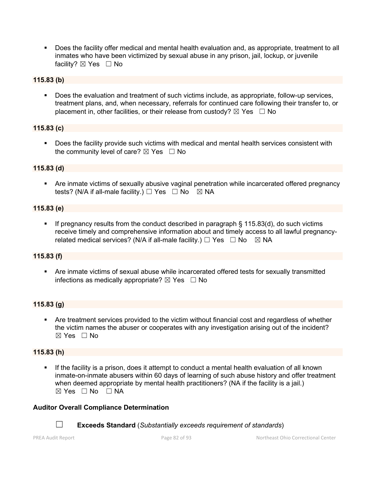Does the facility offer medical and mental health evaluation and, as appropriate, treatment to all inmates who have been victimized by sexual abuse in any prison, jail, lockup, or juvenile facility?  $\boxtimes$  Yes  $\Box$  No

# **115.83 (b)**

 Does the evaluation and treatment of such victims include, as appropriate, follow-up services, treatment plans, and, when necessary, referrals for continued care following their transfer to, or placement in, other facilities, or their release from custody?  $\boxtimes$  Yes  $\Box$  No

# **115.83 (c)**

 Does the facility provide such victims with medical and mental health services consistent with the community level of care?  $\boxtimes$  Yes  $\Box$  No

# **115.83 (d)**

 Are inmate victims of sexually abusive vaginal penetration while incarcerated offered pregnancy tests? (N/A if all-male facility.)  $\Box$  Yes  $\Box$  No  $\boxtimes$  NA

# **115.83 (e)**

 If pregnancy results from the conduct described in paragraph § 115.83(d), do such victims receive timely and comprehensive information about and timely access to all lawful pregnancyrelated medical services? (N/A if all-male facility.)  $\Box$  Yes  $\Box$  No  $\boxtimes$  NA

# **115.83 (f)**

 Are inmate victims of sexual abuse while incarcerated offered tests for sexually transmitted infections as medically appropriate?  $\boxtimes$  Yes  $\Box$  No

# **115.83 (g)**

 Are treatment services provided to the victim without financial cost and regardless of whether the victim names the abuser or cooperates with any investigation arising out of the incident?  $\boxtimes$  Yes  $\Box$  No

# **115.83 (h)**

 If the facility is a prison, does it attempt to conduct a mental health evaluation of all known inmate-on-inmate abusers within 60 days of learning of such abuse history and offer treatment when deemed appropriate by mental health practitioners? (NA if the facility is a jail.)  $\boxtimes$  Yes  $\Box$  No  $\Box$  NA

# **Auditor Overall Compliance Determination**

☐ **Exceeds Standard** (*Substantially exceeds requirement of standards*)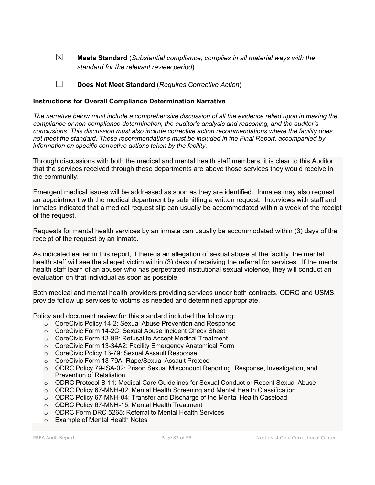☒ **Meets Standard** (*Substantial compliance; complies in all material ways with the standard for the relevant review period*)

☐ **Does Not Meet Standard** (*Requires Corrective Action*)

# **Instructions for Overall Compliance Determination Narrative**

*The narrative below must include a comprehensive discussion of all the evidence relied upon in making the compliance or non-compliance determination, the auditor's analysis and reasoning, and the auditor's conclusions. This discussion must also include corrective action recommendations where the facility does not meet the standard. These recommendations must be included in the Final Report, accompanied by information on specific corrective actions taken by the facility.*

Through discussions with both the medical and mental health staff members, it is clear to this Auditor that the services received through these departments are above those services they would receive in the community.

Emergent medical issues will be addressed as soon as they are identified. Inmates may also request an appointment with the medical department by submitting a written request. Interviews with staff and inmates indicated that a medical request slip can usually be accommodated within a week of the receipt of the request.

Requests for mental health services by an inmate can usually be accommodated within (3) days of the receipt of the request by an inmate.

As indicated earlier in this report, if there is an allegation of sexual abuse at the facility, the mental health staff will see the alleged victim within (3) days of receiving the referral for services. If the mental health staff learn of an abuser who has perpetrated institutional sexual violence, they will conduct an evaluation on that individual as soon as possible.

Both medical and mental health providers providing services under both contracts, ODRC and USMS, provide follow up services to victims as needed and determined appropriate.

Policy and document review for this standard included the following:

- o CoreCivic Policy 14-2: Sexual Abuse Prevention and Response
- o CoreCivic Form 14-2C: Sexual Abuse Incident Check Sheet
- o CoreCivic Form 13-9B: Refusal to Accept Medical Treatment
- o CoreCivic Form 13-34A2: Facility Emergency Anatomical Form
- o CoreCivic Policy 13-79: Sexual Assault Response
- o CoreCivic Form 13-79A: Rape/Sexual Assault Protocol
- o ODRC Policy 79-ISA-02: Prison Sexual Misconduct Reporting, Response, Investigation, and Prevention of Retaliation
- o ODRC Protocol B-11: Medical Care Guidelines for Sexual Conduct or Recent Sexual Abuse
- o ODRC Policy 67-MNH-02: Mental Health Screening and Mental Health Classification
- o ODRC Policy 67-MNH-04: Transfer and Discharge of the Mental Health Caseload
- o ODRC Policy 67-MNH-15: Mental Health Treatment
- o ODRC Form DRC 5265: Referral to Mental Health Services
- o Example of Mental Health Notes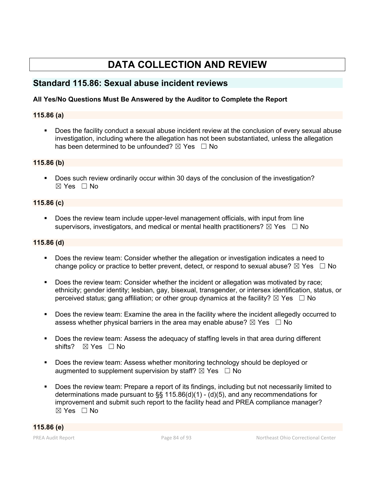# **DATA COLLECTION AND REVIEW**

# **Standard 115.86: Sexual abuse incident reviews**

# **All Yes/No Questions Must Be Answered by the Auditor to Complete the Report**

# **115.86 (a)**

 Does the facility conduct a sexual abuse incident review at the conclusion of every sexual abuse investigation, including where the allegation has not been substantiated, unless the allegation has been determined to be unfounded?  $\boxtimes$  Yes  $\Box$  No

# **115.86 (b)**

**Does such review ordinarily occur within 30 days of the conclusion of the investigation?**  $\boxtimes$  Yes  $\Box$  No

# **115.86 (c)**

 Does the review team include upper-level management officials, with input from line supervisors, investigators, and medical or mental health practitioners?  $\boxtimes$  Yes  $\Box$  No

# **115.86 (d)**

- Does the review team: Consider whether the allegation or investigation indicates a need to change policy or practice to better prevent, detect, or respond to sexual abuse?  $\boxtimes$  Yes  $\Box$  No
- Does the review team: Consider whether the incident or allegation was motivated by race; ethnicity; gender identity; lesbian, gay, bisexual, transgender, or intersex identification, status, or perceived status; gang affiliation; or other group dynamics at the facility?  $\boxtimes$  Yes  $\Box$  No
- Does the review team: Examine the area in the facility where the incident allegedly occurred to assess whether physical barriers in the area may enable abuse?  $\boxtimes$  Yes  $\Box$  No
- Does the review team: Assess the adequacy of staffing levels in that area during different shifts?  $\boxtimes$  Yes  $\Box$  No
- **Does the review team: Assess whether monitoring technology should be deployed or** augmented to supplement supervision by staff?  $\boxtimes$  Yes  $\Box$  No
- Does the review team: Prepare a report of its findings, including but not necessarily limited to determinations made pursuant to  $\S$ § 115.86(d)(1) - (d)(5), and any recommendations for improvement and submit such report to the facility head and PREA compliance manager?  $\boxtimes$  Yes  $\Box$  No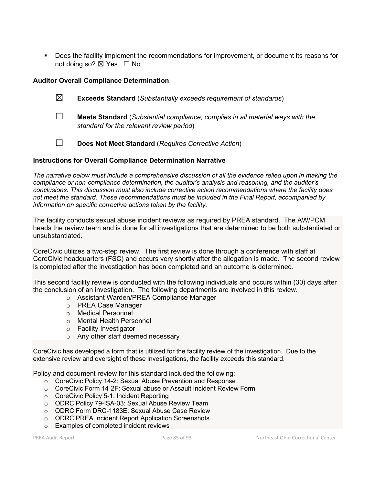Does the facility implement the recommendations for improvement, or document its reasons for not doing so?  $\boxtimes$  Yes  $\Box$  No

# **Auditor Overall Compliance Determination**

- ☒ **Exceeds Standard** (*Substantially exceeds requirement of standards*)
- ☐ **Meets Standard** (*Substantial compliance; complies in all material ways with the standard for the relevant review period*)
- ☐ **Does Not Meet Standard** (*Requires Corrective Action*)

#### **Instructions for Overall Compliance Determination Narrative**

*The narrative below must include a comprehensive discussion of all the evidence relied upon in making the compliance or non-compliance determination, the auditor's analysis and reasoning, and the auditor's conclusions. This discussion must also include corrective action recommendations where the facility does not meet the standard. These recommendations must be included in the Final Report, accompanied by information on specific corrective actions taken by the facility.*

The facility conducts sexual abuse incident reviews as required by PREA standard. The AW/PCM heads the review team and is done for all investigations that are determined to be both substantiated or unsubstantiated.

CoreCivic utilizes a two-step review. The first review is done through a conference with staff at CoreCivic headquarters (FSC) and occurs very shortly after the allegation is made. The second review is completed after the investigation has been completed and an outcome is determined.

This second facility review is conducted with the following individuals and occurs within (30) days after the conclusion of an investigation. The following departments are involved in this review.

- o Assistant Warden/PREA Compliance Manager
- o PREA Case Manager
- o Medical Personnel
- o Mental Health Personnel
- o Facility Investigator
- o Any other staff deemed necessary

CoreCivic has developed a form that is utilized for the facility review of the investigation. Due to the extensive review and oversight of these investigations, the facility exceeds this standard.

Policy and document review for this standard included the following:

- o CoreCivic Policy 14-2: Sexual Abuse Prevention and Response
- o CoreCivic Form 14-2F: Sexual abuse or Assault Incident Review Form
- o CoreCivic Policy 5-1: Incident Reporting
- o ODRC Policy 79-ISA-03: Sexual Abuse Review Team
- o ODRC Form DRC-1183E: Sexual Abuse Case Review
- o ODRC PREA Incident Report Application Screenshots
- o Examples of completed incident reviews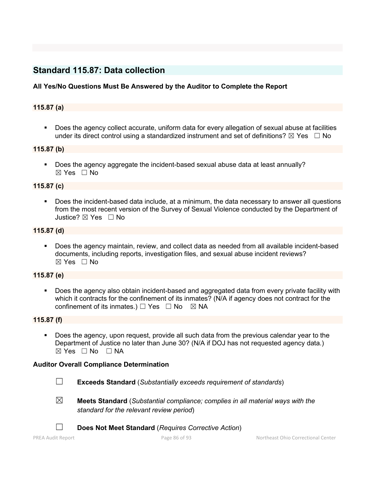# **Standard 115.87: Data collection**

# **All Yes/No Questions Must Be Answered by the Auditor to Complete the Report**

# **115.87 (a)**

 Does the agency collect accurate, uniform data for every allegation of sexual abuse at facilities under its direct control using a standardized instrument and set of definitions?  $\boxtimes$  Yes  $\Box$  No

#### **115.87 (b)**

Does the agency aggregate the incident-based sexual abuse data at least annually? ☒ Yes ☐ No

#### **115.87 (c)**

 Does the incident-based data include, at a minimum, the data necessary to answer all questions from the most recent version of the Survey of Sexual Violence conducted by the Department of Justice? ☒ Yes ☐ No

#### **115.87 (d)**

 Does the agency maintain, review, and collect data as needed from all available incident-based documents, including reports, investigation files, and sexual abuse incident reviews?  $\boxtimes$  Yes  $\Box$  No

#### **115.87 (e)**

 Does the agency also obtain incident-based and aggregated data from every private facility with which it contracts for the confinement of its inmates? (N/A if agency does not contract for the confinement of its inmates.)  $\Box$  Yes  $\Box$  No  $\boxtimes$  NA

#### **115.87 (f)**

 Does the agency, upon request, provide all such data from the previous calendar year to the Department of Justice no later than June 30? (N/A if DOJ has not requested agency data.)  $⊠ Yes ⊡ No ⊡ NA$ 

#### **Auditor Overall Compliance Determination**

- ☐ **Exceeds Standard** (*Substantially exceeds requirement of standards*)
- ☒ **Meets Standard** (*Substantial compliance; complies in all material ways with the standard for the relevant review period*)
- ☐ **Does Not Meet Standard** (*Requires Corrective Action*)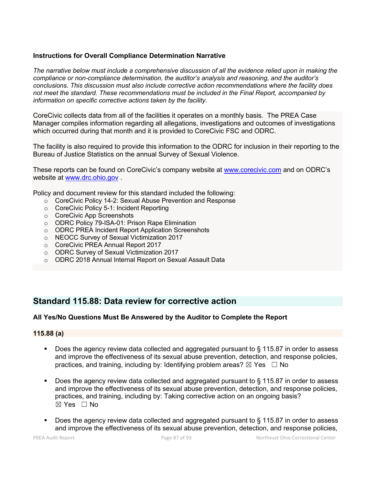# **Instructions for Overall Compliance Determination Narrative**

*The narrative below must include a comprehensive discussion of all the evidence relied upon in making the compliance or non-compliance determination, the auditor's analysis and reasoning, and the auditor's conclusions. This discussion must also include corrective action recommendations where the facility does not meet the standard. These recommendations must be included in the Final Report, accompanied by information on specific corrective actions taken by the facility.*

CoreCivic collects data from all of the facilities it operates on a monthly basis. The PREA Case Manager compiles information regarding all allegations, investigations and outcomes of investigations which occurred during that month and it is provided to CoreCivic FSC and ODRC.

The facility is also required to provide this information to the ODRC for inclusion in their reporting to the Bureau of Justice Statistics on the annual Survey of Sexual Violence.

These reports can be found on CoreCivic's company website at [www.corecivic.com](http://www.corecivic.com/) and on ODRC's website at [www.drc.ohio.gov](http://www.drc.ohio.gov/).

Policy and document review for this standard included the following:

- o CoreCivic Policy 14-2: Sexual Abuse Prevention and Response
- o CoreCivic Policy 5-1: Incident Reporting
- o CoreCivic App Screenshots
- o ODRC Policy 79-ISA-01: Prison Rape Elimination
- o ODRC PREA Incident Report Application Screenshots
- o NEOCC Survey of Sexual Victimization 2017
- o CoreCivic PREA Annual Report 2017
- o ODRC Survey of Sexual Victimization 2017
- o ODRC 2018 Annual Internal Report on Sexual Assault Data

# **Standard 115.88: Data review for corrective action**

# **All Yes/No Questions Must Be Answered by the Auditor to Complete the Report**

# **115.88 (a)**

- Does the agency review data collected and aggregated pursuant to § 115.87 in order to assess and improve the effectiveness of its sexual abuse prevention, detection, and response policies, practices, and training, including by: Identifying problem areas?  $\boxtimes$  Yes  $\Box$  No
- Does the agency review data collected and aggregated pursuant to § 115.87 in order to assess and improve the effectiveness of its sexual abuse prevention, detection, and response policies, practices, and training, including by: Taking corrective action on an ongoing basis?  $\boxtimes$  Yes  $\Box$  No
- Does the agency review data collected and aggregated pursuant to § 115.87 in order to assess and improve the effectiveness of its sexual abuse prevention, detection, and response policies,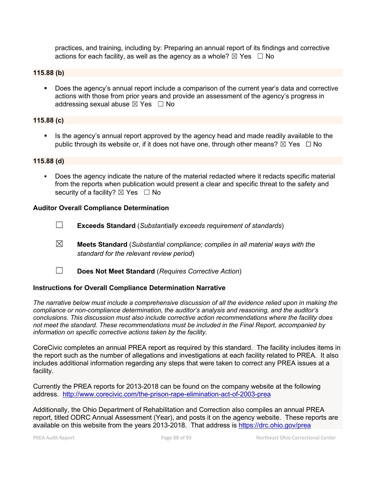practices, and training, including by: Preparing an annual report of its findings and corrective actions for each facility, as well as the agency as a whole?  $\boxtimes$  Yes  $\Box$  No

#### **115.88 (b)**

 Does the agency's annual report include a comparison of the current year's data and corrective actions with those from prior years and provide an assessment of the agency's progress in addressing sexual abuse  $\boxtimes$  Yes  $\Box$  No

#### **115.88 (c)**

 Is the agency's annual report approved by the agency head and made readily available to the public through its website or, if it does not have one, through other means?  $\boxtimes$  Yes  $\Box$  No

#### **115.88 (d)**

 Does the agency indicate the nature of the material redacted where it redacts specific material from the reports when publication would present a clear and specific threat to the safety and security of a facility?  $\boxtimes$  Yes  $\Box$  No

#### **Auditor Overall Compliance Determination**

- ☐ **Exceeds Standard** (*Substantially exceeds requirement of standards*)
- ☒ **Meets Standard** (*Substantial compliance; complies in all material ways with the standard for the relevant review period*)
- ☐ **Does Not Meet Standard** (*Requires Corrective Action*)

#### **Instructions for Overall Compliance Determination Narrative**

*The narrative below must include a comprehensive discussion of all the evidence relied upon in making the compliance or non-compliance determination, the auditor's analysis and reasoning, and the auditor's conclusions. This discussion must also include corrective action recommendations where the facility does not meet the standard. These recommendations must be included in the Final Report, accompanied by information on specific corrective actions taken by the facility.*

CoreCivic completes an annual PREA report as required by this standard. The facility includes items in the report such as the number of allegations and investigations at each facility related to PREA. It also includes additional information regarding any steps that were taken to correct any PREA issues at a facility.

Currently the PREA reports for 2013-2018 can be found on the company website at the following address. <http://www.corecivic.com/the-prison-rape-elimination-act-of-2003-prea>

Additionally, the Ohio Department of Rehabilitation and Correction also compiles an annual PREA report, titled ODRC Annual Assessment (Year), and posts it on the agency website. These reports are available on this website from the years 2013-2018. That address is<https://drc.ohio.gov/prea>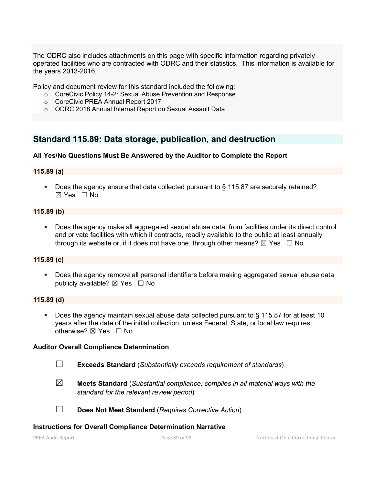The ODRC also includes attachments on this page with specific information regarding privately operated facilities who are contracted with ODRC and their statistics. This information is available for the years 2013-2016.

Policy and document review for this standard included the following:

- o CoreCivic Policy 14-2: Sexual Abuse Prevention and Response
- o CoreCivic PREA Annual Report 2017
- o ODRC 2018 Annual Internal Report on Sexual Assault Data

# **Standard 115.89: Data storage, publication, and destruction**

#### **All Yes/No Questions Must Be Answered by the Auditor to Complete the Report**

#### **115.89 (a)**

 Does the agency ensure that data collected pursuant to § 115.87 are securely retained? ☒ Yes ☐ No

#### **115.89 (b)**

 Does the agency make all aggregated sexual abuse data, from facilities under its direct control and private facilities with which it contracts, readily available to the public at least annually through its website or, if it does not have one, through other means?  $\boxtimes$  Yes  $\Box$  No

#### **115.89 (c)**

 Does the agency remove all personal identifiers before making aggregated sexual abuse data publicly available?  $\boxtimes$  Yes  $\Box$  No

#### **115.89 (d)**

 Does the agency maintain sexual abuse data collected pursuant to § 115.87 for at least 10 years after the date of the initial collection, unless Federal, State, or local law requires otherwise? ⊠ Yes □ No

#### **Auditor Overall Compliance Determination**

- ☐ **Exceeds Standard** (*Substantially exceeds requirement of standards*)
- ☒ **Meets Standard** (*Substantial compliance; complies in all material ways with the standard for the relevant review period*)

☐ **Does Not Meet Standard** (*Requires Corrective Action*)

#### **Instructions for Overall Compliance Determination Narrative**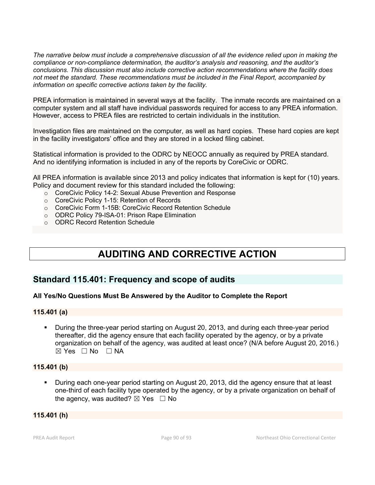*The narrative below must include a comprehensive discussion of all the evidence relied upon in making the compliance or non-compliance determination, the auditor's analysis and reasoning, and the auditor's conclusions. This discussion must also include corrective action recommendations where the facility does not meet the standard. These recommendations must be included in the Final Report, accompanied by information on specific corrective actions taken by the facility.*

PREA information is maintained in several ways at the facility. The inmate records are maintained on a computer system and all staff have individual passwords required for access to any PREA information. However, access to PREA files are restricted to certain individuals in the institution.

Investigation files are maintained on the computer, as well as hard copies. These hard copies are kept in the facility investigators' office and they are stored in a locked filing cabinet.

Statistical information is provided to the ODRC by NEOCC annually as required by PREA standard. And no identifying information is included in any of the reports by CoreCivic or ODRC.

All PREA information is available since 2013 and policy indicates that information is kept for (10) years. Policy and document review for this standard included the following:

- o CoreCivic Policy 14-2: Sexual Abuse Prevention and Response
- o CoreCivic Policy 1-15: Retention of Records
- o CoreCivic Form 1-15B: CoreCivic Record Retention Schedule
- o ODRC Policy 79-ISA-01: Prison Rape Elimination
- o ODRC Record Retention Schedule

# **AUDITING AND CORRECTIVE ACTION**

# **Standard 115.401: Frequency and scope of audits**

# **All Yes/No Questions Must Be Answered by the Auditor to Complete the Report**

#### **115.401 (a)**

 During the three-year period starting on August 20, 2013, and during each three-year period thereafter, did the agency ensure that each facility operated by the agency, or by a private organization on behalf of the agency, was audited at least once? (N/A before August 20, 2016.)  $\boxtimes$  Yes  $\Box$  No  $\Box$  NA

#### **115.401 (b)**

 During each one-year period starting on August 20, 2013, did the agency ensure that at least one-third of each facility type operated by the agency, or by a private organization on behalf of the agency, was audited?  $\boxtimes$  Yes  $\Box$  No

# **115.401 (h)**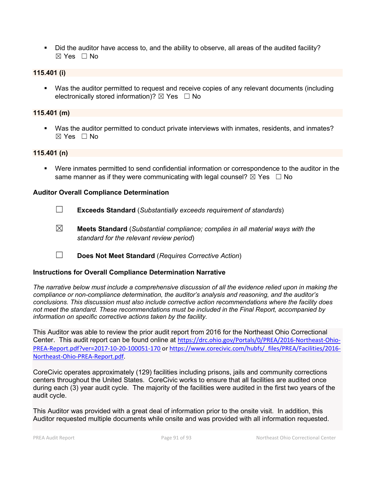Did the auditor have access to, and the ability to observe, all areas of the audited facility?  $\boxtimes$  Yes  $\Box$  No

#### **115.401 (i)**

 Was the auditor permitted to request and receive copies of any relevant documents (including electronically stored information)?  $\boxtimes$  Yes  $\Box$  No

#### **115.401 (m)**

 Was the auditor permitted to conduct private interviews with inmates, residents, and inmates?  $\boxtimes$  Yes  $\Box$  No

#### **115.401 (n)**

 Were inmates permitted to send confidential information or correspondence to the auditor in the same manner as if they were communicating with legal counsel?  $\boxtimes$  Yes  $\Box$  No

#### **Auditor Overall Compliance Determination**

- ☐ **Exceeds Standard** (*Substantially exceeds requirement of standards*)
- ☒ **Meets Standard** (*Substantial compliance; complies in all material ways with the standard for the relevant review period*)
- ☐ **Does Not Meet Standard** (*Requires Corrective Action*)

#### **Instructions for Overall Compliance Determination Narrative**

*The narrative below must include a comprehensive discussion of all the evidence relied upon in making the compliance or non-compliance determination, the auditor's analysis and reasoning, and the auditor's conclusions. This discussion must also include corrective action recommendations where the facility does not meet the standard. These recommendations must be included in the Final Report, accompanied by information on specific corrective actions taken by the facility.*

This Auditor was able to review the prior audit report from 2016 for the Northeast Ohio Correctional Center. This audit report can be found online at [https://drc.ohio.gov/Portals/0/PREA/2016-Northeast-Ohio-](https://drc.ohio.gov/Portals/0/PREA/2016-Northeast-Ohio-PREA-Report.pdf?ver=2017-10-20-100051-170)[PREA-Report.pdf?ver=2017-10-20-100051-170](https://drc.ohio.gov/Portals/0/PREA/2016-Northeast-Ohio-PREA-Report.pdf?ver=2017-10-20-100051-170) o[r https://www.corecivic.com/hubfs/\\_files/PREA/Facilities/2016-](https://www.corecivic.com/hubfs/_files/PREA/Facilities/2016-Northeast-Ohio-PREA-Report.pdf) [Northeast-Ohio-PREA-Report.pdf.](https://www.corecivic.com/hubfs/_files/PREA/Facilities/2016-Northeast-Ohio-PREA-Report.pdf)

CoreCivic operates approximately (129) facilities including prisons, jails and community corrections centers throughout the United States. CoreCivic works to ensure that all facilities are audited once during each (3) year audit cycle. The majority of the facilities were audited in the first two years of the audit cycle.

This Auditor was provided with a great deal of information prior to the onsite visit. In addition, this Auditor requested multiple documents while onsite and was provided with all information requested.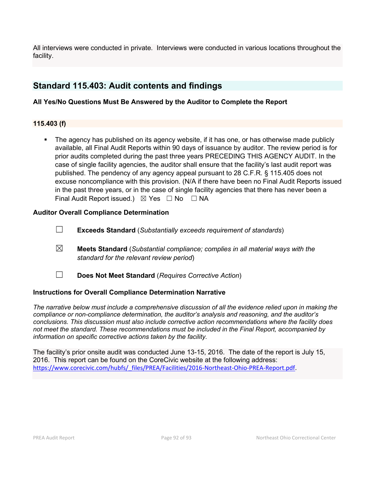All interviews were conducted in private. Interviews were conducted in various locations throughout the facility.

# **Standard 115.403: Audit contents and findings**

# **All Yes/No Questions Must Be Answered by the Auditor to Complete the Report**

# **115.403 (f)**

 The agency has published on its agency website, if it has one, or has otherwise made publicly available, all Final Audit Reports within 90 days of issuance by auditor. The review period is for prior audits completed during the past three years PRECEDING THIS AGENCY AUDIT. In the case of single facility agencies, the auditor shall ensure that the facility's last audit report was published. The pendency of any agency appeal pursuant to 28 C.F.R. § 115.405 does not excuse noncompliance with this provision. (N/A if there have been no Final Audit Reports issued in the past three years, or in the case of single facility agencies that there has never been a Final Audit Report issued.)  $\boxtimes$  Yes  $\Box$  No  $\Box$  NA

# **Auditor Overall Compliance Determination**

- ☐ **Exceeds Standard** (*Substantially exceeds requirement of standards*)
- ☒ **Meets Standard** (*Substantial compliance; complies in all material ways with the standard for the relevant review period*)
- ☐ **Does Not Meet Standard** (*Requires Corrective Action*)

# **Instructions for Overall Compliance Determination Narrative**

*The narrative below must include a comprehensive discussion of all the evidence relied upon in making the compliance or non-compliance determination, the auditor's analysis and reasoning, and the auditor's conclusions. This discussion must also include corrective action recommendations where the facility does not meet the standard. These recommendations must be included in the Final Report, accompanied by information on specific corrective actions taken by the facility.*

The facility's prior onsite audit was conducted June 13-15, 2016. The date of the report is July 15, 2016. This report can be found on the CoreCivic website at the following address: [https://www.corecivic.com/hubfs/\\_files/PREA/Facilities/2016-Northeast-Ohio-PREA-Report.pdf](https://www.corecivic.com/hubfs/_files/PREA/Facilities/2016-Northeast-Ohio-PREA-Report.pdf).